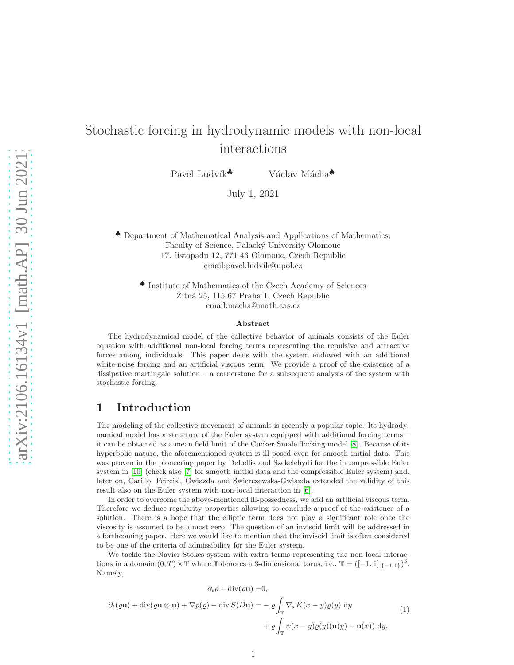# Stochastic forcing in hydrodynamic models with non-local interactions

Pavel Ludvík<sup>♣</sup> Václav Mácha<sup>♠</sup>

July 1, 2021

♣ Department of Mathematical Analysis and Applications of Mathematics, Faculty of Science, Palacký University Olomouc 17. listopadu 12, 771 46 Olomouc, Czech Republic email:pavel.ludvik@upol.cz

♠ Institute of Mathematics of the Czech Academy of Sciences  $\check{Z}$ itná 25, 115 67 Praha 1, Czech Republic email:macha@math.cas.cz

#### Abstract

The hydrodynamical model of the collective behavior of animals consists of the Euler equation with additional non-local forcing terms representing the repulsive and attractive forces among individuals. This paper deals with the system endowed with an additional white-noise forcing and an artificial viscous term. We provide a proof of the existence of a dissipative martingale solution – a cornerstone for a subsequent analysis of the system with stochastic forcing.

### 1 Introduction

The modeling of the collective movement of animals is recently a popular topic. Its hydrodynamical model has a structure of the Euler system equipped with additional forcing terms – it can be obtained as a mean field limit of the Cucker-Smale flocking model [\[8\]](#page-30-0). Because of its hyperbolic nature, the aforementioned system is ill-posed even for smooth initial data. This was proven in the pioneering paper by DeLellis and Szekelehydi for the incompressible Euler system in [\[10\]](#page-31-0) (check also [\[7\]](#page-30-1) for smooth initial data and the compressible Euler system) and, later on, Carillo, Feireisl, Gwiazda and Swierczewska-Gwiazda extended the validity of this result also on the Euler system with non-local interaction in [\[6\]](#page-30-2).

In order to overcome the above-mentioned ill-possedness, we add an artificial viscous term. Therefore we deduce regularity properties allowing to conclude a proof of the existence of a solution. There is a hope that the elliptic term does not play a significant role once the viscosity is assumed to be almost zero. The question of an inviscid limit will be addressed in a forthcoming paper. Here we would like to mention that the inviscid limit is often considered to be one of the criteria of admissibility for the Euler system.

We tackle the Navier-Stokes system with extra terms representing the non-local interactions in a domain  $(0, T) \times \mathbb{T}$  where  $\mathbb{T}$  denotes a 3-dimensional torus, i.e.,  $\mathbb{T} = ([-1, 1]|_{\{-1, 1\}})^3$ . Namely,

<span id="page-0-0"></span>
$$
\partial_t \varrho + \text{div}(\varrho \mathbf{u}) = 0,
$$
  

$$
\partial_t (\varrho \mathbf{u}) + \text{div}(\varrho \mathbf{u} \otimes \mathbf{u}) + \nabla p(\varrho) - \text{div } S(D\mathbf{u}) = - \varrho \int_{\mathbb{T}} \nabla_x K(x - y) \varrho(y) \, dy
$$
  

$$
+ \varrho \int_{\mathbb{T}} \psi(x - y) \varrho(y) (\mathbf{u}(y) - \mathbf{u}(x)) \, dy.
$$
 (1)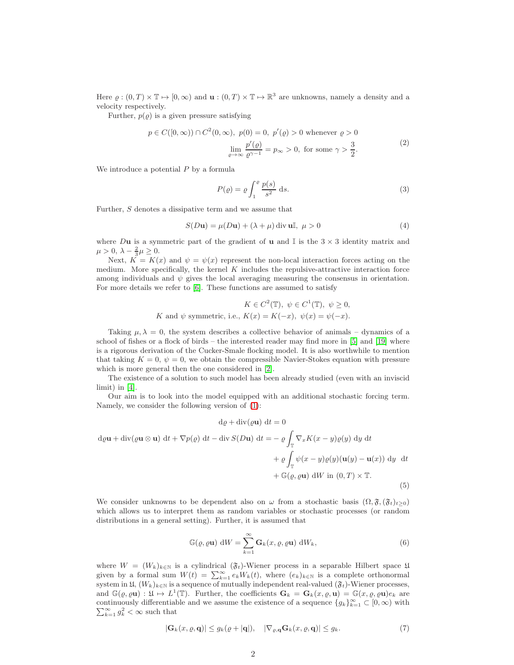Here  $\varrho:(0,T)\times\mathbb{T}\mapsto[0,\infty)$  and  $\mathbf{u}:(0,T)\times\mathbb{T}\mapsto\mathbb{R}^3$  are unknowns, namely a density and a velocity respectively.

Further,  $p(\varrho)$  is a given pressure satisfying

$$
p \in C([0,\infty)) \cap C^2(0,\infty), \ p(0) = 0, \ p'(\varrho) > 0 \text{ whenever } \varrho > 0
$$

$$
\lim_{\varrho \to \infty} \frac{p'(\varrho)}{\varrho^{\gamma - 1}} = p_{\infty} > 0, \text{ for some } \gamma > \frac{3}{2}.
$$
 (2)

<span id="page-1-1"></span>We introduce a potential  $P$  by a formula

<span id="page-1-4"></span>
$$
P(\varrho) = \varrho \int_1^{\varrho} \frac{p(s)}{s^2} \, \mathrm{d}s. \tag{3}
$$

Further, S denotes a dissipative term and we assume that

<span id="page-1-5"></span>
$$
S(D\mathbf{u}) = \mu(D\mathbf{u}) + (\lambda + \mu) \operatorname{div} \mathbf{u} \mathbb{I}, \ \mu > 0
$$
\n<sup>(4)</sup>

where Du is a symmetric part of the gradient of u and  $\mathbb{I}$  is the  $3 \times 3$  identity matrix and  $\mu > 0, \ \lambda - \frac{2}{3}\mu \geq 0.$ 

Next,  $\tilde{K} = K(x)$  and  $\psi = \psi(x)$  represent the non-local interaction forces acting on the medium. More specifically, the kernel  $K$  includes the repulsive-attractive interaction force among individuals and  $\psi$  gives the local averaging measuring the consensus in orientation. For more details we refer to [\[6\]](#page-30-2). These functions are assumed to satisfy

$$
K \in C^{2}(\mathbb{T}), \ \psi \in C^{1}(\mathbb{T}), \ \psi \ge 0,
$$
  

$$
K \text{ and } \psi \text{ symmetric, i.e., } K(x) = K(-x), \ \psi(x) = \psi(-x).
$$

Taking  $\mu, \lambda = 0$ , the system describes a collective behavior of animals – dynamics of a school of fishes or a flock of birds – the interested reader may find more in [\[5\]](#page-30-3) and [\[19\]](#page-31-1) where is a rigorous derivation of the Cucker-Smale flocking model. It is also worthwhile to mention that taking  $K = 0, \psi = 0$ , we obtain the compressible Navier-Stokes equation with pressure which is more general then the one considered in [\[2\]](#page-30-4).

The existence of a solution to such model has been already studied (even with an inviscid limit) in [\[4\]](#page-30-5).

Our aim is to look into the model equipped with an additional stochastic forcing term. Namely, we consider the following version of [\(1\)](#page-0-0):

<span id="page-1-0"></span>
$$
d\varrho + \operatorname{div}(\varrho \mathbf{u}) dt = 0
$$
  
\n
$$
d\varrho \mathbf{u} + \operatorname{div}(\varrho \mathbf{u} \otimes \mathbf{u}) dt + \nabla p(\varrho) dt - \operatorname{div} S(D\mathbf{u}) dt = -\varrho \int_{\mathbb{T}} \nabla_x K(x - y) \varrho(y) dy dt
$$
  
\n
$$
+ \varrho \int_{\mathbb{T}} \psi(x - y) \varrho(y) (\mathbf{u}(y) - \mathbf{u}(x)) dy dt
$$
  
\n
$$
+ \mathbb{G}(\varrho, \varrho \mathbf{u}) dW \text{ in } (0, T) \times \mathbb{T}.
$$
  
\n(5)

We consider unknowns to be dependent also on  $\omega$  from a stochastic basis  $(\Omega, \mathfrak{F}, (\mathfrak{F}_t)_{t>0})$ which allows us to interpret them as random variables or stochastic processes (or random distributions in a general setting). Further, it is assumed that

<span id="page-1-2"></span>
$$
\mathbb{G}(\varrho, \varrho \mathbf{u}) \, dW = \sum_{k=1}^{\infty} \mathbf{G}_k(x, \varrho, \varrho \mathbf{u}) \, dW_k, \tag{6}
$$

where  $W = (W_k)_{k \in \mathbb{N}}$  is a cylindrical  $(\mathfrak{F}_t)$ -Wiener process in a separable Hilbert space 1 given by a formal sum  $W(t) = \sum_{k=1}^{\infty} e_k W_k(t)$ , where  $(e_k)_{k \in \mathbb{N}}$  is a complete orthonormal system in  $\mathfrak{U}, (W_k)_{k\in\mathbb{N}}$  is a sequence of mutually independent real-valued  $(\mathfrak{F}_t)$ -Wiener processes, and  $\mathbb{G}(\varrho, \varrho \mathbf{u}) : \mathfrak{U} \mapsto L^1(\mathbb{T})$ . Further, the coefficients  $\mathbf{G}_k = \mathbf{G}_k(x, \varrho, \mathbf{u}) = \mathfrak{G}(x, \varrho, \varrho \mathbf{u})e_k$  are continuously differentiable and we assume the existence of a sequence  $\{g_k\}_{k=1}^{\infty} \subset [0,\infty)$  with  $\sum_{k=1}^{\infty} q_k^2 < \infty$  such that  $\sum_{k=1}^{\infty} g_k^2 < \infty$  such that

<span id="page-1-3"></span>
$$
|\mathbf{G}_k(x,\varrho,\mathbf{q})| \le g_k(\varrho+|\mathbf{q}|), \quad |\nabla_{\varrho,\mathbf{q}}\mathbf{G}_k(x,\varrho,\mathbf{q})| \le g_k. \tag{7}
$$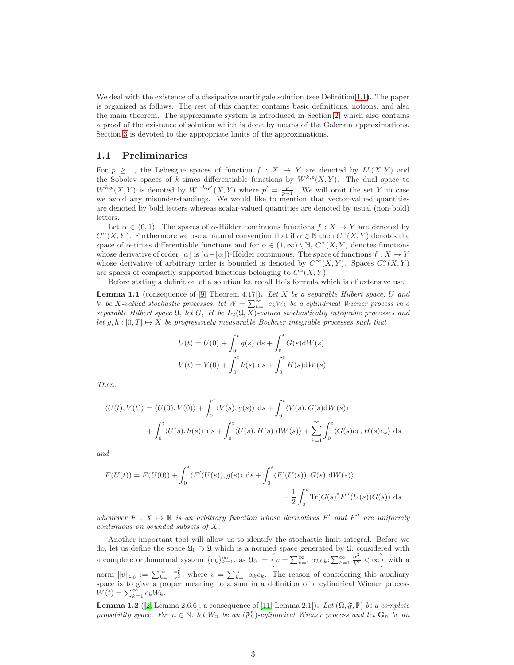We deal with the existence of a dissipative martingale solution (see Definition [1.1\)](#page-3-0). The paper is organized as follows. The rest of this chapter contains basic definitions, notions, and also the main theorem. The approximate system is introduced in Section [2,](#page-4-0) which also contains a proof of the existence of solution which is done by means of the Galerkin approximations. Section [3](#page-20-0) is devoted to the appropriate limits of the approximations.

#### 1.1 Preliminaries

For  $p \geq 1$ , the Lebesgue spaces of function  $f : X \mapsto Y$  are denoted by  $L^p(X, Y)$  and the Sobolev spaces of k-times differentiable functions by  $W^{k,p}(X, Y)$ . The dual space to  $W^{k,p}(X,Y)$  is denoted by  $W^{-k,p'}(X,Y)$  where  $p' = \frac{p}{p-1}$ . We will omit the set Y in case we avoid any misunderstandings. We would like to mention that vector-valued quantities are denoted by bold letters whereas scalar-valued quantities are denoted by usual (non-bold) letters.

Let  $\alpha \in (0,1)$ . The spaces of  $\alpha$ -Hölder continuous functions  $f: X \to Y$  are denoted by  $C^{\alpha}(X, Y)$ . Furthermore we use a natural convention that if  $\alpha \in \mathbb{N}$  then  $C^{\alpha}(X, Y)$  denotes the space of  $\alpha$ -times differentiable functions and for  $\alpha \in (1,\infty) \setminus \mathbb{N}$ ,  $C^{\alpha}(X,Y)$  denotes functions whose derivative of order  $|\alpha|$  is  $(\alpha-|\alpha|)$ -Hölder continuous. The space of functions  $f: X \to Y$ whose derivative of arbitrary order is bounded is denoted by  $C^{\infty}(X,Y)$ . Spaces  $C_c^{\alpha}(X,Y)$ are spaces of compactly supported functions belonging to  $C^{\alpha}(X, Y)$ .

Before stating a definition of a solution let recall Ito's formula which is of extensive use.

<span id="page-2-0"></span>**Lemma 1.1** (consequence of  $[9,$  Theorem 4.17]). Let  $X$  be a separable Hilbert space,  $U$  and V be X-valued stochastic processes, let  $W = \sum_{k=1}^{\infty} e_k W_k$  be a cylindrical Wiener process in a separable Hilbert space  $\mathfrak{U}$ , let G, H be  $L_2(\mathfrak{U}, X)$ -valued stochastically integrable processes and let  $g, h : [0, T] \mapsto X$  be progressively measurable Bochner integrable processes such that

$$
U(t) = U(0) + \int_0^t g(s) \, ds + \int_0^t G(s) dW(s)
$$
  

$$
V(t) = V(0) + \int_0^t h(s) \, ds + \int_0^t H(s) dW(s).
$$

Then,

$$
\langle U(t), V(t) \rangle = \langle U(0), V(0) \rangle + \int_0^t \langle V(s), g(s) \rangle \, ds + \int_0^t \langle V(s), G(s) dW(s) \rangle
$$

$$
+ \int_0^t \langle U(s), h(s) \rangle \, ds + \int_0^t \langle U(s), H(s) dW(s) \rangle + \sum_{k=1}^\infty \int_0^t \langle G(s)e_k, H(s)e_k \rangle \, ds
$$

and

$$
F(U(t)) = F(U(0)) + \int_0^t \langle F'(U(s)), g(s) \rangle ds + \int_0^t \langle F'(U(s)), G(s) dW(s) \rangle + \frac{1}{2} \int_0^t \text{Tr}(G(s)^* F''(U(s)) G(s)) ds
$$

whenever  $F: X \mapsto \mathbb{R}$  is an arbitrary function whose derivatives  $F'$  and  $F''$  are uniformly continuous on bounded subsets of X.

Another important tool will allow us to identify the stochastic limit integral. Before we do, let us define the space  $\mathfrak{U}_0 \supset \mathfrak{U}$  which is a normed space generated by  $\mathfrak{U}$ , considered with a complete orthonormal system  $\{e_k\}_{k=1}^{\infty}$ , as  $\mathfrak{U}_0 := \left\{v = \sum_{k=1}^{\infty} \alpha_k e_k; \sum_{k=1}^{\infty} \frac{\alpha_k^2}{k^2} < \infty \right\}$  with a norm  $||v||_{\mathfrak{U}_0} := \sum_{k=1}^{\infty} \frac{\alpha_k^2}{k^2}$ , where  $v = \sum_{k=1}^{\infty} \alpha_k e_k$ . The reason of considering this auxiliary space is to give a proper meaning to a sum in a definition of a cylindrical Wiener process  $W(t) = \sum_{k=1}^{\infty} e_k W_k.$ 

<span id="page-2-1"></span>**Lemma 1.2** ([\[2,](#page-30-4) Lemma 2.6.6]; a consequence of [\[11,](#page-31-3) Lemma 2.1]). Let  $(\Omega, \mathfrak{F}, \mathbb{P})$  be a complete probability space. For  $n \in \mathbb{N}$ , let  $W_n$  be an  $(\mathfrak{F}_t^n)$ -cylindrical Wiener process and let  $\mathbf{G}_n$  be an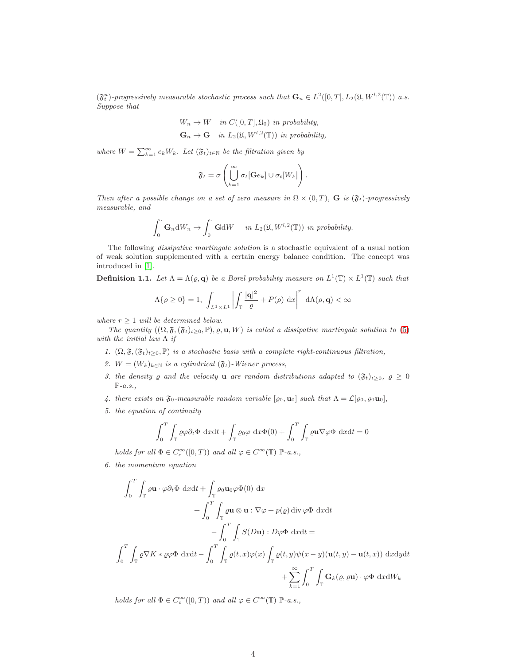$(\mathfrak{F}_{t}^{n})$ -progressively measurable stochastic process such that  $\mathbf{G}_{n} \in L^{2}([0,T], L_{2}(\mathfrak{U}, W^{l,2}(\mathbb{T}))$  a.s. Suppose that

$$
W_n \to W \quad in \ C([0, T], \mathfrak{U}_0) \text{ in probability,}
$$
  

$$
\mathbf{G}_n \to \mathbf{G} \quad in \ L_2(\mathfrak{U}, W^{l, 2}(\mathbb{T})) \text{ in probability,}
$$

where  $W = \sum_{k=1}^{\infty} e_k W_k$ . Let  $(\mathfrak{F}_t)_{t \in \mathbb{N}}$  be the filtration given by

$$
\mathfrak{F}_t = \sigma\left(\bigcup_{k=1}^{\infty} \sigma_t[\mathbf{G}e_k] \cup \sigma_t[W_k]\right).
$$

Then after a possible change on a set of zero measure in  $\Omega \times (0,T)$ , G is  $(\mathfrak{F}_t)$ -progressively measurable, and

$$
\int_0^{\cdot} \mathbf{G}_n \mathrm{d}W_n \to \int_0^{\cdot} \mathbf{G} \mathrm{d}W \quad in \ L_2(\mathfrak{U}, W^{l,2}(\mathbb{T})) \ in \ probability.
$$

The following dissipative martingale solution is a stochastic equivalent of a usual notion of weak solution supplemented with a certain energy balance condition. The concept was introduced in [\[1\]](#page-30-6).

<span id="page-3-0"></span>**Definition 1.1.** Let  $\Lambda = \Lambda(\varrho, \mathbf{q})$  be a Borel probability measure on  $L^1(\mathbb{T}) \times L^1(\mathbb{T})$  such that

$$
\Lambda\{\varrho \ge 0\} = 1, \int_{L^1 \times L^1} \left| \int_{\mathbb{T}} \frac{|\mathbf{q}|^2}{\varrho} + P(\varrho) \, \mathrm{d}x \right|^r \, \mathrm{d}\Lambda(\varrho, \mathbf{q}) < \infty
$$

where  $r \geq 1$  will be determined below.

The quantity  $((\Omega, \mathfrak{F}, (\mathfrak{F}_t)_{t>0}, \mathbb{P}), \varrho, \mathbf{u}, W)$  is called a dissipative martingale solution to [\(5\)](#page-1-0) with the initial law  $\Lambda$  if

- 1.  $(\Omega, \mathfrak{F}, (\mathfrak{F}_t)_{t\geq0}, \mathbb{P})$  is a stochastic basis with a complete right-continuous filtration,
- 2.  $W = (W_k)_{k \in \mathbb{N}}$  is a cylindrical  $(\mathfrak{F}_t)$ -Wiener process,
- 3. the density  $\varrho$  and the velocity **u** are random distributions adapted to  $(\mathfrak{F}_t)_{t\geq0}$ ,  $\varrho \geq 0$  $\mathbb{P}\text{-}a.s.,$
- 4. there exists an  $\mathfrak{F}_0$ -measurable random variable  $[\varrho_0, \mathbf{u}_0]$  such that  $\Lambda = \mathcal{L}[\varrho_0, \varrho_0 \mathbf{u}_0]$ ,
- 5. the equation of continuity

$$
\int_0^T \int_{\mathbb{T}} \rho \varphi \partial_t \Phi \, dx dt + \int_{\mathbb{T}} \rho \varphi \, dx \Phi(0) + \int_0^T \int_{\mathbb{T}} \rho \mathbf{u} \nabla \varphi \Phi \, dx dt = 0
$$

holds for all  $\Phi \in C_c^{\infty}([0, T))$  and all  $\varphi \in C^{\infty}(\mathbb{T})$   $\mathbb{P}\text{-}a.s.,$ 

6. the momentum equation

$$
\int_0^T \int_{\mathbb{T}} \varrho \mathbf{u} \cdot \varphi \partial_t \Phi \, dxdt + \int_{\mathbb{T}} \varrho_0 \mathbf{u}_0 \varphi \Phi(0) \, dx \n+ \int_0^T \int_{\mathbb{T}} \varrho \mathbf{u} \otimes \mathbf{u} : \nabla \varphi + p(\varrho) \, \text{div } \varphi \Phi \, dxdt \n- \int_0^T \int_{\mathbb{T}} S(D\mathbf{u}) : D\varphi \Phi \, dxdt = \n\int_0^T \int_{\mathbb{T}} \varrho \nabla K * \varrho \varphi \Phi \, dxdt - \int_0^T \int_{\mathbb{T}} \varrho(t, x) \varphi(x) \int_{\mathbb{T}} \varrho(t, y) \psi(x - y) (\mathbf{u}(t, y) - \mathbf{u}(t, x)) \, dxdydt \n+ \sum_{k=1}^\infty \int_0^T \int_{\mathbb{T}} \mathbf{G}_k(\varrho, \varrho \mathbf{u}) \cdot \varphi \Phi \, dxdW_k
$$

holds for all  $\Phi \in C_c^{\infty}([0, T))$  and all  $\varphi \in C^{\infty}(\mathbb{T})$   $\mathbb{P}\text{-}a.s.,$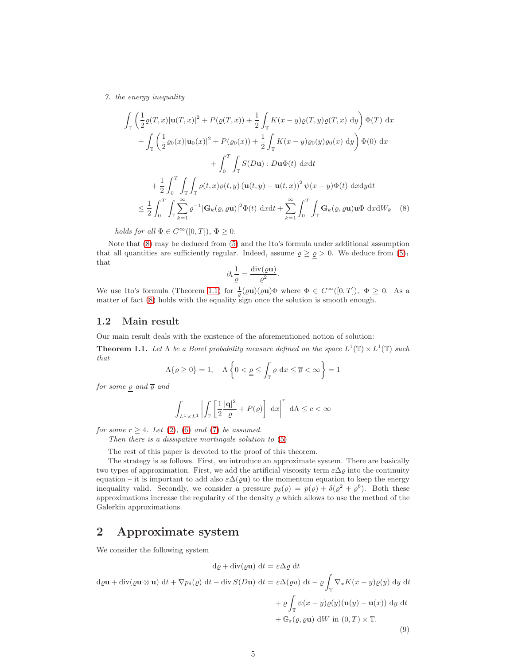7. the energy inequality

$$
\int_{\mathbb{T}} \left( \frac{1}{2} \varrho(T, x) |u(T, x)|^2 + P(\varrho(T, x)) + \frac{1}{2} \int_{\mathbb{T}} K(x - y) \varrho(T, y) \varrho(T, x) dy \right) \Phi(T) dx
$$
  
\n
$$
- \int_{\mathbb{T}} \left( \frac{1}{2} \varrho_0(x) |u_0(x)|^2 + P(\varrho_0(x)) + \frac{1}{2} \int_{\mathbb{T}} K(x - y) \varrho_0(y) \varrho_0(x) dy \right) \Phi(0) dx
$$
  
\n
$$
+ \int_0^T \int_{\mathbb{T}} S(D\mathbf{u}) : D\mathbf{u}\Phi(t) dx dt
$$
  
\n
$$
+ \frac{1}{2} \int_0^T \int_{\mathbb{T}} \int_{\mathbb{T}} \varrho(t, x) \varrho(t, y) (u(t, y) - u(t, x))^2 \psi(x - y) \Phi(t) dx dy dt
$$
  
\n
$$
\leq \frac{1}{2} \int_0^T \int_{\mathbb{T}} \sum_{k=1}^\infty \varrho^{-1} |\mathbf{G}_k(\varrho, \varrho \mathbf{u})|^2 \Phi(t) dx dt + \sum_{k=1}^\infty \int_0^T \int_{\mathbb{T}} \mathbf{G}_k(\varrho, \varrho \mathbf{u}) \mathbf{u}\Phi dx dW_k
$$
 (8)

holds for all  $\Phi \in C^{\infty}([0, T]), \ \Phi \geq 0.$ 

Note that [\(8\)](#page-4-1) may be deduced from [\(5\)](#page-1-0) and the Ito's formula under additional assumption that all quantities are sufficiently regular. Indeed, assume  $\rho \geq \rho > 0$ . We deduce from  $(5)_1$ that

$$
\partial_t \frac{1}{\varrho} = \frac{\operatorname{div}(\varrho \mathbf{u})}{\varrho^2}
$$

<span id="page-4-1"></span>.

We use Ito's formula (Theorem [1.1\)](#page-2-0) for  $\frac{1}{\varrho}(\varrho \mathbf{u})(\varrho \mathbf{u})\Phi$  where  $\Phi \in C^{\infty}([0, T])$ ,  $\Phi \geq 0$ . As a matter of fact [\(8\)](#page-4-1) holds with the equality sign once the solution is smooth enough.

#### 1.2 Main result

Our main result deals with the existence of the aforementioned notion of solution:

**Theorem 1.1.** Let  $\Lambda$  be a Borel probability measure defined on the space  $L^1(\mathbb{T}) \times L^1(\mathbb{T})$  such that

$$
\Lambda\{\varrho \ge 0\} = 1, \quad \Lambda\left\{0 < \underline{\varrho} \le \int_{\mathbb{T}} \varrho \, \mathrm{d}x \le \overline{\varrho} < \infty\right\} = 1
$$

for some  $\rho$  and  $\overline{\rho}$  and

$$
\int_{L^1 \times L^1} \left| \int_{\mathbb{T}} \left[ \frac{1}{2} \frac{|\mathbf{q}|^2}{\varrho} + P(\varrho) \right] dx \right|^r d\Lambda \leq c < \infty
$$

for some  $r \geq 4$ . Let [\(2\)](#page-1-1), [\(6\)](#page-1-2) and [\(7\)](#page-1-3) be assumed.

Then there is a dissipative martingale solution to [\(5\)](#page-1-0)

The rest of this paper is devoted to the proof of this theorem.

The strategy is as follows. First, we introduce an approximate system. There are basically two types of approximation. First, we add the artificial viscosity term  $\varepsilon\Delta\varrho$  into the continuity equation – it is important to add also  $\varepsilon\Delta(\varrho\mathbf{u})$  to the momentum equation to keep the energy inequality valid. Secondly, we consider a pressure  $p_{\delta}(\varrho) = p(\varrho) + \delta(\varrho^2 + \varrho^6)$ . Both these approximations increase the regularity of the density  $\rho$  which allows to use the method of the Galerkin approximations.

# <span id="page-4-0"></span>2 Approximate system

We consider the following system

<span id="page-4-2"></span>
$$
d\varrho + \operatorname{div}(\varrho \mathbf{u}) dt = \varepsilon \Delta \varrho dt
$$
  
\n
$$
d\varrho \mathbf{u} + \operatorname{div}(\varrho \mathbf{u} \otimes \mathbf{u}) dt + \nabla p_{\delta}(\varrho) dt - \operatorname{div} S(D\mathbf{u}) dt = \varepsilon \Delta(\varrho u) dt - \varrho \int_{\mathbb{T}} \nabla_x K(x - y) \varrho(y) dy dt
$$
  
\n
$$
+ \varrho \int_{\mathbb{T}} \psi(x - y) \varrho(y) (\mathbf{u}(y) - \mathbf{u}(x)) dy dt
$$
  
\n
$$
+ \mathbb{G}_{\varepsilon}(\varrho, \varrho \mathbf{u}) dW \text{ in } (0, T) \times \mathbb{T}.
$$
  
\n(9)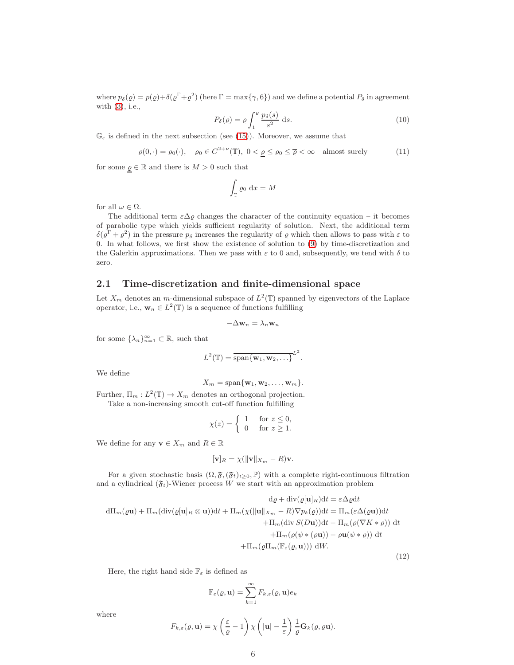where  $p_\delta(\varrho) = p(\varrho) + \delta(\varrho^{\Gamma} + \varrho^2)$  (here  $\Gamma = \max\{\gamma, 6\}$ ) and we define a potential  $P_\delta$  in agreement with [\(3\)](#page-1-4), i.e.,

<span id="page-5-2"></span>
$$
P_{\delta}(\varrho) = \varrho \int_{1}^{\varrho} \frac{p_{\delta}(s)}{s^2} \, \mathrm{d}s. \tag{10}
$$

 $\mathbb{G}_{\varepsilon}$  is defined in the next subsection (see [\(15\)](#page-6-0)). Moreover, we assume that

<span id="page-5-1"></span>
$$
\varrho(0,\cdot) = \varrho_0(\cdot), \quad \varrho_0 \in C^{2+\nu}(\mathbb{T}), \ 0 < \underline{\varrho} \le \varrho_0 \le \overline{\varrho} < \infty \quad \text{almost surely} \tag{11}
$$

for some  $\varrho \in \mathbb{R}$  and there is  $M > 0$  such that

$$
\int_{\mathbb{T}} \varrho_0 \, \mathrm{d}x = M
$$

for all  $\omega \in \Omega$ .

The additional term  $\varepsilon \Delta \varrho$  changes the character of the continuity equation – it becomes of parabolic type which yields sufficient regularity of solution. Next, the additional term  $\delta(\varrho^{\Gamma}+\varrho^2)$  in the pressure  $p_{\delta}$  increases the regularity of  $\varrho$  which then allows to pass with  $\varepsilon$  to 0. In what follows, we first show the existence of solution to [\(9\)](#page-4-2) by time-discretization and the Galerkin approximations. Then we pass with  $\varepsilon$  to 0 and, subsequently, we tend with  $\delta$  to zero.

#### 2.1 Time-discretization and finite-dimensional space

Let  $X_m$  denotes an m-dimensional subspace of  $L^2(\mathbb{T})$  spanned by eigenvectors of the Laplace operator, i.e.,  $\mathbf{w}_n \in L^2(\mathbb{T})$  is a sequence of functions fulfilling

$$
-\Delta \mathbf{w}_n = \lambda_n \mathbf{w}_n
$$

for some  $\{\lambda_n\}_{n=1}^{\infty} \subset \mathbb{R}$ , such that

$$
L^{2}(\mathbb{T})=\overline{\operatorname{span}\{\mathbf{w}_{1},\mathbf{w}_{2},\ldots\}}^{L^{2}}.
$$

We define

$$
X_m = \mathrm{span}\{\mathbf{w}_1, \mathbf{w}_2, \dots, \mathbf{w}_m\}.
$$

Further,  $\Pi_m: L^2(\mathbb{T}) \to X_m$  denotes an orthogonal projection. Take a non-increasing smooth cut-off function fulfilling

$$
\chi(z) = \begin{cases} 1 & \text{for } z \le 0, \\ 0 & \text{for } z \ge 1. \end{cases}
$$

We define for any  $\mathbf{v} \in X_m$  and  $R \in \mathbb{R}$ 

$$
[\mathbf{v}]_R = \chi(||\mathbf{v}||_{X_m} - R)\mathbf{v}.
$$

For a given stochastic basis  $(\Omega, \mathfrak{F}, (\mathfrak{F}_t)_{t\geq 0}, \mathbb{P})$  with a complete right-continuous filtration and a cylindrical  $(\mathfrak{F}_t)$ -Wiener process W we start with an approximation problem

<span id="page-5-0"></span>
$$
d\varrho + \operatorname{div}(\varrho[\mathbf{u}]_R)dt = \varepsilon \Delta \varrho dt
$$
  
\n
$$
d\Pi_m(\varrho \mathbf{u}) + \Pi_m(\operatorname{div}(\varrho[\mathbf{u}]_R \otimes \mathbf{u}))dt + \Pi_m(\chi(\|\mathbf{u}\|_{X_m} - R)\nabla p_\delta(\varrho))dt = \Pi_m(\varepsilon \Delta(\varrho \mathbf{u}))dt
$$
  
\n
$$
+ \Pi_m(\operatorname{div} S(D\mathbf{u}))dt - \Pi_m(\varrho(\nabla K * \varrho)) dt
$$
  
\n
$$
+ \Pi_m(\varrho(\psi * (\varrho \mathbf{u})) - \varrho \mathbf{u}(\psi * \varrho)) dt
$$
  
\n
$$
+ \Pi_m(\varrho \Pi_m(\mathbb{F}_{\varepsilon}(\varrho, \mathbf{u}))) dW.
$$
\n(12)

Here, the right hand side  $\mathbb{F}_{\varepsilon}$  is defined as

$$
\mathbb{F}_{\varepsilon}(\varrho, \mathbf{u}) = \sum_{k=1}^{\infty} F_{k,\varepsilon}(\varrho, \mathbf{u}) e_k
$$

where

$$
F_{k,\varepsilon}(\varrho,\mathbf{u}) = \chi\left(\frac{\varepsilon}{\varrho} - 1\right) \chi\left(|\mathbf{u}| - \frac{1}{\varepsilon}\right) \frac{1}{\varrho} \mathbf{G}_k(\varrho, \varrho \mathbf{u}).
$$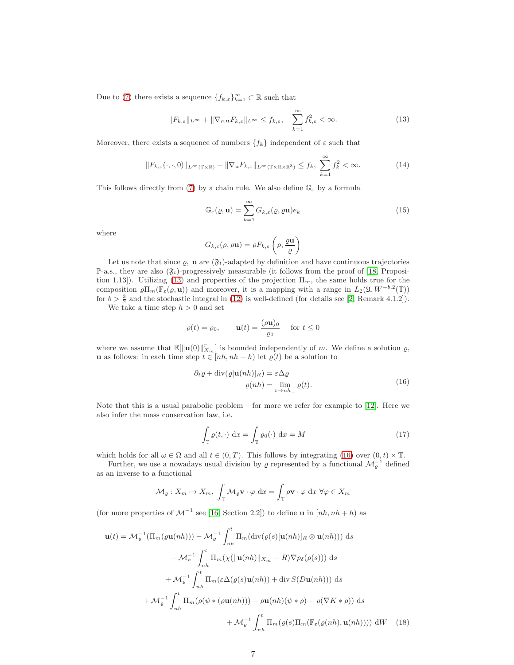Due to [\(7\)](#page-1-3) there exists a sequence  $\{f_{k,\varepsilon}\}_{k=1}^{\infty} \subset \mathbb{R}$  such that

<span id="page-6-1"></span>
$$
||F_{k,\varepsilon}||_{L^{\infty}} + ||\nabla_{\varrho,\mathbf{u}} F_{k,\varepsilon}||_{L^{\infty}} \le f_{k,\varepsilon}, \quad \sum_{k=1}^{\infty} f_{k,\varepsilon}^2 < \infty.
$$
 (13)

Moreover, there exists a sequence of numbers  $\{f_k\}$  independent of  $\varepsilon$  such that

<span id="page-6-5"></span>
$$
||F_{k,\varepsilon}(\cdot,\cdot,0)||_{L^{\infty}(\mathbb{T}\times\mathbb{R})} + ||\nabla_{\mathbf{u}}F_{k,\varepsilon}||_{L^{\infty}(\mathbb{T}\times\mathbb{R}\times\mathbb{R}^3)} \leq f_k, \sum_{k=1}^{\infty} f_k^2 < \infty.
$$
 (14)

This follows directly from [\(7\)](#page-1-3) by a chain rule. We also define  $\mathbb{G}_{\varepsilon}$  by a formula

<span id="page-6-0"></span>
$$
\mathbb{G}_{\varepsilon}(\varrho, \mathbf{u}) = \sum_{k=1}^{\infty} G_{k,\varepsilon}(\varrho, \varrho \mathbf{u}) e_k
$$
\n(15)

where

$$
G_{k,\varepsilon}(\varrho,\varrho\mathbf{u})=\varrho F_{k,\varepsilon}\left(\varrho,\frac{\varrho\mathbf{u}}{\varrho}\right)
$$

Let us note that since  $\varrho$ , **u** are  $(\mathfrak{F}_t)$ -adapted by definition and have continuous trajectories P-a.s., they are also  $(\mathfrak{F}_t)$ -progressively measurable (it follows from the proof of [\[18,](#page-31-4) Proposi-tion 1.13]). Utilizing [\(13\)](#page-6-1) and properties of the projection  $\Pi_m$ , the same holds true for the composition  $\varrho\Pi_m(\mathbb{F}_{\varepsilon}(\varrho, \mathbf{u}))$  and moreover, it is a mapping with a range in  $L_2(\mathfrak{U}, W^{-b,2}(\mathbb{T}))$ for  $b > \frac{3}{2}$  and the stochastic integral in [\(12\)](#page-5-0) is well-defined (for details see [\[2,](#page-30-4) Remark 4.1.2]).

We take a time step  $h > 0$  and set

$$
\varrho(t) = \varrho_0, \qquad \mathbf{u}(t) = \frac{(\varrho \mathbf{u})_0}{\varrho_0} \quad \text{for } t \le 0
$$

where we assume that  $\mathbb{E}[\|\mathbf{u}(0)\|_{X_m}^r]$  is bounded independently of m. We define a solution  $\rho$ , **u** as follows: in each time step  $t \in [nh, nh + h)$  let  $\varrho(t)$  be a solution to

$$
\partial_t \varrho + \operatorname{div}(\varrho[\mathbf{u}(nh)]_R) = \varepsilon \Delta \varrho
$$
  

$$
\varrho(nh) = \lim_{t \to nh_-} \varrho(t).
$$
 (16)

<span id="page-6-2"></span>Note that this is a usual parabolic problem – for more we refer for example to  $[12]$ . Here we also infer the mass conservation law, i.e.

<span id="page-6-4"></span><span id="page-6-3"></span>
$$
\int_{\mathbb{T}} \varrho(t, \cdot) \, \mathrm{d}x = \int_{\mathbb{T}} \varrho_0(\cdot) \, \mathrm{d}x = M \tag{17}
$$

which holds for all  $\omega \in \Omega$  and all  $t \in (0, T)$ . This follows by integrating [\(16\)](#page-6-2) over  $(0, t) \times \mathbb{T}$ .

Further, we use a nowadays usual division by  $\varrho$  represented by a functional  $\mathcal{M}_{\varrho}^{-1}$  defined as an inverse to a functional

$$
\mathcal{M}_{\varrho}: X_m \mapsto X_m, \ \int_{\mathbb{T}} \mathcal{M}_{\varrho} \mathbf{v} \cdot \varphi \, dx = \int_{\mathbb{T}} \varrho \mathbf{v} \cdot \varphi \, dx \ \forall \varphi \in X_m
$$

(for more properties of  $\mathcal{M}^{-1}$  see [\[16,](#page-31-6) Section 2.2]) to define **u** in  $[nh, nh + h)$  as

$$
\mathbf{u}(t) = \mathcal{M}_{\varrho}^{-1}(\Pi_{m}(\varrho\mathbf{u}(nh))) - \mathcal{M}_{\varrho}^{-1} \int_{nh}^{t} \Pi_{m}(\text{div}(\varrho(s)[\mathbf{u}(nh)]_{R} \otimes \mathbf{u}(nh))) ds
$$
  

$$
- \mathcal{M}_{\varrho}^{-1} \int_{nh}^{t} \Pi_{m}(\chi(||\mathbf{u}(nh)||_{X_{m}} - R)\nabla p_{\delta}(\varrho(s))) ds
$$
  

$$
+ \mathcal{M}_{\varrho}^{-1} \int_{nh}^{t} \Pi_{m}(\varepsilon \Delta(\varrho(s)\mathbf{u}(nh)) + \text{div} S(D\mathbf{u}(nh))) ds
$$
  

$$
+ \mathcal{M}_{\varrho}^{-1} \int_{nh}^{t} \Pi_{m}(\varrho(\psi * (\varrho\mathbf{u}(nh))) - \varrho\mathbf{u}(nh)(\psi * \varrho) - \varrho(\nabla K * \varrho)) ds
$$
  

$$
+ \mathcal{M}_{\varrho}^{-1} \int_{nh}^{t} \Pi_{m}(\varrho(s)\Pi_{m}(\mathbb{F}_{\varepsilon}(\varrho(nh), \mathbf{u}(nh)))) dW \quad (18)
$$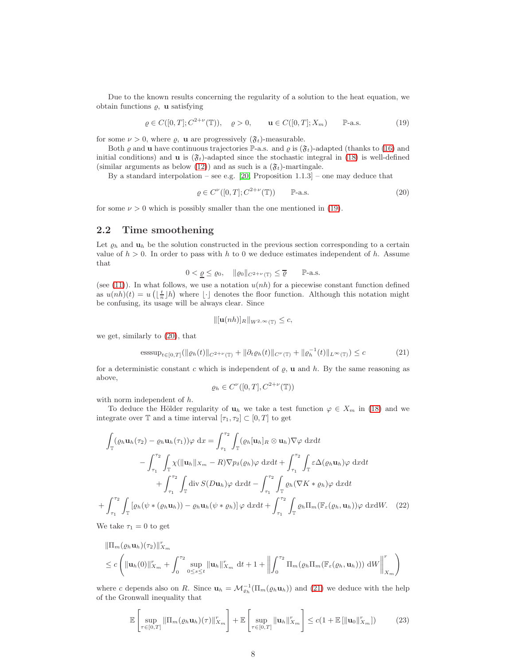Due to the known results concerning the regularity of a solution to the heat equation, we obtain functions  $\rho$ , **u** satisfying

<span id="page-7-0"></span> $\varrho \in C([0, T]; C^{2+\nu}(\mathbb{T})), \quad \varrho > 0, \qquad \mathbf{u} \in C([0, T]; X_m) \qquad \mathbb{P}\text{-a.s.}$  (19)

for some  $\nu > 0$ , where  $\rho$ , **u** are progressively  $(\mathfrak{F}_t)$ -measurable.

Both  $\varrho$  and **u** have continuous trajectories P-a.s. and  $\varrho$  is  $(\mathfrak{F}_t)$ -adapted (thanks to [\(16\)](#page-6-2) and initial conditions) and **u** is  $(\mathfrak{F}_t)$ -adapted since the stochastic integral in [\(18\)](#page-6-3) is well-defined (similar arguments as below [\(12\)](#page-5-0)) and as such is a  $(\mathfrak{F}_t)$ -martingale.

By a standard interpolation – see e.g.  $[20,$  Proposition  $1.1.3]$  – one may deduce that

<span id="page-7-1"></span>
$$
\varrho \in C^{\nu}([0, T]; C^{2+\nu}(\mathbb{T})) \qquad \mathbb{P}\text{-a.s.}
$$
 (20)

for some  $\nu > 0$  which is possibly smaller than the one mentioned in [\(19\)](#page-7-0).

#### <span id="page-7-5"></span>2.2 Time smoothening

Let  $\varrho_h$  and  $\mathbf{u}_h$  be the solution constructed in the previous section corresponding to a certain value of  $h > 0$ . In order to pass with h to 0 we deduce estimates independent of h. Assume that

$$
0<\underline{\varrho}\leq \varrho_0,\quad \|\varrho_0\|_{C^{2+\nu}(\mathbb{T})}\leq \overline{\varrho}\qquad \mathbb{P}\text{-a.s.}
$$

(see [\(11\)](#page-5-1)). In what follows, we use a notation  $u(nh)$  for a piecewise constant function defined as  $u(nh)(t) = u\left(\lfloor \frac{t}{n} \rfloor h\right)$  where  $\lfloor \cdot \rfloor$  denotes the floor function. Although this notation might be confusing, its usage will be always clear. Since

$$
\|[\mathbf{u}(nh)]_R\|_{W^{2,\infty}(\mathbb{T})} \leq c,
$$

we get, similarly to [\(20\)](#page-7-1), that

<span id="page-7-2"></span>esssup<sub>t\in[0,T]</sub>(
$$
\|\varrho_h(t)\|_{C^{2+\nu}(\mathbb{T})} + \|\partial_t \varrho_h(t)\|_{C^{\nu}(\mathbb{T})} + \|\varrho_h^{-1}(t)\|_{L^{\infty}(\mathbb{T})}) \leq c
$$
 (21)

for a deterministic constant c which is independent of  $\rho$ , **u** and  $h$ . By the same reasoning as above,

<span id="page-7-3"></span>
$$
\varrho_h \in C^{\nu}([0,T], C^{2+\nu}(\mathbb{T}))
$$

with norm independent of h.

To deduce the Hölder regularity of  $\mathbf{u}_h$  we take a test function  $\varphi \in X_m$  in [\(18\)](#page-6-3) and we integrate over  $\mathbb T$  and a time interval  $[\tau_1, \tau_2] \subset [0, T]$  to get

$$
\int_{\mathbb{T}} (\varrho_h \mathbf{u}_h(\tau_2) - \varrho_h \mathbf{u}_h(\tau_1)) \varphi \, dx = \int_{\tau_1}^{\tau_2} \int_{\mathbb{T}} (\varrho_h[\mathbf{u}_h]_R \otimes \mathbf{u}_h) \nabla \varphi \, dxdt \n- \int_{\tau_1}^{\tau_2} \int_{\mathbb{T}} \chi(\|\mathbf{u}_h\|_{X_m} - R) \nabla p_\delta(\varrho_h) \varphi \, dxdt + \int_{\tau_1}^{\tau_2} \int_{\mathbb{T}} \varepsilon \Delta(\varrho_h \mathbf{u}_h) \varphi \, dxdt \n+ \int_{\tau_1}^{\tau_2} \int_{\mathbb{T}} \text{div } S(D\mathbf{u}_h) \varphi \, dxdt - \int_{\tau_1}^{\tau_2} \int_{\mathbb{T}} \varrho_h(\nabla K * \varrho_h) \varphi \, dxdt \n+ \int_{\tau_1}^{\tau_2} \int_{\mathbb{T}} [\varrho_h(\psi * (\varrho_h \mathbf{u}_h)) - \varrho_h \mathbf{u}_h(\psi * \varrho_h)] \varphi \, dxdt + \int_{\tau_1}^{\tau_2} \int_{\mathbb{T}} \varrho_h \Pi_m(\mathbb{F}_{\varepsilon}(\varrho_h, \mathbf{u}_h)) \varphi \, dxdt. \tag{22}
$$

We take  $\tau_1 = 0$  to get

$$
\|\Pi_m(\varrho_h \mathbf{u}_h)(\tau_2)\|_{X_m}^r
$$
  
\n
$$
\leq c \left( \|\mathbf{u}_h(0)\|_{X_m}^r + \int_0^{\tau_2} \sup_{0 \leq s \leq t} \|\mathbf{u}_h\|_{X_m}^r dt + 1 + \left\|\int_0^{\tau_2} \Pi_m(\varrho_h \Pi_m(\mathbb{F}_{\varepsilon}(\varrho_h, \mathbf{u}_h))) \, dW \right\|_{X_m}^r \right)
$$

where c depends also on R. Since  $\mathbf{u}_h = \mathcal{M}_{\varrho_h}^{-1}(\Pi_m(\varrho_h \mathbf{u}_h))$  and [\(21\)](#page-7-2) we deduce with the help of the Gronwall inequality that

<span id="page-7-4"></span>
$$
\mathbb{E}\left[\sup_{\tau\in[0,T]}\|\Pi_m(\varrho_h\mathbf{u}_h)(\tau)\|_{X_m}^r\right]+\mathbb{E}\left[\sup_{\tau\in[0,T]}\|\mathbf{u}_h\|_{X_m}^r\right]\leq c(1+\mathbb{E}\left[\|\mathbf{u}_0\|_{X_m}^r\right])\tag{23}
$$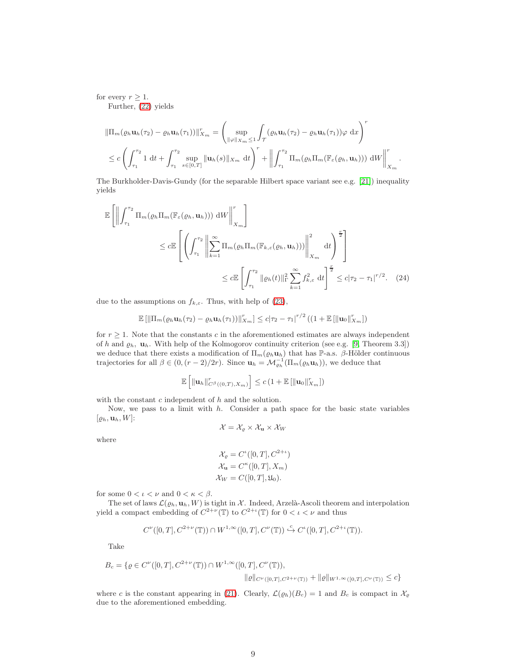for every  $r \geq 1$ .

Further, [\(22\)](#page-7-3) yields

$$
\|\Pi_m(\varrho_h \mathbf{u}_h(\tau_2) - \varrho_h \mathbf{u}_h(\tau_1))\|_{X_m}^r = \left(\sup_{\|\varphi\|_{X_m} \le 1} \int_{\mathcal{T}} (\varrho_h \mathbf{u}_h(\tau_2) - \varrho_h \mathbf{u}_h(\tau_1)) \varphi \,dx\right)^r
$$
  

$$
\le c \left(\int_{\tau_1}^{\tau_2} 1 dt + \int_{\tau_1}^{\tau_2} \sup_{s \in [0,T]} \|\mathbf{u}_h(s)\|_{X_m} dt\right)^r + \left\|\int_{\tau_1}^{\tau_2} \Pi_m(\varrho_h \Pi_m(\mathbb{F}_{\varepsilon}(\varrho_h, \mathbf{u}_h))) \,dW\right\|_{X_m}^r.
$$

The Burkholder-Davis-Gundy (for the separable Hilbert space variant see e.g. [\[21\]](#page-31-8)) inequality yields

$$
\mathbb{E}\left[\left\|\int_{\tau_1}^{\tau_2} \Pi_m(\varrho_h \Pi_m(\mathbb{F}_{\varepsilon}(\varrho_h, \mathbf{u}_h))) \, dW\right\|_{X_m}^r\right]
$$
\n
$$
\leq c \mathbb{E}\left[\left(\int_{\tau_1}^{\tau_2} \left\|\sum_{k=1}^{\infty} \Pi_m(\varrho_h \Pi_m(\mathbb{F}_{k,\varepsilon}(\varrho_h, \mathbf{u}_h)))\right\|_{X_m}^2 \, dt\right)^{\frac{r}{2}}\right]
$$
\n
$$
\leq c \mathbb{E}\left[\int_{\tau_1}^{\tau_2} \|\varrho_h(t)\|_{\Gamma}^2 \sum_{k=1}^{\infty} f_{k,\varepsilon}^2 \, dt\right]^{\frac{r}{2}} \leq c|\tau_2 - \tau_1|^{r/2}.\tag{24}
$$

due to the assumptions on  $f_{k,\varepsilon}$ . Thus, with help of [\(23\)](#page-7-4),

$$
\mathbb{E}\left[\left\|\Pi_m(\varrho_h \mathbf{u}_h(\tau_2) - \varrho_h \mathbf{u}_h(\tau_1))\right\|_{X_m}^r\right] \leq c|\tau_2 - \tau_1|^{r/2} \left(\left(1 + \mathbb{E}\left[\left\|\mathbf{u}_0\right\|_{X_m}^r\right]\right)\right)
$$

for  $r \geq 1$ . Note that the constants c in the aforementioned estimates are always independent of h and  $\varrho_h$ ,  $\mathbf{u}_h$ . With help of the Kolmogorov continuity criterion (see e.g. [\[9,](#page-31-2) Theorem 3.3]) we deduce that there exists a modification of  $\Pi_m(\varrho_h \mathbf{u}_h)$  that has P-a.s.  $\beta$ -Hölder continuous trajectories for all  $\beta \in (0, (r-2)/2r)$ . Since  $\mathbf{u}_h = \mathcal{M}_{\varrho_h}^{-1}(\Pi_m(\varrho_h \mathbf{u}_h))$ , we deduce that

$$
\mathbb{E}\left[\left\|\mathbf{u}_{h}\right\|_{C^{\beta}((0,T),X_m)}^{r}\right] \leq c\left(1+\mathbb{E}\left[\left\|\mathbf{u}_{0}\right\|_{X_m}^{r}\right]\right)
$$

with the constant  $c$  independent of  $h$  and the solution.

Now, we pass to a limit with  $h$ . Consider a path space for the basic state variables  $[\varrho_h, \mathbf{u}_h, W]$ :

<span id="page-8-0"></span>
$$
\mathcal{X} = \mathcal{X}_{\varrho} \times \mathcal{X}_{\mathbf{u}} \times \mathcal{X}_{W}
$$

where

$$
\mathcal{X}_{\varrho} = C^{\iota}([0, T], C^{2+\iota})
$$

$$
\mathcal{X}_{\mathbf{u}} = C^{\kappa}([0, T], X_m)
$$

$$
\mathcal{X}_W = C([0, T], \mathfrak{U}_0).
$$

for some  $0 < \iota < \nu$  and  $0 < \kappa < \beta$ .

The set of laws  $\mathcal{L}(\varrho_h, \mathbf{u}_h, W)$  is tight in X. Indeed, Arzelà-Ascoli theorem and interpolation yield a compact embedding of  $C^{2+\nu}(\mathbb{T})$  to  $C^{2+\iota}(\mathbb{T})$  for  $0 < \iota < \nu$  and thus

$$
C^{\nu}([0,T],C^{2+\nu}(\mathbb{T}))\cap W^{1,\infty}([0,T],C^{\nu}(\mathbb{T}))\stackrel{c}{\hookrightarrow} C^{\iota}([0,T],C^{2+\iota}(\mathbb{T})).
$$

Take

$$
B_c = \{ \varrho \in C^{\nu}([0, T], C^{2+\nu}(\mathbb{T})) \cap W^{1, \infty}([0, T], C^{\nu}(\mathbb{T})), \|\varrho\|_{C^{\nu}([0, T], C^{2+\nu}(\mathbb{T}))} + \|\varrho\|_{W^{1, \infty}([0, T], C^{\nu}(\mathbb{T}))} \le c \}
$$

where c is the constant appearing in [\(21\)](#page-7-2). Clearly,  $\mathcal{L}(\varrho_h)(B_c) = 1$  and  $B_c$  is compact in  $\mathcal{X}_{\varrho}$ due to the aforementioned embedding.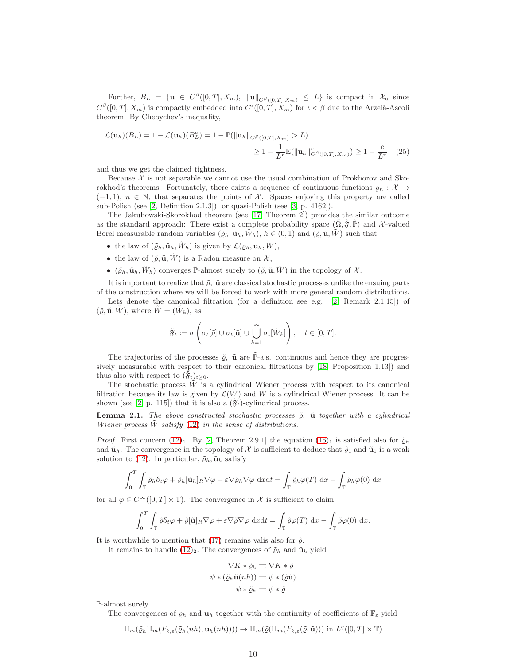Further,  $B_L = \{ \mathbf{u} \in C^{\beta}([0,T],X_m), \|\mathbf{u}\|_{C^{\beta}([0,T],X_m)} \leq L \}$  is compact in  $\mathcal{X}_{\mathbf{u}}$  since  $C^{\beta}([0,T], X_m)$  is compactly embedded into  $C^{\iota}([0,T], X_m)$  for  $\iota < \beta$  due to the Arzelà-Ascoli theorem. By Chebychev's inequality,

$$
\mathcal{L}(\mathbf{u}_h)(B_L) = 1 - \mathcal{L}(\mathbf{u}_h)(B_L^c) = 1 - \mathbb{P}(\|\mathbf{u}_h\|_{C^\beta([0,T],X_m)} > L)
$$
  
\n
$$
\geq 1 - \frac{1}{L^r}\mathbb{E}(\|\mathbf{u}_h\|_{C^\beta([0,T],X_m)}^r) \geq 1 - \frac{c}{L^r}
$$
 (25)

and thus we get the claimed tightness.

Because  $\mathcal X$  is not separable we cannot use the usual combination of Prokhorov and Skorokhod's theorems. Fortunately, there exists a sequence of continuous functions  $q_n : \mathcal{X} \to$  $(-1, 1), n \in \mathbb{N}$ , that separates the points of X. Spaces enjoying this property are called sub-Polish (see [\[2,](#page-30-4) Definition 2.1.3]), or quasi-Polish (see [\[3,](#page-30-7) p. 4162]).

The Jakubowski-Skorokhod theorem (see [\[17,](#page-31-9) Theorem 2]) provides the similar outcome as the standard approach: There exist a complete probability space  $(\Omega, \mathfrak{F}, \mathbb{P})$  and X-valued Borel measurable random variables  $(\tilde{\varrho}_h, \tilde{\mathbf{u}}_h, \tilde{W}_h), h \in (0, 1)$  and  $(\tilde{\varrho}, \tilde{\mathbf{u}}, \tilde{W})$  such that

- the law of  $(\tilde{\varrho}_h, \tilde{\mathbf{u}}_h, \tilde{W}_h)$  is given by  $\mathcal{L}(\varrho_h, \mathbf{u}_h, W)$ ,
- the law of  $(\tilde{\varrho}, \tilde{\mathbf{u}}, \tilde{W})$  is a Radon measure on  $\mathcal{X},$
- $(\tilde{\varrho}_h, \tilde{\mathbf{u}}_h, \tilde{W}_h)$  converges  $\tilde{\mathbb{P}}$ -almost surely to  $(\tilde{\varrho}, \tilde{\mathbf{u}}, \tilde{W})$  in the topology of X.

It is important to realize that  $\tilde{\rho}$ ,  $\tilde{\mathbf{u}}$  are classical stochastic processes unlike the ensuing parts of the construction where we will be forced to work with more general random distributions.

Lets denote the canonical filtration (for a definition see e.g. [\[2,](#page-30-4) Remark 2.1.15]) of  $(\tilde{\varrho}, \tilde{\mathbf{u}}, \tilde{W})$ , where  $\tilde{W} = (\tilde{W}_k)$ , as

<span id="page-9-0"></span>
$$
\tilde{\mathfrak{F}}_t := \sigma \left( \sigma_t[\tilde{\varrho}] \cup \sigma_t[\tilde{\mathbf{u}}] \cup \bigcup_{k=1}^{\infty} \sigma_t[\tilde{W}_k] \right), \quad t \in [0, T].
$$

The trajectories of the processes  $\tilde{\varrho}$ ,  $\tilde{u}$  are  $\tilde{\mathbb{P}}$ -a.s. continuous and hence they are progressively measurable with respect to their canonical filtrations by [\[18,](#page-31-4) Proposition 1.13]) and thus also with respect to  $(\mathfrak{F}_t)_{t\geq0}$ .

The stochastic process  $W$  is a cylindrical Wiener process with respect to its canonical filtration because its law is given by  $\mathcal{L}(W)$  and W is a cylindrical Wiener process. It can be shown (see [\[2,](#page-30-4) p. 115]) that it is also a  $(\mathfrak{F}_t)$ -cylindrical process.

**Lemma 2.1.** The above constructed stochastic processes  $\tilde{\varrho}$ ,  $\tilde{\mathbf{u}}$  together with a cylindrical Wiener process  $\hat{W}$  satisfy [\(12\)](#page-5-0) in the sense of distributions.

*Proof.* First concern [\(12\)](#page-5-0)<sub>1</sub>. By [\[2,](#page-30-4) Theorem 2.9.1] the equation [\(16\)](#page-6-2)<sub>1</sub> is satisfied also for  $\tilde{\varrho}_h$ and  $\tilde{\mathbf{u}}_h$ . The convergence in the topology of X is sufficient to deduce that  $\tilde{\varrho}_1$  and  $\tilde{\mathbf{u}}_1$  is a weak solution to [\(12\)](#page-5-0). In particular,  $\tilde{\varrho}_h$ ,  $\tilde{\mathbf{u}}_h$  satisfy

$$
\int_0^T \int_{\mathbb{T}} \tilde{\varrho}_h \partial_t \varphi + \tilde{\varrho}_h[\tilde{\mathbf{u}}_h]_R \nabla \varphi + \varepsilon \nabla \tilde{\varrho}_h \nabla \varphi \, \mathrm{d}x \mathrm{d}t = \int_{\mathbb{T}} \tilde{\varrho}_h \varphi(T) \, \mathrm{d}x - \int_{\mathbb{T}} \tilde{\varrho}_h \varphi(0) \, \mathrm{d}x
$$

for all  $\varphi \in C^{\infty}([0, T] \times \mathbb{T})$ . The convergence in X is sufficient to claim

$$
\int_0^T \int_{\mathbb{T}} \tilde{\varrho} \partial_t \varphi + \tilde{\varrho}[\tilde{\mathbf{u}}]_R \nabla \varphi + \varepsilon \nabla \tilde{\varrho} \nabla \varphi \, dx dt = \int_{\mathbb{T}} \tilde{\varrho} \varphi(T) \, dx - \int_{\mathbb{T}} \tilde{\varrho} \varphi(0) \, dx.
$$

It is worthwhile to mention that  $(17)$  remains valis also for  $\tilde{\rho}$ .

It remains to handle [\(12\)](#page-5-0)<sub>2</sub>. The convergences of  $\tilde{\varrho}_h$  and  $\tilde{\mathbf{u}}_h$  yield

$$
\nabla K * \tilde{\varrho}_h \rightrightarrows \nabla K * \tilde{\varrho}
$$

$$
\psi * (\tilde{\varrho}_h \tilde{\mathbf{u}}(nh)) \rightrightarrows \psi * (\tilde{\varrho} \tilde{\mathbf{u}})
$$

$$
\psi * \tilde{\varrho}_h \rightrightarrows \psi * \tilde{\varrho}
$$

P-almost surely.

The convergences of  $\varrho_h$  and  $\mathbf{u}_h$  together with the continuity of coefficients of  $\mathbb{F}_{\varepsilon}$  yield

$$
\Pi_m(\tilde{\varrho}_h\Pi_m(F_{k,\varepsilon}(\tilde{\varrho}_h(nh),\mathbf{u}_h(nh)))) \to \Pi_m(\tilde{\varrho}(\Pi_m(F_{k,\varepsilon}(\tilde{\varrho},\tilde{\mathbf{u}}))) \text{ in } L^q([0,T] \times \mathbb{T})
$$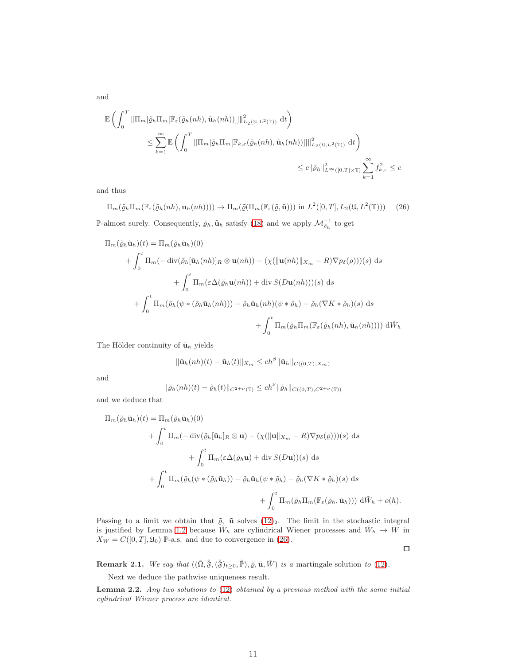and

$$
\mathbb{E}\left(\int_{0}^{T} \|\Pi_{m}[\tilde{\varrho}_{h}\Pi_{m}[\mathbb{F}_{\varepsilon}(\tilde{\varrho}_{h}(nh), \tilde{\mathbf{u}}_{h}(nh))]]\|_{L_{2}(\mathfrak{U}, L^{2}(\mathbb{T}))}^{2} dt\right)
$$
\n
$$
\leq \sum_{k=1}^{\infty} \mathbb{E}\left(\int_{0}^{T} \|\Pi_{m}[\tilde{\varrho}_{h}\Pi_{m}[\mathbb{F}_{k,\varepsilon}(\tilde{\varrho}_{h}(nh), \tilde{\mathbf{u}}_{h}(nh))]]\|_{L_{2}(\mathfrak{U}, L^{2}(\mathbb{T}))}^{2} dt\right)
$$
\n
$$
\leq c \|\tilde{\varrho}_{h}\|_{L^{\infty}([0, T] \times \mathbb{T})}^{2} \sum_{k=1}^{\infty} f_{k,\varepsilon}^{2} \leq c
$$

and thus

<span id="page-10-0"></span> $\Pi_m(\tilde{\varrho}_h\Pi_m(\mathbb{F}_{\varepsilon}(\tilde{\varrho}_h(nh), \mathbf{u}_h(nh)))) \rightarrow \Pi_m(\tilde{\varrho}(\Pi_m(\mathbb{F}_{\varepsilon}(\tilde{\varrho}, \tilde{\mathbf{u}}))) \text{ in } L^2([0, T], L_2(\mathfrak{U}, L^2(\mathbb{T})))$  (26) P-almost surely. Consequently,  $\tilde{\varrho}_h$ ,  $\tilde{\mathbf{u}}_h$  satisfy [\(18\)](#page-6-3) and we apply  $\mathcal{M}_{\tilde{\varrho}_h}^{-1}$  to get

$$
\Pi_m(\tilde{\varrho}_h \tilde{\mathbf{u}}_h)(t) = \Pi_m(\tilde{\varrho}_h \tilde{\mathbf{u}}_h)(0)
$$
  
+  $\int_0^t \Pi_m(-\operatorname{div}(\tilde{\varrho}_h[\tilde{\mathbf{u}}_h(nh)]_R \otimes \mathbf{u}(nh)) - (\chi(\|\mathbf{u}(nh)\|_{X_m} - R)\nabla p_\delta(\varrho)))(s) ds$   
+  $\int_0^t \Pi_m(\varepsilon \Delta(\tilde{\varrho}_h \mathbf{u}(nh)) + \operatorname{div} S(D\mathbf{u}(nh)))(s) ds$   
+  $\int_0^t \Pi_m(\tilde{\varrho}_h(\psi * (\tilde{\varrho}_h \tilde{\mathbf{u}}_h(nh))) - \tilde{\varrho}_h \tilde{\mathbf{u}}_h(nh)(\psi * \tilde{\varrho}_h) - \tilde{\varrho}_h(\nabla K * \tilde{\varrho}_h)(s) ds$   
+  $\int_0^t \Pi_m(\tilde{\varrho}_h \Pi_m(\mathbb{F}_\varepsilon(\tilde{\varrho}_h(nh), \tilde{\mathbf{u}}_h(nh)))) d\tilde{W}_h$ 

The Hölder continuity of  $\tilde{\mathbf{u}}_h$  yields

$$
\|\tilde{\mathbf{u}}_h(nh)(t)-\tilde{\mathbf{u}}_h(t)\|_{X_m} \le ch^{\beta} \|\tilde{\mathbf{u}}_h\|_{C((0,T),X_m)}
$$

and

$$
\|\tilde{\varrho}_h(nh)(t)-\tilde{\varrho}_h(t)\|_{C^{2+\nu}(\mathbb{T})}\leq ch^{\nu}\|\tilde{\varrho}_h\|_{C((0,T),C^{2+\nu}(\mathbb{T}))}
$$

and we deduce that

$$
\Pi_m(\tilde{\varrho}_h \tilde{\mathbf{u}}_h)(t) = \Pi_m(\tilde{\varrho}_h \tilde{\mathbf{u}}_h)(0)
$$
  
+  $\int_0^t \Pi_m(-\operatorname{div}(\tilde{\varrho}_h[\tilde{\mathbf{u}}_h]_R \otimes \mathbf{u}) - (\chi(\|\mathbf{u}\|_{X_m} - R)\nabla p_\delta(\varrho)))(s) ds$   
+  $\int_0^t \Pi_m(\varepsilon\Delta(\tilde{\varrho}_h\mathbf{u}) + \operatorname{div} S(D\mathbf{u}))(s) ds$   
+  $\int_0^t \Pi_m(\tilde{\varrho}_h(\psi * (\tilde{\varrho}_h \tilde{\mathbf{u}}_h)) - \tilde{\varrho}_h \tilde{\mathbf{u}}_h(\psi * \tilde{\varrho}_h) - \tilde{\varrho}_h(\nabla K * \tilde{\varrho}_h)(s) ds$   
+  $\int_0^t \Pi_m(\tilde{\varrho}_h \Pi_m(\mathbb{F}_{\varepsilon}(\tilde{\varrho}_h, \tilde{\mathbf{u}}_h))) d\tilde{W}_h + o(h).$ 

Passing to a limit we obtain that  $\tilde{\varrho}_z$   $\tilde{\mathbf{u}}$  solves  $(12)_2$ . The limit in the stochastic integral is justified by Lemma [1.2](#page-2-1) because  $\tilde{W}_h$  are cylindrical Wiener processes and  $\tilde{W}_h \to \tilde{W}$  in  $X_W = C([0, T], \mathfrak{U}_0)$  P-a.s. and due to convergence in [\(26\)](#page-10-0).  $\Box$ 

Remark 2.1. We say that  $((\tilde{\Omega}, \tilde{\mathfrak{F}}, (\tilde{\mathfrak{F}})_{t\geq0}, \tilde{\mathbb{P}}), \tilde{\varrho}, \tilde{\mathfrak{u}}, \tilde{W})$  is a martingale solution to [\(12\)](#page-5-0).

Next we deduce the pathwise uniqueness result.

<span id="page-10-1"></span>**Lemma 2.2.** Any two solutions to  $(12)$  obtained by a previous method with the same initial cylindrical Wiener process are identical.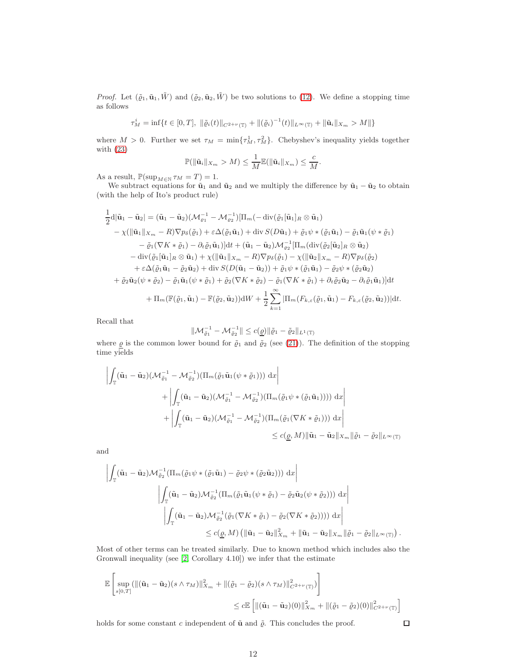*Proof.* Let  $(\tilde{\varrho}_1, \tilde{\mathbf{u}}_1, \tilde{W})$  and  $(\tilde{\varrho}_2, \tilde{\mathbf{u}}_2, \tilde{W})$  be two solutions to [\(12\)](#page-5-0). We define a stopping time as follows

$$
\tau_M^i = \inf \{ t \in [0, T], \, \|\tilde{\varrho}_i(t)\|_{C^{2+\nu}(\mathbb{T})} + \|(\tilde{\varrho}_i)^{-1}(t)\|_{L^{\infty}(\mathbb{T})} + \|\tilde{\mathbf{u}}_i\|_{X_m} > M \|\}
$$

where  $M > 0$ . Further we set  $\tau_M = \min\{\tau_M^1, \tau_M^2\}$ . Chebyshev's inequality yields together with [\(23\)](#page-7-4)

$$
\mathbb{P}(\|\tilde{\mathbf{u}}_i\|_{X_m} > M) \leq \frac{1}{M} \mathbb{E}(\|\tilde{\mathbf{u}}_i\|_{X_m}) \leq \frac{c}{M}.
$$

As a result,  $\mathbb{P}(\sup_{M\in\mathbb{N}}\tau_M=T)=1.$ 

We subtract equations for  $\tilde{u}_1$  and  $\tilde{u}_2$  and we multiply the difference by  $\tilde{u}_1 - \tilde{u}_2$  to obtain (with the help of Ito's product rule)

$$
\frac{1}{2}d|\tilde{\mathbf{u}}_1 - \tilde{\mathbf{u}}_2| = (\tilde{\mathbf{u}}_1 - \tilde{\mathbf{u}}_2)(\mathcal{M}_{\varrho_1}^{-1} - \mathcal{M}_{\varrho_2}^{-1})[\Pi_m(-\operatorname{div}(\tilde{\varrho}_1[\tilde{\mathbf{u}}_1]_R \otimes \tilde{\mathbf{u}}_1))\n- \chi(||\tilde{\mathbf{u}}_1||_{X_m} - R)\nabla p_\delta(\tilde{\varrho}_1) + \varepsilon \Delta(\tilde{\varrho}_1 \tilde{\mathbf{u}}_1) + \operatorname{div} S(D\tilde{\mathbf{u}}_1) + \tilde{\varrho}_1 \psi * (\tilde{\varrho}_1 \tilde{\mathbf{u}}_1) - \tilde{\varrho}_1 \tilde{\mathbf{u}}_1(\psi * \tilde{\varrho}_1)\n- \tilde{\varrho}_1(\nabla K * \tilde{\varrho}_1) - \partial_t \tilde{\varrho}_1 \tilde{\mathbf{u}}_1)]dt + (\tilde{\mathbf{u}}_1 - \tilde{\mathbf{u}}_2)\mathcal{M}_{\varrho_2}^{-1}[\Pi_m(\operatorname{div}(\tilde{\varrho}_2[\tilde{\mathbf{u}}_2]_R \otimes \tilde{\mathbf{u}}_2)\n- \operatorname{div}(\tilde{\varrho}_1[\tilde{\mathbf{u}}_1]_R \otimes \tilde{\mathbf{u}}_1) + \chi(||\tilde{\mathbf{u}}_1||_{X_m} - R)\nabla p_\delta(\tilde{\varrho}_1) - \chi(||\tilde{\mathbf{u}}_2||_{X_m} - R)\nabla p_\delta(\tilde{\varrho}_2)\n+ \varepsilon \Delta(\tilde{\varrho}_1 \tilde{\mathbf{u}}_1 - \tilde{\varrho}_2 \tilde{\mathbf{u}}_2) + \operatorname{div} S(D(\tilde{\mathbf{u}}_1 - \tilde{\mathbf{u}}_2)) + \tilde{\varrho}_1 \psi * (\tilde{\varrho}_1 \tilde{\mathbf{u}}_1) - \tilde{\varrho}_2 \psi * (\tilde{\varrho}_2 \tilde{\mathbf{u}}_2)\n+ \tilde{\varrho}_2 \tilde{\mathbf{u}}_2(\psi * \tilde{\varrho}_2) - \tilde{\varrho}_1 \tilde{\mathbf{u}}_1(\psi * \tilde{\varrho
$$

Recall that

$$
\|\mathcal{M}_{\tilde{\varrho}_1}^{-1} - \mathcal{M}_{\tilde{\varrho}_2}^{-1}\| \le c(\underline{\varrho}) \|\tilde{\varrho}_1 - \tilde{\varrho}_2\|_{L^1(\mathbb{T})}
$$

where  $\mathbf{\underline{\varrho}}$  is the common lower bound for  $\tilde{\varrho}_1$  and  $\tilde{\varrho}_2$  (see [\(21\)](#page-7-2)). The definition of the stopping time yields

$$
\left| \int_{\mathbb{T}} (\tilde{\mathbf{u}}_1 - \tilde{\mathbf{u}}_2) (\mathcal{M}_{\tilde{\varrho}_1}^{-1} - \mathcal{M}_{\tilde{\varrho}_2}^{-1}) (\Pi_m(\tilde{\varrho}_1 \tilde{\mathbf{u}}_1(\psi * \tilde{\varrho}_1))) \, dx \right|
$$
  
+ 
$$
\left| \int_{\mathbb{T}} (\tilde{\mathbf{u}}_1 - \tilde{\mathbf{u}}_2) (\mathcal{M}_{\tilde{\varrho}_1}^{-1} - \mathcal{M}_{\tilde{\varrho}_2}^{-1}) (\Pi_m(\tilde{\varrho}_1 \psi * (\tilde{\varrho}_1 \tilde{\mathbf{u}}_1)))) \, dx \right|
$$
  
+ 
$$
\left| \int_{\mathbb{T}} (\tilde{\mathbf{u}}_1 - \tilde{\mathbf{u}}_2) (\mathcal{M}_{\tilde{\varrho}_1}^{-1} - \mathcal{M}_{\tilde{\varrho}_2}^{-1}) (\Pi_m(\tilde{\varrho}_1(\nabla K * \tilde{\varrho}_1))) \, dx \right|
$$
  

$$
\leq c(\underline{\varrho}, M) \|\tilde{\mathbf{u}}_1 - \tilde{\mathbf{u}}_2\|_{X_m} \|\tilde{\varrho}_1 - \tilde{\varrho}_2\|_{L^{\infty}(\mathbb{T})}
$$

and

$$
\left| \int_{\mathbb{T}} (\tilde{\mathbf{u}}_1 - \tilde{\mathbf{u}}_2) \mathcal{M}_{\tilde{\varrho}_2}^{-1} (\Pi_m(\tilde{\varrho}_1 \psi * (\tilde{\varrho}_1 \tilde{\mathbf{u}}_1) - \tilde{\varrho}_2 \psi * (\tilde{\varrho}_2 \tilde{\mathbf{u}}_2))) \, dx \right|
$$
  

$$
\left| \int_{\mathbb{T}} (\tilde{\mathbf{u}}_1 - \tilde{\mathbf{u}}_2) \mathcal{M}_{\tilde{\varrho}_2}^{-1} (\Pi_m(\tilde{\varrho}_1 \tilde{\mathbf{u}}_1(\psi * \tilde{\varrho}_1) - \tilde{\varrho}_2 \tilde{\mathbf{u}}_2(\psi * \tilde{\varrho}_2))) \, dx \right|
$$
  

$$
\left| \int_{\mathbb{T}} (\tilde{\mathbf{u}}_1 - \tilde{\mathbf{u}}_2) \mathcal{M}_{\tilde{\varrho}_2}^{-1} (\tilde{\varrho}_1(\nabla K * \tilde{\varrho}_1) - \tilde{\varrho}_2(\nabla K * \tilde{\varrho}_2)))) \, dx \right|
$$
  

$$
\leq c(\underline{\varrho}, M) \left( \| \tilde{\mathbf{u}}_1 - \tilde{\mathbf{u}}_2 \|_{X_m}^2 + \| \tilde{\mathbf{u}}_1 - \tilde{\mathbf{u}}_2 \|_{X_m} \| \tilde{\varrho}_1 - \tilde{\varrho}_2 \|_{L^{\infty}(\mathbb{T})} \right).
$$

Most of other terms can be treated similarly. Due to known method which includes also the Gronwall inequality (see [\[2,](#page-30-4) Corollary 4.10]) we infer that the estimate

$$
\mathbb{E}\left[\sup_{s[0,T]}(\|(\tilde{\mathbf{u}}_1 - \tilde{\mathbf{u}}_2)(s \wedge \tau_M)\|_{X_m}^2 + \|(\tilde{\varrho}_1 - \tilde{\varrho}_2)(s \wedge \tau_M)\|_{C^{2+\nu}(\mathbb{T})}^2)\right] \leq c \mathbb{E}\left[\|(\tilde{\mathbf{u}}_1 - \tilde{\mathbf{u}}_2)(0)\|_{X_m}^2 + \|(\tilde{\varrho}_1 - \tilde{\varrho}_2)(0)\|_{C^{2+\nu}(\mathbb{T})}^2\right]
$$

holds for some constant  $c$  independent of  $\tilde{\mathbf{u}}$  and  $\tilde{\varrho}$ . This concludes the proof.

 $\Box$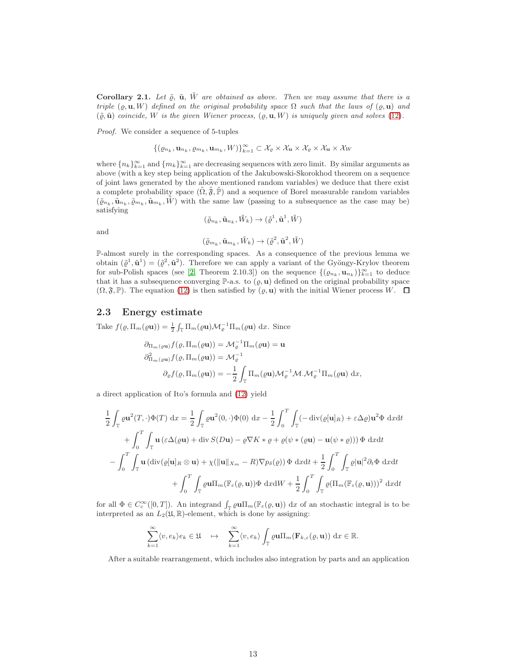<span id="page-12-0"></span>Corollary 2.1. Let  $\tilde{\varrho}$ ,  $\tilde{\mathbf{u}}$ ,  $\tilde{W}$  are obtained as above. Then we may assume that there is a triple  $(\varrho, \mathbf{u}, W)$  defined on the original probability space  $\Omega$  such that the laws of  $(\varrho, \mathbf{u})$  and  $(\tilde{\varrho}, \tilde{\mathbf{u}})$  coincide, W is the given Wiener process,  $(\varrho, \mathbf{u}, W)$  is uniquely given and solves [\(12\)](#page-5-0).

Proof. We consider a sequence of 5-tuples

$$
\{(\varrho_{n_k}, \mathbf{u}_{n_k}, \varrho_{m_k}, \mathbf{u}_{m_k}, W)\}_{k=1}^{\infty} \subset \mathcal{X}_{\varrho} \times \mathcal{X}_{\mathbf{u}} \times \mathcal{X}_{\varrho} \times \mathcal{X}_{\mathbf{u}} \times \mathcal{X}_{W}
$$

where  $\{n_k\}_{k=1}^{\infty}$  and  $\{m_k\}_{k=1}^{\infty}$  are decreasing sequences with zero limit. By similar arguments as above (with a key step being application of the Jakubowski-Skorokhod theorem on a sequence of joint laws generated by the above mentioned random variables) we deduce that there exist a complete probability space  $(\tilde{\Omega}, \tilde{\mathfrak{F}}, \tilde{\mathbb{P}})$  and a sequence of Borel measurable random variables  $(\tilde{\varrho}_{n_k}, \tilde{\mathbf{u}}_{n_k}, \tilde{\varrho}_{m_k}, \tilde{\mathbf{u}}_{n_k}, \tilde{W})$  with the same law (passing to a subsequence as the case may be) satisfying

and

$$
(\tilde{\varrho}_{m_k},\tilde{\mathbf{u}}_{m_k},\tilde{W}_k)\rightarrow(\tilde{\varrho}^2,\tilde{\mathbf{u}}^2,\tilde{W})
$$

 $(\tilde{\varrho}_{n_k}, \tilde{\mathbf{u}}_{n_k}, \tilde{W}_k) \rightarrow (\tilde{\varrho}^1, \tilde{\mathbf{u}}^1, \tilde{W})$ 

P-almost surely in the corresponding spaces. As a consequence of the previous lemma we obtain  $(\tilde{\varrho}^1, \tilde{\mathbf{u}}^1) = (\tilde{\varrho}^2, \tilde{\mathbf{u}}^2)$ . Therefore we can apply a variant of the Gyöngy-Krylov theorem for sub-Polish spaces (see [\[2,](#page-30-4) Theorem 2.10.3]) on the sequence  $\{(\varrho_{n_k}, \mathbf{u}_{n_k})\}_{k=1}^{\infty}$  to deduce that it has a subsequence converging  $\mathbb{P}\text{-a.s.}$  to  $(\varrho, \mathbf{u})$  defined on the original probability space  $(\Omega, \mathfrak{F}, \mathbb{P})$ . The equation [\(12\)](#page-5-0) is then satisfied by  $(\rho, \mathbf{u})$  with the initial Wiener process W.  $\Box$ 

#### 2.3 Energy estimate

Take  $f(\varrho, \Pi_m(\varrho \mathbf{u})) = \frac{1}{2} \int_{\mathbb{T}} \Pi_m(\varrho \mathbf{u}) \mathcal{M}_\varrho^{-1} \Pi_m(\varrho \mathbf{u}) dx$ . Since

$$
\partial_{\Pi_m(\varrho \mathbf{u})} f(\varrho, \Pi_m(\varrho \mathbf{u})) = \mathcal{M}_{\varrho}^{-1} \Pi_m(\varrho \mathbf{u}) = \mathbf{u}
$$
  

$$
\partial_{\Pi_m(\varrho \mathbf{u})}^2 f(\varrho, \Pi_m(\varrho \mathbf{u})) = \mathcal{M}_{\varrho}^{-1}
$$
  

$$
\partial_{\varrho} f(\varrho, \Pi_m(\varrho \mathbf{u})) = -\frac{1}{2} \int_{\mathbb{T}} \Pi_m(\varrho \mathbf{u}) \mathcal{M}_{\varrho}^{-1} \mathcal{M} \mathcal{M}_{\varrho}^{-1} \Pi_m(\varrho \mathbf{u}) \, \mathrm{d}x,
$$

a direct application of Ito's formula and [\(12\)](#page-5-0) yield

$$
\frac{1}{2} \int_{\mathbb{T}} \varrho \mathbf{u}^{2}(T, \cdot) \Phi(T) \, dx = \frac{1}{2} \int_{\mathbb{T}} \varrho \mathbf{u}^{2}(0, \cdot) \Phi(0) \, dx - \frac{1}{2} \int_{0}^{T} \int_{\mathbb{T}} (-\operatorname{div}(\varrho[\mathbf{u}]_{R}) + \varepsilon \Delta \varrho) \mathbf{u}^{2} \Phi \, dxdt
$$

$$
+ \int_{0}^{T} \int_{\mathbb{T}} \mathbf{u} (\varepsilon \Delta(\varrho \mathbf{u}) + \operatorname{div} S(D\mathbf{u}) - \varrho \nabla K * \varrho + \varrho(\psi * (\varrho \mathbf{u}) - \mathbf{u}(\psi * \varrho))) \Phi \, dxdt
$$

$$
- \int_{0}^{T} \int_{\mathbb{T}} \mathbf{u} (\operatorname{div}(\varrho[\mathbf{u}]_{R} \otimes \mathbf{u}) + \chi(||\mathbf{u}||_{X_{m}} - R) \nabla p_{\delta}(\varrho)) \Phi \, dxdt + \frac{1}{2} \int_{0}^{T} \int_{\mathbb{T}} \varrho |\mathbf{u}|^{2} \partial_{t} \Phi \, dxdt
$$

$$
+ \int_{0}^{T} \int_{\mathbb{T}} \varrho \mathbf{u} \Pi_{m} (\mathbb{F}_{\varepsilon}(\varrho, \mathbf{u})) \Phi \, dxdW + \frac{1}{2} \int_{0}^{T} \int_{\mathbb{T}} \varrho (\Pi_{m} (\mathbb{F}_{\varepsilon}(\varrho, \mathbf{u})))^{2} \, dxdt
$$

for all  $\Phi \in C_c^{\infty}([0,T])$ . An integrand  $\int_{\mathbb{T}} \rho \mathbf{u} \Pi_m(\mathbb{F}_{\varepsilon}(\varrho, \mathbf{u})) dx$  of an stochastic integral is to be interpreted as an  $L_2(\mathfrak{U}, \mathbb{R})$ -element, which is done by assigning:

$$
\sum_{k=1}^{\infty} \langle v, e_k \rangle e_k \in \mathfrak{U} \quad \mapsto \quad \sum_{k=1}^{\infty} \langle v, e_k \rangle \int_{\mathbb{T}} \varrho \mathbf{u} \Pi_m(\mathbf{F}_{k,\varepsilon}(\varrho, \mathbf{u})) \, \mathrm{d}x \in \mathbb{R}.
$$

After a suitable rearrangement, which includes also integration by parts and an application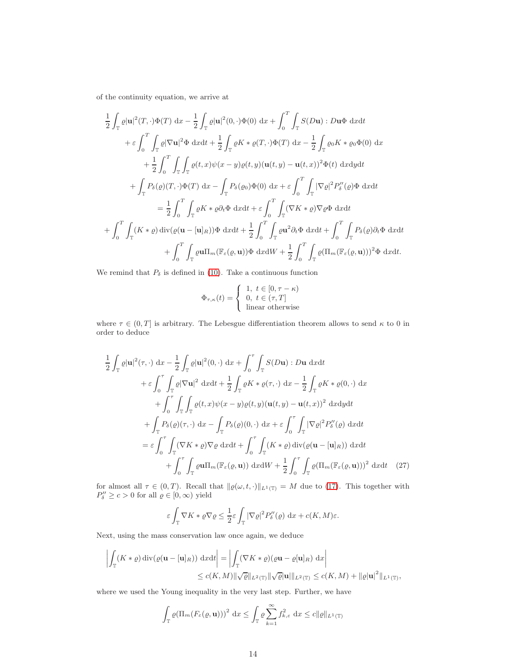of the continuity equation, we arrive at

$$
\frac{1}{2}\int_{\mathbb{T}}\varrho|\mathbf{u}|^{2}(T,\cdot)\Phi(T) dx - \frac{1}{2}\int_{\mathbb{T}}\varrho|\mathbf{u}|^{2}(0,\cdot)\Phi(0) dx + \int_{0}^{T}\int_{\mathbb{T}}S(D\mathbf{u}):D\mathbf{u}\Phi dxdt \n+ \varepsilon\int_{0}^{T}\int_{\mathbb{T}}\varrho|\nabla\mathbf{u}|^{2}\Phi dxdt + \frac{1}{2}\int_{\mathbb{T}}\varrho K * \varrho(T,\cdot)\Phi(T) dx - \frac{1}{2}\int_{\mathbb{T}}\varrho_{0}K * \varrho_{0}\Phi(0) dx \n+ \frac{1}{2}\int_{0}^{T}\int_{\mathbb{T}}\int_{\mathbb{T}}\varrho(t,x)\psi(x-y)\varrho(t,y)(\mathbf{u}(t,y) - \mathbf{u}(t,x))^{2}\Phi(t) dxdydt \n+ \int_{\mathbb{T}}P_{\delta}(\varrho)(T,\cdot)\Phi(T) dx - \int_{\mathbb{T}}P_{\delta}(\varrho_{0})\Phi(0) dx + \varepsilon\int_{0}^{T}\int_{\mathbb{T}}|\nabla\varrho|^{2}P_{\delta}''(\varrho)\Phi dxdt \n= \frac{1}{2}\int_{0}^{T}\int_{\mathbb{T}}\varrho K * \varrho \partial_{t}\Phi dxdt + \varepsilon\int_{0}^{T}\int_{\mathbb{T}}(\nabla K * \varrho)\nabla\varrho\Phi dxdt \n+ \int_{0}^{T}\int_{\mathbb{T}}(K * \varrho) \operatorname{div}(\varrho(\mathbf{u}-[\mathbf{u}]_{R}))\Phi dxdt + \frac{1}{2}\int_{0}^{T}\int_{\mathbb{T}}\varrho\mathbf{u}^{2}\partial_{t}\Phi dxdt + \int_{0}^{T}\int_{\mathbb{T}}P_{\delta}(\varrho)\partial_{t}\Phi dxdt \n+ \int_{0}^{T}\int_{\mathbb{T}}\varrho\mathbf{u}\Pi_{m}(\mathbb{F}_{\varepsilon}(\varrho,\mathbf{u}))\Phi dxdW + \frac{1}{2}\int_{0}^{T}\int_{\mathbb{T}}\varrho(\Pi_{m}(\mathbb{F}_{\varepsilon}(\varrho,\mathbf{u})))^{2}\Phi dxdt.
$$

We remind that  $P_\delta$  is defined in [\(10\)](#page-5-2). Take a continuous function

$$
\Phi_{\tau,\kappa}(t) = \begin{cases} 1, \ t \in [0,\tau-\kappa) \\ 0, \ t \in (\tau,T] \\ \text{linear otherwise} \end{cases}
$$

where  $\tau \in (0, T]$  is arbitrary. The Lebesgue differentiation theorem allows to send  $\kappa$  to 0 in order to deduce

$$
\frac{1}{2} \int_{\mathbb{T}} \varrho |\mathbf{u}|^{2}(\tau, \cdot) \, dx - \frac{1}{2} \int_{\mathbb{T}} \varrho |\mathbf{u}|^{2}(0, \cdot) \, dx + \int_{0}^{\tau} \int_{\mathbb{T}} S(D\mathbf{u}) : D\mathbf{u} \, dx dt \n+ \varepsilon \int_{0}^{\tau} \int_{\mathbb{T}} \varrho |\nabla \mathbf{u}|^{2} \, dx dt + \frac{1}{2} \int_{\mathbb{T}} \varrho K * \varrho(\tau, \cdot) \, dx - \frac{1}{2} \int_{\mathbb{T}} \varrho K * \varrho(0, \cdot) \, dx \n+ \int_{0}^{\tau} \int_{\mathbb{T}} \int_{\mathbb{T}} \varrho(t, x) \psi(x - y) \varrho(t, y) (\mathbf{u}(t, y) - \mathbf{u}(t, x))^{2} \, dx dy dt \n+ \int_{\mathbb{T}} P_{\delta}(\varrho)(\tau, \cdot) \, dx - \int_{\mathbb{T}} P_{\delta}(\varrho)(0, \cdot) \, dx + \varepsilon \int_{0}^{\tau} \int_{\mathbb{T}} |\nabla \varrho|^{2} P_{\delta}''(\varrho) \, dx dt \n= \varepsilon \int_{0}^{\tau} \int_{\mathbb{T}} (\nabla K * \varrho) \nabla \varrho \, dx dt + \int_{0}^{\tau} \int_{\mathbb{T}} (K * \varrho) \operatorname{div}(\varrho(\mathbf{u} - [\mathbf{u}]_{R})) \, dx dt \n+ \int_{0}^{\tau} \int_{\mathbb{T}} \varrho \mathbf{u} \Pi_{m} (\mathbb{F}_{\varepsilon}(\varrho, \mathbf{u})) \, dx dW + \frac{1}{2} \int_{0}^{\tau} \int_{\mathbb{T}} \varrho (\Pi_{m} (\mathbb{F}_{\varepsilon}(\varrho, \mathbf{u})))^{2} \, dx dt \quad (27)
$$

for almost all  $\tau \in (0, T)$ . Recall that  $\|\varrho(\omega, t, \cdot)\|_{L^1(\mathbb{T})} = M$  due to [\(17\)](#page-6-4). This together with  $P''_{\delta} \ge c > 0$  for all  $\varrho \in [0, \infty)$  yield

<span id="page-13-0"></span>
$$
\varepsilon \int_{\mathbb{T}} \nabla K * \varrho \nabla \varrho \leq \frac{1}{2} \varepsilon \int_{\mathbb{T}} |\nabla \varrho|^2 P_\delta''(\varrho) \, dx + c(K, M)\varepsilon.
$$

Next, using the mass conservation law once again, we deduce

$$
\left| \int_{\mathbb{T}} (K * \varrho) \operatorname{div}(\varrho(\mathbf{u} - [\mathbf{u}]_R)) \, dxdt \right| = \left| \int_{\mathbb{T}} (\nabla K * \varrho)(\varrho \mathbf{u} - \varrho[\mathbf{u}]_R) \, d\xi \right|
$$
  

$$
\leq c(K, M) \|\sqrt{\varrho}\|_{L^2(\mathbb{T})} \|\sqrt{\varrho} \|\mathbf{u}\|_{L^2(\mathbb{T})} \leq c(K, M) + \|\varrho|\mathbf{u}|^2 \|_{L^1(\mathbb{T})},
$$

where we used the Young inequality in the very last step. Further, we have

$$
\int_{\mathbb{T}} \varrho(\Pi_m(F_{\varepsilon}(\varrho, \mathbf{u})))^2 \, dx \le \int_{\mathbb{T}} \varrho \sum_{k=1}^{\infty} f_{k,\varepsilon}^2 \, dx \le c \| \varrho \|_{L^1(\mathbb{T})}
$$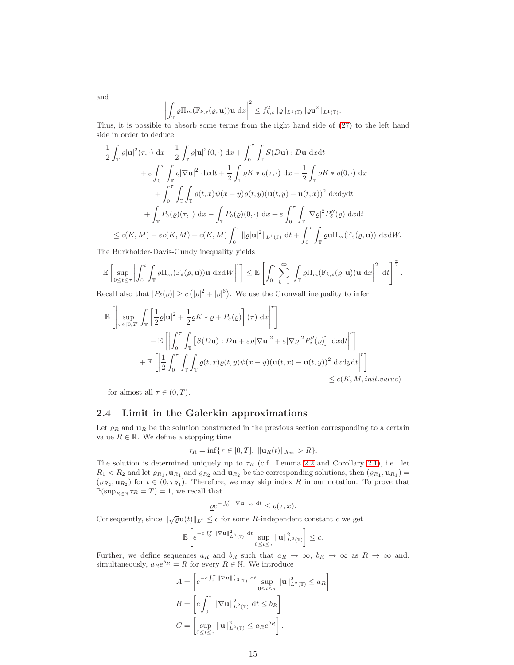and

$$
\left| \int_{\mathbb{T}} \varrho \Pi_m(\mathbb{F}_{k,\varepsilon}(\varrho,\mathbf{u})) \mathbf{u} \, \mathrm{d}x \right|^2 \leq f_{k,\varepsilon}^2 \| \varrho \|_{L^1(\mathbb{T})} \| \varrho \mathbf{u}^2 \|_{L^1(\mathbb{T})}.
$$

Thus, it is possible to absorb some terms from the right hand side of [\(27\)](#page-13-0) to the left hand side in order to deduce

$$
\frac{1}{2} \int_{\mathbb{T}} \varrho |\mathbf{u}|^{2}(\tau, \cdot) \, dx - \frac{1}{2} \int_{\mathbb{T}} \varrho |\mathbf{u}|^{2}(0, \cdot) \, dx + \int_{0}^{\tau} \int_{\mathbb{T}} S(D\mathbf{u}) : D\mathbf{u} \, dxdt \n+ \varepsilon \int_{0}^{\tau} \int_{\mathbb{T}} \varrho |\nabla \mathbf{u}|^{2} \, dxdt + \frac{1}{2} \int_{\mathbb{T}} \varrho K * \varrho(\tau, \cdot) \, dx - \frac{1}{2} \int_{\mathbb{T}} \varrho K * \varrho(0, \cdot) \, dx \n+ \int_{0}^{\tau} \int_{\mathbb{T}} \int_{\mathbb{T}} \varrho(t, x) \psi(x - y) \varrho(t, y) (\mathbf{u}(t, y) - \mathbf{u}(t, x))^{2} \, dxdydt \n+ \int_{\mathbb{T}} P_{\delta}(\varrho)(\tau, \cdot) \, dx - \int_{\mathbb{T}} P_{\delta}(\varrho)(0, \cdot) \, dx + \varepsilon \int_{0}^{\tau} \int_{\mathbb{T}} |\nabla \varrho|^{2} P_{\delta}''(\varrho) \, dxdt \n\le c(K, M) + \varepsilon c(K, M) + c(K, M) \int_{0}^{\tau} ||\varrho ||\mathbf{u}|^{2} ||_{L^{1}(\mathbb{T})} \, dt + \int_{0}^{\tau} \int_{\mathbb{T}} \varrho \mathbf{u} \Pi_{m}(\mathbb{F}_{\varepsilon}(\varrho, \mathbf{u})) \, dx \, dW.
$$

The Burkholder-Davis-Gundy inequality yields

$$
\mathbb{E}\left[\sup_{0\leq t\leq \tau}\left|\int_0^t\int_{\mathbb{T}}\varrho\Pi_m(\mathbb{F}_\varepsilon(\varrho,\mathbf{u}))\mathbf{u}\;\mathrm{d} x\mathrm{d} W\right|^r\right]\leq \mathbb{E}\left[\int_0^\tau\sum_{k=1}^\infty\left|\int_{\mathbb{T}}\varrho\Pi_m(\mathbb{F}_{k,\varepsilon}(\varrho,\mathbf{u}))\mathbf{u}\;\mathrm{d} x\right|^2\;\mathrm{d} t\right]^{\frac{r}{2}}.
$$

Recall also that  $|P_\delta(\varrho)| \ge c (|\varrho|^2 + |\varrho|^6)$ . We use the Gronwall inequality to infer

$$
\mathbb{E}\left[\left|\sup_{\tau\in[0,T]}\int_{\mathbb{T}}\left[\frac{1}{2}\varrho|\mathbf{u}|^{2}+\frac{1}{2}\varrho K*\varrho+P_{\delta}(\varrho)\right](\tau)\,\mathrm{d}x\right|^{r}\right] \n+ \mathbb{E}\left[\left|\int_{0}^{\tau}\int_{\mathbb{T}}\left[S(D\mathbf{u}):D\mathbf{u}+\varepsilon\varrho|\nabla\mathbf{u}|^{2}+\varepsilon|\nabla\varrho|^{2}P_{\delta}''(\varrho)\right]\,\mathrm{d}x\mathrm{d}t\right|^{r}\right] \n+ \mathbb{E}\left[\left|\frac{1}{2}\int_{0}^{\tau}\int_{\mathbb{T}}\int_{\mathbb{T}}\varrho(t,x)\varrho(t,y)\psi(x-y)(\mathbf{u}(t,x)-\mathbf{u}(t,y))^{2}\,\mathrm{d}x\mathrm{d}y\mathrm{d}t\right|^{r}\right] \n\leq c(K, M, init.value)
$$

for almost all  $\tau \in (0, T)$ .

#### 2.4 Limit in the Galerkin approximations

Let  $\varrho_R$  and  $\mathbf{u}_R$  be the solution constructed in the previous section corresponding to a certain value  $R \in \mathbb{R}$ . We define a stopping time

$$
\tau_R = \inf \{ \tau \in [0, T], \, \| \mathbf{u}_R(t) \|_{X_m} > R \}.
$$

The solution is determined uniquely up to  $\tau_R$  (c.f. Lemma [2.2](#page-10-1) and Corollary [2.1\)](#page-12-0), i.e. let  $R_1 < R_2$  and let  $\varrho_{R_1}, \mathbf{u}_{R_1}$  and  $\varrho_{R_2}$  and  $\mathbf{u}_{R_2}$  be the corresponding solutions, then  $(\varrho_{R_1}, \mathbf{u}_{R_1}) =$  $(\varrho_{R_2}, \mathbf{u}_{R_2})$  for  $t \in (0, \tau_{R_1})$ . Therefore, we may skip index R in our notation. To prove that  $\mathbb{P}(\sup_{R \in \mathbb{N}} \tau_R = T) = 1$ , we recall that

$$
\underline{\varrho}e^{-\int_0^{\tau} \|\nabla \mathbf{u}\|_{\infty} dt} \leq \varrho(\tau, x).
$$

Consequently, since  $\|\sqrt{\varrho} \mathbf{u}(t)\|_{L^2} \leq c$  for some R-independent constant  $c$  we get

$$
\mathbb{E}\left[ e^{-c\int_0^\tau \|\nabla {\mathbf{u}}\|_{L^2(\mathbb{T})}^2\; {\mathrm{d}} t}\sup_{0\leq t\leq \tau}\|{\mathbf{u}}\|_{L^2(\mathbb{T})}^2\right]\leq c.
$$

Further, we define sequences  $a_R$  and  $b_R$  such that  $a_R \to \infty$ ,  $b_R \to \infty$  as  $R \to \infty$  and, simultaneously,  $a_{R}e^{b_{R}} = R$  for every  $R \in \mathbb{N}$ . We introduce

$$
A = \left[e^{-c\int_0^\tau \|\nabla \mathbf{u}\|_{L^2(\mathbb{T})}^2 dt} \sup_{0 \le t \le \tau} \|\mathbf{u}\|_{L^2(\mathbb{T})}^2 \le a_R\right]
$$
  

$$
B = \left[c\int_0^\tau \|\nabla \mathbf{u}\|_{L^2(\mathbb{T})}^2 dt \le b_R\right]
$$
  

$$
C = \left[\sup_{0 \le t \le \tau} \|\mathbf{u}\|_{L^2(\mathbb{T})}^2 \le a_R e^{b_R}\right].
$$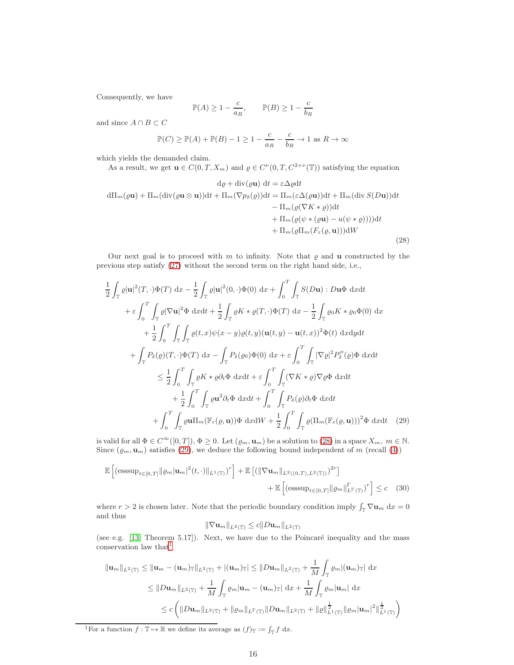Consequently, we have

$$
\mathbb{P}(A) \ge 1 - \frac{c}{a_R}, \qquad \mathbb{P}(B) \ge 1 - \frac{c}{b_R}
$$

and since  $A \cap B \subset C$ 

$$
\mathbb{P}(C) \ge \mathbb{P}(A) + \mathbb{P}(B) - 1 \ge 1 - \frac{c}{a_R} - \frac{c}{b_R} \to 1 \text{ as } R \to \infty
$$

which yields the demanded claim.

As a result, we get  $\mathbf{u} \in C(0,T,X_m)$  and  $\varrho \in C^{\nu}(0,T,C^{2+\nu}(\mathbb{T}))$  satisfying the equation

<span id="page-15-0"></span>
$$
d\varrho + \operatorname{div}(\varrho \mathbf{u}) dt = \varepsilon \Delta \varrho dt
$$
  
\n
$$
d\Pi_m(\varrho \mathbf{u}) + \Pi_m(\operatorname{div}(\varrho \mathbf{u} \otimes \mathbf{u}))dt + \Pi_m(\nabla p_\delta(\varrho))dt = \Pi_m(\varepsilon \Delta(\varrho \mathbf{u}))dt + \Pi_m(\operatorname{div} S(D\mathbf{u}))dt
$$
  
\n
$$
- \Pi_m(\varrho(\nabla K * \varrho))dt
$$
  
\n
$$
+ \Pi_m(\varrho(\psi * (\varrho \mathbf{u}) - u(\psi * \varrho))))dt
$$
  
\n
$$
+ \Pi_m(\varrho \Pi_m(F_\varepsilon(\varrho, \mathbf{u})))dW
$$
\n(28)

Our next goal is to proceed with m to infinity. Note that  $\rho$  and **u** constructed by the previous step satisfy [\(27\)](#page-13-0) without the second term on the right hand side, i.e.,

$$
\frac{1}{2} \int_{\mathbb{T}} \varrho |\mathbf{u}|^{2}(T, \cdot) \Phi(T) dx - \frac{1}{2} \int_{\mathbb{T}} \varrho |\mathbf{u}|^{2}(0, \cdot) \Phi(0) dx + \int_{0}^{T} \int_{\mathbb{T}} S(D\mathbf{u}) : D\mathbf{u}\Phi dx dt \n+ \varepsilon \int_{0}^{T} \int_{\mathbb{T}} \varrho |\nabla \mathbf{u}|^{2} \Phi dx dt + \frac{1}{2} \int_{\mathbb{T}} \varrho K * \varrho(T, \cdot) \Phi(T) dx - \frac{1}{2} \int_{\mathbb{T}} \varrho_{0} K * \varrho_{0} \Phi(0) dx \n+ \frac{1}{2} \int_{0}^{T} \int_{\mathbb{T}} \int_{\mathbb{T}} \varrho(t, x) \psi(x - y) \varrho(t, y) (\mathbf{u}(t, y) - \mathbf{u}(t, x))^{2} \Phi(t) dx dy dt \n+ \int_{\mathbb{T}} P_{\delta}(\varrho)(T, \cdot) \Phi(T) dx - \int_{\mathbb{T}} P_{\delta}(\varrho_{0}) \Phi(0) dx + \varepsilon \int_{0}^{T} \int_{\mathbb{T}} |\nabla \varrho|^{2} P_{\delta}''(\varrho) \Phi dx dt \n+ \frac{1}{2} \int_{0}^{T} \int_{\mathbb{T}} \varrho K * \varrho \partial_{t} \Phi dx dt + \varepsilon \int_{0}^{T} \int_{\mathbb{T}} (\nabla K * \varrho) \nabla \varrho \Phi dx dt \n+ \frac{1}{2} \int_{0}^{T} \int_{\mathbb{T}} \varrho \mathbf{u}^{2} \partial_{t} \Phi dx dt + \int_{0}^{T} \int_{\mathbb{T}} P_{\delta}(\varrho) \partial_{t} \Phi dx dt \n+ \int_{0}^{T} \int_{\mathbb{T}} \varrho \mathbf{u} \Pi_{m}(\mathbb{F}_{\varepsilon}(\varrho, \mathbf{u})) \Phi dx dW + \frac{1}{2} \int_{0}^{T} \int_{\mathbb{T}} \varrho(\Pi_{m}(\mathbb{F}_{\varepsilon}(\varrho, \mathbf{u})))^{2} \Phi dx dt
$$
\n(29)

is valid for all  $\Phi \in C^{\infty}([0, T]), \Phi \geq 0$ . Let  $(\varrho_m, \mathbf{u}_m)$  be a solution to [\(28\)](#page-15-0) in a space  $X_m$ ,  $m \in \mathbb{N}$ . Since  $(\varrho_m, \mathbf{u}_m)$  satisfies [\(29\)](#page-15-1), we deduce the following bound independent of m (recall [\(4\)](#page-1-5))

$$
\mathbb{E}\left[\left(\text{esssup}_{t\in[0,T]}\|\varrho_m|\mathbf{u}_m|^2(t,\cdot)\|_{L^1(\mathbb{T})}\right)^r\right] + \mathbb{E}\left[\left(\|\nabla\mathbf{u}_m\|_{L^2((0,T),L^2(\mathbb{T}))}\right)^{2r}\right] + \mathbb{E}\left[\left(\text{esssup}_{t\in[0,T]}\|\varrho_m\|_{L^{\Gamma}(\mathbb{T})}^r\right)^r\right] \leq c \quad (30)
$$

where  $r > 2$  is chosen later. Note that the periodic boundary condition imply  $\int_{\mathbb{T}} \nabla \mathbf{u}_m dx = 0$ and thus

<span id="page-15-3"></span><span id="page-15-1"></span>
$$
\|\nabla \mathbf{u}_m\|_{L^2(\mathbb{T})} \leq c \|D\mathbf{u}_m\|_{L^2(\mathbb{T})}
$$

(see e.g.  $[13,$  Theorem 5.17]). Next, we have due to the Poincaré inequality and the mass conservation law that  $1$ 

$$
\|\mathbf{u}_{m}\|_{L^{2}(\mathbb{T})} \leq \|\mathbf{u}_{m} - (\mathbf{u}_{m})_{\mathbb{T}}\|_{L^{2}(\mathbb{T})} + |(\mathbf{u}_{m})_{\mathbb{T}}| \leq \|Du_{m}\|_{L^{2}(\mathbb{T})} + \frac{1}{M} \int_{\mathbb{T}} \varrho_{m} |(\mathbf{u}_{m})_{\mathbb{T}}| dx
$$
  
\n
$$
\leq \|Du_{m}\|_{L^{2}(\mathbb{T})} + \frac{1}{M} \int_{\mathbb{T}} \varrho_{m} |\mathbf{u}_{m} - (\mathbf{u}_{m})_{\mathbb{T}}| dx + \frac{1}{M} \int_{\mathbb{T}} \varrho_{m} |\mathbf{u}_{m}| dx
$$
  
\n
$$
\leq c \left( \|Du_{m}\|_{L^{2}(\mathbb{T})} + \|\varrho_{m}\|_{L^{\Gamma}(\mathbb{T})} \|Du_{m}\|_{L^{2}(\mathbb{T})} + \|\varrho\|_{L^{1}(\mathbb{T})}^{\frac{1}{2}} \|\varrho_{m} |\mathbf{u}_{m}|^{2} \|\mathbf{u}_{m}^{2} \|\mathbf{u}_{m}^{2}.
$$

<span id="page-15-2"></span><sup>&</sup>lt;sup>1</sup>For a function  $f: \mathbb{T} \to \mathbb{R}$  we define its average as  $(f)_{\mathbb{T}} := \int_{\mathbb{T}} f \, dx$ .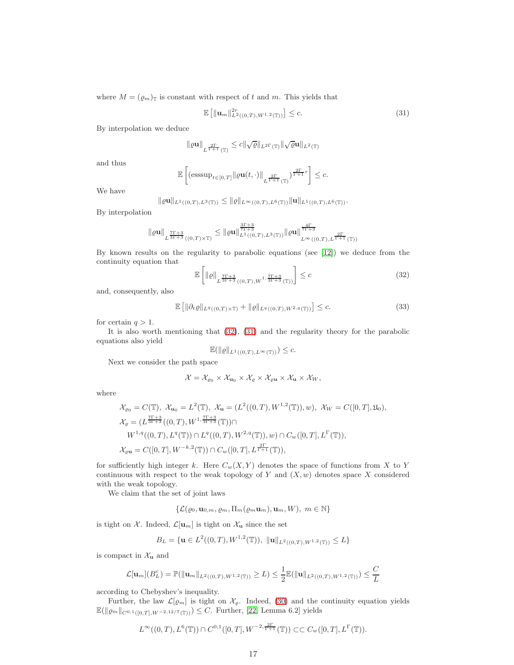where  $M = (\varrho_m)_T$  is constant with respect of t and m. This yields that

<span id="page-16-1"></span>
$$
\mathbb{E}\left[\|\mathbf{u}_m\|_{L^2((0,T),W^{1,2}(\mathbb{T}))}^{2r}\right] \leq c. \tag{31}
$$

By interpolation we deduce

$$
\|\varrho\mathbf{u}\|_{L^{\frac{2\Gamma}{\Gamma+1}}(\mathbb{T})}\leq c\|\sqrt{\varrho}\|_{L^{2\Gamma}(\mathbb{T})}\|\sqrt{\varrho}\mathbf{u}\|_{L^{2}(\mathbb{T})}
$$

and thus

$$
\mathbb{E}\left[ \left(\text{esssup}_{t\in [0,T]}\|\varrho \mathbf{u}(t,\cdot)\|_{L^{\frac{2\Gamma}{\Gamma+1}}(\mathbb{T})}\right)^{\frac{2\Gamma}{\Gamma+1}r}\right]\leq c.
$$

We have

 $\|\varrho\mathbf{u}\|_{L^1((0,T),L^3(\mathbb{T}))} \leq \|\varrho\|_{L^\infty((0,T),L^6(\mathbb{T}))} \|\mathbf{u}\|_{L^1((0,T),L^6(\mathbb{T}))}.$ 

By interpolation

$$
\|\varrho {\bf u}\|_{L^{\frac{7\Gamma +3}{3\Gamma +3}}((0,T)\times \mathbb{T})} \leq \|\varrho {\bf u}\|_{L^1((0,T),L^3(\mathbb{T}))}^{\frac{3\Gamma +3}{7\Gamma +3}}\|\varrho {\bf u}\|_{L^\infty((0,T),L^{\frac{2\Gamma }{\Gamma +1}}(\mathbb{T}))}^{\frac{4\Gamma }{7\Gamma +3}}
$$

By known results on the regularity to parabolic equations (see [\[12\]](#page-31-5)) we deduce from the continuity equation that

<span id="page-16-0"></span>
$$
\mathbb{E}\left[\|\varrho\|_{L^{\frac{7\Gamma+3}{3\Gamma+3}}((0,T),W^{1,\frac{7\Gamma+3}{3\Gamma+3}}(\mathbb{T}))}\right] \leq c \tag{32}
$$

and, consequently, also

<span id="page-16-2"></span>
$$
\mathbb{E}\left[\|\partial_t \varrho\|_{L^q((0,T)\times\mathbb{T})} + \|\varrho\|_{L^q((0,T),W^{2,q}(\mathbb{T}))}\right] \leq c. \tag{33}
$$

for certain  $q > 1$ .

It is also worth mentioning that [\(32\)](#page-16-0), [\(31\)](#page-16-1) and the regularity theory for the parabolic equations also yield

$$
\mathbb{E}(\|\varrho\|_{L^1((0,T),L^\infty(\mathbb{T}))}) \leq c.
$$

Next we consider the path space

$$
\mathcal{X} = \mathcal{X}_{\varrho_0} \times \mathcal{X}_{\mathbf{u}_0} \times \mathcal{X}_{\varrho} \times \mathcal{X}_{\varrho \mathbf{u}} \times \mathcal{X}_{\mathbf{u}} \times \mathcal{X}_{W},
$$

where

$$
\mathcal{X}_{\varrho_{0}} = C(\mathbb{T}), \ \mathcal{X}_{\mathbf{u}_{0}} = L^{2}(\mathbb{T}), \ \mathcal{X}_{\mathbf{u}} = (L^{2}((0, T), W^{1,2}(\mathbb{T})), w), \ \mathcal{X}_{W} = C([0, T], \mathfrak{U}_{0}),
$$
  
\n
$$
\mathcal{X}_{\varrho} = (L^{\frac{7\Gamma+3}{3\Gamma+3}}((0, T), W^{1, \frac{7\Gamma+3}{3\Gamma+3}}(\mathbb{T})) \cap
$$
  
\n
$$
W^{1,q}((0, T), L^{q}(\mathbb{T})) \cap L^{q}((0, T), W^{2,q}(\mathbb{T})), w) \cap C_{w}([0, T], L^{\Gamma}(\mathbb{T})),
$$
  
\n
$$
\mathcal{X}_{\varrho\mathbf{u}} = C([0, T], W^{-k,2}(\mathbb{T})) \cap C_{w}([0, T], L^{\frac{2\Gamma}{\Gamma+1}}(\mathbb{T})),
$$

for sufficiently high integer k. Here  $C_w(X, Y)$  denotes the space of functions from X to Y continuous with respect to the weak topology of  $Y$  and  $(X, w)$  denotes space  $X$  considered with the weak topology.

We claim that the set of joint laws

$$
\{\mathcal{L}(\varrho_0, \mathbf{u}_{0,m}, \varrho_m, \Pi_m(\varrho_m \mathbf{u}_m), \mathbf{u}_m, W), \ m \in \mathbb{N}\}\
$$

is tight on  $\mathcal{X}$ . Indeed,  $\mathcal{L}[\mathbf{u}_m]$  is tight on  $\mathcal{X}_{\mathbf{u}}$  since the set

$$
B_L = \{ \mathbf{u} \in L^2((0,T),W^{1,2}(\mathbb{T})), \, \|\mathbf{u}\|_{L^2((0,T),W^{1,2}(\mathbb{T}))} \le L \}
$$

is compact in  $\mathcal{X}_{\mathbf{u}}$  and

$$
\mathcal{L}[\mathbf{u}_m](B_L^c) = \mathbb{P}(\|\mathbf{u}_m\|_{L^2((0,T),W^{1,2}(\mathbb{T}))} \ge L) \le \frac{1}{2} \mathbb{E}(\|\mathbf{u}\|_{L^2((0,T),W^{1,2}(\mathbb{T}))}) \le \frac{C}{L}
$$

according to Chebyshev's inequality.

Further, the law  $\mathcal{L}[\varrho_m]$  is tight on  $\mathcal{X}_{\varrho}$ . Indeed, [\(30\)](#page-15-3) and the continuity equation yields  $\mathbb{E}(\|\varrho_m\|_{C^{0,1}([0,T],W^{-2,12/7}(\mathbb{T}))}) \leq C.$  Further, [\[22,](#page-31-11) Lemma 6.2] yields

$$
L^{\infty}((0,T),L^{6}(\mathbb{T}))\cap C^{0,1}([0,T],W^{-2,\frac{2\Gamma}{\Gamma+1}}(\mathbb{T}))\subset\subset C_{w}([0,T],L^{\Gamma}(\mathbb{T})).
$$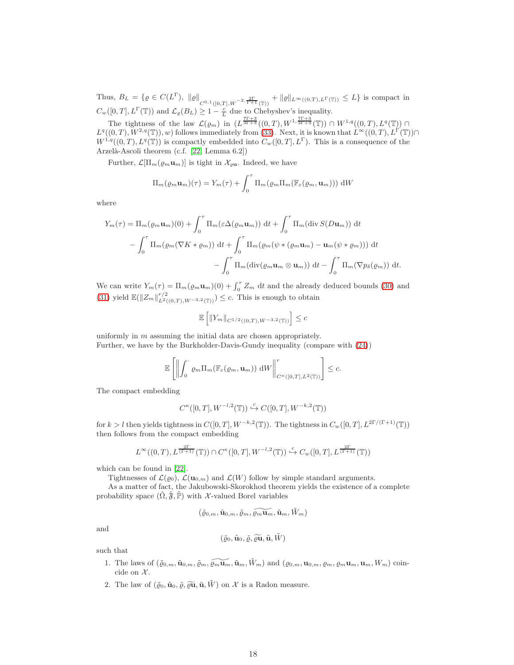Thus,  $B_L = \{ \varrho \in C(L^{\Gamma}), \|\varrho\|_{C^{0,1}([0,T],W^{-2,\frac{2\Gamma}{\Gamma+1}}(\mathbb{T}))} + \|\varrho\|_{L^{\infty}((0,T),L^{\Gamma}(\mathbb{T}))} \leq L \}$  is compact in  $C_w([0,T], L^{\Gamma}(\mathbb{T}))$  and  $\mathcal{L}_{\varrho}(B_L) \geq 1 - \frac{c}{L}$  due to Chebyshev's inequality.

The tightness of the law  $\mathcal{L}(\varrho_m)$  in  $(L^{\frac{7\Gamma+3}{3\Gamma+3}}((0,T),W^{1,\frac{7\Gamma+3}{3\Gamma+3}}(\mathbb{T})) \cap W^{1,q}((0,T),L^q(\mathbb{T})) \cap$  $L^q((0,T),W^{2,q}(\mathbb{T}))$ , w) follows immediately from [\(33\)](#page-16-2). Next, it is known that  $L^{\infty}((0,T),L^{\Gamma}(\mathbb{T}))\cap$  $W^{1,q}((0,T), L^q(\mathbb{T}))$  is compactly embedded into  $C_w([0,T], L^{\Gamma})$ . This is a consequence of the Arzelà-Ascoli theorem (c.f. [\[22,](#page-31-11) Lemma 6.2])

Further,  $\mathcal{L}[\Pi_m(\varrho_m\mathbf{u}_m)]$  is tight in  $\mathcal{X}_{\varrho\mathbf{u}}$ . Indeed, we have

$$
\Pi_m(\varrho_m \mathbf{u}_m)(\tau) = Y_m(\tau) + \int_0^\tau \Pi_m(\varrho_m \Pi_m(\mathbb{F}_{\varepsilon}(\varrho_m, \mathbf{u}_m))) \, \mathrm{d}W
$$

where

$$
Y_m(\tau) = \Pi_m(\varrho_m \mathbf{u}_m)(0) + \int_0^\tau \Pi_m(\varepsilon \Delta(\varrho_m \mathbf{u}_m)) dt + \int_0^\tau \Pi_m(\text{div}\,S(D\mathbf{u}_m)) dt
$$
  

$$
- \int_0^\tau \Pi_m(\varrho_m(\nabla K * \varrho_m)) dt + \int_0^\tau \Pi_m(\varrho_m(\psi * (\varrho_m \mathbf{u}_m) - \mathbf{u}_m(\psi * \varrho_m))) dt
$$
  

$$
- \int_0^\tau \Pi_m(\text{div}(\varrho_m \mathbf{u}_m \otimes \mathbf{u}_m)) dt - \int_0^\tau \Pi_m(\nabla p_\delta(\varrho_m)) dt.
$$

We can write  $Y_m(\tau) = \Pi_m(\varrho_m \mathbf{u}_m)(0) + \int_0^{\tau} Z_m dt$  and the already deduced bounds [\(30\)](#page-15-3) and [\(31\)](#page-16-1) yield  $\mathbb{E}(\|Z_m\|_{L^2((0,T),W^{-3,2}(\mathbb{T}))}^{r/2}) \leq c$ . This is enough to obtain

$$
\mathbb{E}\left[\left\|Y_m\right\|_{C^{1/2}((0,T),W^{-3,2}(\mathbb{T}))}\right] \leq c
$$

uniformly in m assuming the initial data are chosen appropriately. Further, we have by the Burkholder-Davis-Gundy inequality (compare with [\(24\)](#page-8-0))

$$
\mathbb{E}\left[\left\|\int_0^{\cdot} \varrho_m \Pi_m(\mathbb{F}_{\varepsilon}(\varrho_m, \mathbf{u}_m)) \, \mathrm{d}W\right\|_{C^{\kappa}([0,T],L^2(\mathbb{T}))}^r\right] \leq c.
$$

The compact embedding

$$
C^{\kappa}([0,T],W^{-l,2}(\mathbb{T}))\stackrel{c}{\hookrightarrow}C([0,T],W^{-k,2}(\mathbb{T}))
$$

for  $k > l$  then yields tightness in  $C([0, T], W^{-k, 2}(\mathbb{T}))$ . The tightness in  $C_w([0, T], L^{2\Gamma/(\Gamma+1)}(\mathbb{T}))$ then follows from the compact embedding

$$
L^{\infty}((0,T), L^{\frac{2\Gamma}{(\Gamma+1)}}(\mathbb{T})) \cap C^{\kappa}([0,T], W^{-l,2}(\mathbb{T})) \xrightarrow{c} C_w([0,T], L^{\frac{2\Gamma}{(\Gamma+1)}}(\mathbb{T}))
$$

which can be found in [\[22\]](#page-31-11).

Tightnesses of  $\mathcal{L}(\varrho_0)$ ,  $\mathcal{L}(\mathbf{u}_{0,m})$  and  $\mathcal{L}(W)$  follow by simple standard arguments.

As a matter of fact, the Jakubowski-Skorokhod theorem yields the existence of a complete probability space  $(\tilde{\Omega}, \tilde{\mathfrak{F}}, \tilde{\mathbb{P}})$  with X-valued Borel variables

$$
(\tilde{\varrho}_{0,m},\tilde{\mathbf{u}}_{0,m},\tilde{\varrho}_m,\widetilde{\varrho_{m}\mathbf{u}_m},\tilde{\mathbf{u}}_m,\tilde{W}_m)
$$

and

$$
(\tilde{\varrho}_0, \tilde{\mathbf{u}}_0, \tilde{\varrho}, \widetilde{\varrho}\mathbf{\widetilde{u}}, \tilde{\mathbf{u}}, \tilde{W})
$$

such that

- 1. The laws of  $(\tilde{\varrho}_{0,m}, \tilde{\mathbf{u}}_{0,m}, \tilde{\varrho}_m, \tilde{\varrho}_m, \tilde{\mathbf{u}}_m, \tilde{\mathbf{u}}_m, \tilde{W}_m)$  and  $(\varrho_{0,m}, \mathbf{u}_{0,m}, \varrho_m, \varrho_m \mathbf{u}_m, \mathbf{u}_m, W_m)$  coincide on  $X$ .
- 2. The law of  $(\tilde{\varrho}_0, \tilde{\mathbf{u}}_0, \tilde{\varrho}, \tilde{\varrho}\tilde{\mathbf{u}}, \tilde{\mathbf{u}}, W)$  on X is a Radon measure.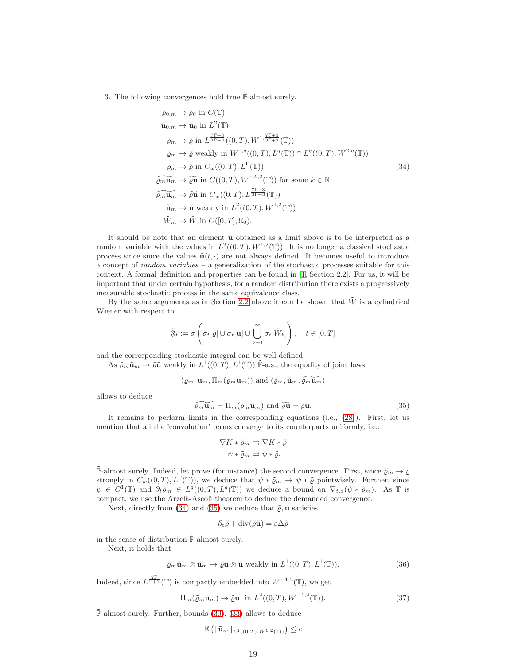3. The following convergences hold true  $\tilde{\mathbb{P}}$ -almost surely.

<span id="page-18-0"></span>
$$
\tilde{\varrho}_{0,m} \to \tilde{\varrho}_{0} \text{ in } C(\mathbb{T})
$$
\n
$$
\tilde{u}_{0,m} \to \tilde{u}_{0} \text{ in } L^{2}(\mathbb{T})
$$
\n
$$
\tilde{\varrho}_{m} \to \tilde{\varrho} \text{ in } L^{\frac{7\Gamma+3}{3\Gamma+3}}((0,T), W^{1,\frac{7\Gamma+3}{3\Gamma+3}}(\mathbb{T}))
$$
\n
$$
\tilde{\varrho}_{m} \to \tilde{\varrho} \text{ weakly in } W^{1,q}((0,T), L^{q}(\mathbb{T})) \cap L^{q}((0,T), W^{2,q}(\mathbb{T}))
$$
\n
$$
\tilde{\varrho}_{m} \to \tilde{\varrho} \text{ in } C_{w}((0,T), L^{\Gamma}(\mathbb{T}))
$$
\n
$$
\widetilde{\varrho_{m} u_{m}} \to \widetilde{\varrho} \tilde{u} \text{ in } C((0,T), W^{-k,2}(\mathbb{T})) \text{ for some } k \in \mathbb{N}
$$
\n
$$
\widetilde{\varrho_{m} u_{m}} \to \tilde{\varrho} \tilde{u} \text{ in } C_{w}((0,T), L^{\frac{7\Gamma+3}{3\Gamma+3}}(\mathbb{T}))
$$
\n
$$
\tilde{u}_{m} \to \tilde{u} \text{ weakly in } L^{2}((0,T), W^{1,2}(\mathbb{T}))
$$
\n
$$
\tilde{W}_{m} \to \tilde{W} \text{ in } C([0,T], \mathfrak{U}_{0}).
$$
\n(34)

It should be note that an element  $\tilde{u}$  obtained as a limit above is to be interpreted as a random variable with the values in  $L^2((0,T),W^{1,2}(\mathbb{T}))$ . It is no longer a classical stochastic process since since the values  $\tilde{\mathbf{u}}(t, \cdot)$  are not always defined. It becomes useful to introduce a concept of *random variables* – a generalization of the stochastic processes suitable for this context. A formal definition and properties can be found in [\[1,](#page-30-6) Section 2.2]. For us, it will be important that under certain hypothesis, for a random distribution there exists a progressively measurable stochastic process in the same equivalence class.

By the same arguments as in Section [2.2](#page-7-5) above it can be shown that  $\tilde{W}$  is a cylindrical Wiener with respect to

$$
\tilde{\mathfrak{F}}_t:=\sigma\left(\sigma_t[\tilde{\varrho}]\cup\sigma_t[\tilde{\mathbf{u}}]\cup\bigcup_{k=1}^\infty\sigma_t[\tilde{W}_k]\right),\quad t\in[0,T]
$$

and the corresponding stochastic integral can be well-defined.

As  $\tilde{\varrho}_m \tilde{\mathbf{u}}_m \to \tilde{\varrho} \tilde{\mathbf{u}}$  weakly in  $L^1((0,T), L^1(\mathbb{T}))$   $\tilde{\mathbb{P}}$ -a.s., the equality of joint laws

 $(\varrho_m, \mathbf{u}_m, \Pi_m(\varrho_m\mathbf{u}_m))$  and  $(\tilde{\varrho}_m, \tilde{\mathbf{u}}_m, \widetilde{\varrho_m\mathbf{u}_m})$ 

allows to deduce

<span id="page-18-1"></span>
$$
\widetilde{\varrho_m \mathbf{u}_m} = \Pi_m(\widetilde{\varrho}_m \widetilde{\mathbf{u}}_m) \text{ and } \widetilde{\varrho} \widetilde{\mathbf{u}} = \widetilde{\varrho} \widetilde{\mathbf{u}}.
$$
\n(35)

It remains to perform limits in the corresponding equations (i.e., [\(28\)](#page-15-0)). First, let us mention that all the 'convolution' terms converge to its counterparts uniformly, i.e.,

$$
\nabla K * \tilde{\varrho}_m \rightrightarrows \nabla K * \tilde{\varrho}
$$

$$
\psi * \tilde{\varrho}_m \rightrightarrows \psi * \tilde{\varrho}.
$$

 $\tilde{\mathbb{P}}$ -almost surely. Indeed, let prove (for instance) the second convergence. First, since  $\tilde{\varrho}_m \to \tilde{\varrho}$ strongly in  $C_w((0,T), L^{\Gamma}(\mathbb{T}))$ , we deduce that  $\psi * \tilde{\varrho}_m \to \psi * \tilde{\varrho}$  pointwisely. Further, since  $\psi \in C^1(\mathbb{T})$  and  $\partial_t \tilde{\varrho}_m \in L^q((0,T),L^q(\mathbb{T}))$  we deduce a bound on  $\nabla_{t,x}(\psi * \tilde{\varrho}_m)$ . As  $\mathbb{T}$  is compact, we use the Arzelà-Ascoli theorem to deduce the demanded convergence.

Next, directly from [\(34\)](#page-18-0) and [\(35\)](#page-18-1) we deduce that  $\tilde{\rho}$ ,  $\tilde{\mathbf{u}}$  satisfies

$$
\partial_t \tilde{\varrho} + \mathrm{div}(\tilde{\varrho}\tilde{\mathbf{u}}) = \varepsilon \Delta \tilde{\varrho}
$$

in the sense of distribution  $\tilde{\mathbb{P}}$ -almost surely.

Next, it holds that

<span id="page-18-3"></span>
$$
\tilde{\varrho}_m \tilde{\mathbf{u}}_m \otimes \tilde{\mathbf{u}}_m \to \tilde{\varrho} \tilde{\mathbf{u}} \otimes \tilde{\mathbf{u}} \text{ weakly in } L^1((0,T), L^1(\mathbb{T})).
$$
\n(36)

Indeed, since  $L^{\frac{2\Gamma}{\Gamma+1}}(\mathbb{T})$  is compactly embedded into  $W^{-1,2}(\mathbb{T})$ , we get

<span id="page-18-2"></span>
$$
\Pi_m(\tilde{\varrho}_m \tilde{\mathbf{u}}_m) \to \tilde{\varrho} \tilde{\mathbf{u}} \quad \text{in } L^2((0,T), W^{-1,2}(\mathbb{T})). \tag{37}
$$

 $\tilde{\mathbb{P}}$ -almost surely. Further, bounds [\(30\)](#page-15-3), [\(33\)](#page-16-2) allows to deduce

$$
\mathbb{E}\left(\left\|\tilde{\mathbf{u}}_{m}\right\|_{L^{2}((0,T),W^{1,2}(\mathbb{T}))}\right)\leq c
$$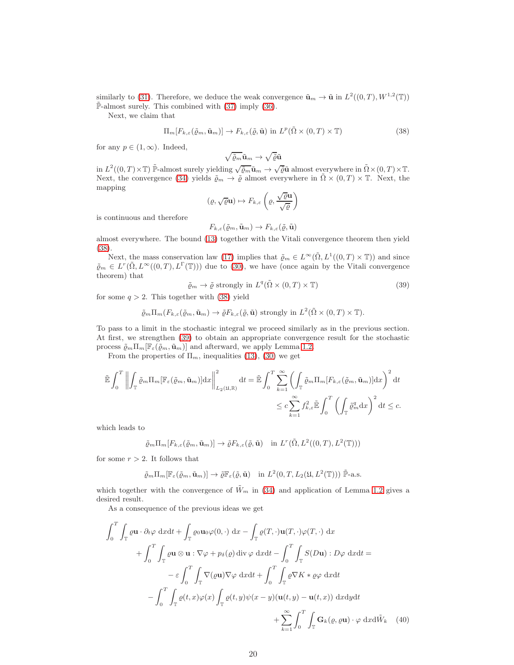similarly to [\(31\)](#page-16-1). Therefore, we deduce the weak convergence  $\tilde{\mathbf{u}}_m \to \tilde{\mathbf{u}}$  in  $L^2((0,T), W^{1,2}(\mathbb{T}))$  $\tilde{\mathbb{P}}$ -almost surely. This combined with [\(37\)](#page-18-2) imply [\(36\)](#page-18-3).

Next, we claim that

<span id="page-19-0"></span>
$$
\Pi_m[F_{k,\varepsilon}(\tilde{\varrho}_m, \tilde{\mathbf{u}}_m)] \to F_{k,\varepsilon}(\tilde{\varrho}, \tilde{\mathbf{u}}) \text{ in } L^p(\tilde{\Omega} \times (0,T) \times \mathbb{T})
$$
\n(38)

for any  $p \in (1,\infty)$ . Indeed,

$$
\sqrt{\tilde{\varrho}_m}\tilde{\mathbf{u}}_m\to\sqrt{\tilde{\varrho}}\tilde{\mathbf{u}}
$$

in  $L^2((0,T)\times\mathbb{T})$   $\widetilde{\mathbb{P}}$ -almost surely yielding  $\sqrt{\widetilde{\varrho}_m}\widetilde{\mathbf{u}}_m \to \sqrt{\widetilde{\varrho}}\widetilde{\mathbf{u}}$  almost everywhere in  $\widetilde{\Omega}\times(0,T)\times\mathbb{T}$ . Next, the convergence [\(34\)](#page-18-0) yields  $\tilde{\varrho}_m \to \tilde{\varrho}$  almost everywhere in  $\tilde{\Omega} \times (0,T) \times \mathbb{T}$ . Next, the mapping

$$
(\varrho, \sqrt{\varrho} \mathbf{u}) \mapsto F_{k,\varepsilon} \left( \varrho, \frac{\sqrt{\varrho} \mathbf{u}}{\sqrt{\varrho}} \right)
$$

is continuous and therefore

$$
F_{k,\varepsilon}(\tilde{\varrho}_m, \tilde{\mathbf{u}}_m) \to F_{k,\varepsilon}(\tilde{\varrho}, \tilde{\mathbf{u}})
$$

almost everywhere. The bound [\(13\)](#page-6-1) together with the Vitali convergence theorem then yield [\(38\)](#page-19-0).

Next, the mass conservation law [\(17\)](#page-6-4) implies that  $\tilde{\varrho}_m \in L^{\infty}(\tilde{\Omega}, L^1((0,T) \times \mathbb{T}))$  and since  $\tilde{\varrho}_m \in L^r(\tilde{\Omega}, L^{\infty}((0,T), L^{\Gamma}(\mathbb{T})))$  due to [\(30\)](#page-15-3), we have (once again by the Vitali convergence theorem) that

<span id="page-19-1"></span>
$$
\tilde{\varrho}_m \to \tilde{\varrho} \text{ strongly in } L^q(\tilde{\Omega} \times (0,T) \times \mathbb{T})
$$
\n(39)

for some  $q > 2$ . This together with [\(38\)](#page-19-0) yield

$$
\tilde{\varrho}_m \Pi_m(F_{k,\varepsilon}(\tilde{\varrho}_m, \tilde{\mathbf{u}}_m) \to \tilde{\varrho} F_{k,\varepsilon}(\tilde{\varrho}, \tilde{\mathbf{u}})
$$
 strongly in  $L^2(\tilde{\Omega} \times (0,T) \times \mathbb{T})$ .

To pass to a limit in the stochastic integral we proceed similarly as in the previous section. At first, we strengthen [\(39\)](#page-19-1) to obtain an appropriate convergence result for the stochastic process  $\tilde{\varrho}_m \Pi_m[\mathbb{F}_{\varepsilon}(\tilde{\varrho}_m, \tilde{\mathbf{u}}_m)]$  and afterward, we apply Lemma [1.2.](#page-2-1)

From the properties of  $\Pi_m$ , inequalities [\(13\)](#page-6-1), [\(30\)](#page-15-3) we get

$$
\tilde{\mathbb{E}} \int_0^T \left\| \int_{\mathbb{T}} \tilde{\varrho}_m \Pi_m [\mathbb{F}_{\varepsilon}(\tilde{\varrho}_m, \tilde{\mathbf{u}}_m)] dx \right\|_{L_2(\mathfrak{U}, \mathbb{R})}^2 dt = \tilde{\mathbb{E}} \int_0^T \sum_{k=1}^\infty \left( \int_{\mathbb{T}} \tilde{\varrho}_m \Pi_m [F_{k,\varepsilon}(\tilde{\varrho}_m, \tilde{\mathbf{u}}_m)] dx \right)^2 dt
$$
  

$$
\leq c \sum_{k=1}^\infty f_{k,\varepsilon}^2 \tilde{\mathbb{E}} \int_0^T \left( \int_{\mathbb{T}} \tilde{\varrho}_m^q dx \right)^2 dt \leq c.
$$

which leads to

$$
\tilde{\varrho}_m \Pi_m[F_{k,\varepsilon}(\tilde{\varrho}_m, \tilde{\mathbf{u}}_m)] \to \tilde{\varrho} F_{k,\varepsilon}(\tilde{\varrho}, \tilde{\mathbf{u}}) \quad \text{in } L^r(\tilde{\Omega}, L^2((0,T), L^2(\mathbb{T})))
$$

for some  $r > 2$ . It follows that

<span id="page-19-2"></span>
$$
\tilde{\varrho}_m \Pi_m[\mathbb{F}_{\varepsilon}(\tilde{\varrho}_m, \tilde{\mathbf{u}}_m)] \to \tilde{\varrho} \mathbb{F}_{\varepsilon}(\tilde{\varrho}, \tilde{\mathbf{u}}) \quad \text{in } L^2(0, T, L_2(\mathfrak{U}, L^2(\mathbb{T}))) \; \tilde{\mathbb{P}}\text{-a.s.}
$$

which together with the convergence of  $\tilde{W}_m$  in [\(34\)](#page-18-0) and application of Lemma [1.2](#page-2-1) gives a desired result.

As a consequence of the previous ideas we get

$$
\int_{0}^{T} \int_{\mathbb{T}} \varrho \mathbf{u} \cdot \partial_{t} \varphi \, dx dt + \int_{\mathbb{T}} \varrho_{0} \mathbf{u}_{0} \varphi(0, \cdot) \, dx - \int_{\mathbb{T}} \varrho(T, \cdot) \mathbf{u}(T, \cdot) \varphi(T, \cdot) \, dx \n+ \int_{0}^{T} \int_{\mathbb{T}} \varrho \mathbf{u} \otimes \mathbf{u} : \nabla \varphi + p_{\delta}(\varrho) \operatorname{div} \varphi \, dx dt - \int_{0}^{T} \int_{\mathbb{T}} S(D\mathbf{u}) : D\varphi \, dx dt = \n- \varepsilon \int_{0}^{T} \int_{\mathbb{T}} \nabla(\varrho \mathbf{u}) \nabla \varphi \, dx dt + \int_{0}^{T} \int_{\mathbb{T}} \varrho \nabla K * \varrho \varphi \, dx dt \n- \int_{0}^{T} \int_{\mathbb{T}} \varrho(t, x) \varphi(x) \int_{\mathbb{T}} \varrho(t, y) \psi(x - y) (\mathbf{u}(t, y) - \mathbf{u}(t, x)) \, dx dy dt \n+ \sum_{k=1}^{\infty} \int_{0}^{T} \int_{\mathbb{T}} \mathbf{G}_{k}(\varrho, \varrho \mathbf{u}) \cdot \varphi \, dx d\tilde{W}_{k} \quad (40)
$$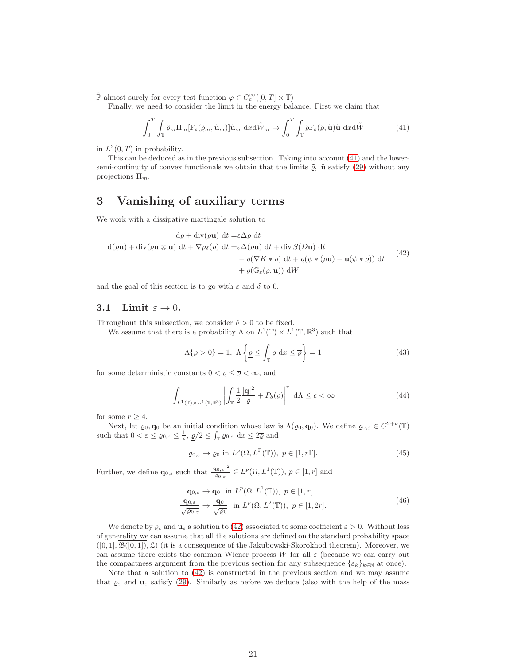$\widetilde{\mathbb{P}}$ -almost surely for every test function  $\varphi \in C_c^{\infty}([0, T] \times \mathbb{T})$ 

Finally, we need to consider the limit in the energy balance. First we claim that

<span id="page-20-1"></span>
$$
\int_0^T \int_{\mathbb{T}} \tilde{\varrho}_m \Pi_m[\mathbb{F}_{\varepsilon}(\tilde{\varrho}_m, \tilde{\mathbf{u}}_m)] \tilde{\mathbf{u}}_m \, \mathrm{d}x \mathrm{d}\tilde{W}_m \to \int_0^T \int_{\mathbb{T}} \tilde{\varrho} \mathbb{F}_{\varepsilon}(\tilde{\varrho}, \tilde{\mathbf{u}}) \tilde{\mathbf{u}} \, \mathrm{d}x \mathrm{d}\tilde{W} \tag{41}
$$

in  $L^2(0,T)$  in probability.

This can be deduced as in the previous subsection. Taking into account [\(41\)](#page-20-1) and the lowersemi-continuity of convex functionals we obtain that the limits  $\tilde{\varrho}$ ,  $\tilde{\mathbf{u}}$  satisfy [\(29\)](#page-15-1) without any projections  $\Pi_m$ .

## <span id="page-20-0"></span>3 Vanishing of auxiliary terms

We work with a dissipative martingale solution to

<span id="page-20-2"></span>
$$
d\varrho + \operatorname{div}(\varrho \mathbf{u}) dt = \varepsilon \Delta \varrho dt
$$
  
\n
$$
d(\varrho \mathbf{u}) + \operatorname{div}(\varrho \mathbf{u} \otimes \mathbf{u}) dt + \nabla p_{\delta}(\varrho) dt = \varepsilon \Delta(\varrho \mathbf{u}) dt + \operatorname{div} S(D\mathbf{u}) dt
$$
  
\n
$$
- \varrho(\nabla K * \varrho) dt + \varrho(\psi * (\varrho \mathbf{u}) - \mathbf{u}(\psi * \varrho)) dt
$$
\n(42)  
\n
$$
+ \varrho(\mathbb{G}_{\varepsilon}(\varrho, \mathbf{u})) dW
$$

and the goal of this section is to go with  $\varepsilon$  and  $\delta$  to 0.

#### 3.1 Limit  $\varepsilon \to 0$ .

Throughout this subsection, we consider  $\delta > 0$  to be fixed.

We assume that there is a probability  $\Lambda$  on  $L^1(\mathbb{T}) \times L^1(\mathbb{T}, \mathbb{R}^3)$  such that

<span id="page-20-5"></span>
$$
\Lambda\{\varrho > 0\} = 1, \ \Lambda\left\{\underline{\varrho} \le \int_{\mathbb{T}} \varrho \, \mathrm{d}x \le \overline{\varrho}\right\} = 1\tag{43}
$$

for some deterministic constants  $0 < \underline{\varrho} \leq \overline{\varrho} < \infty$ , and

<span id="page-20-6"></span>
$$
\int_{L^1(\mathbb{T}) \times L^1(\mathbb{T}, \mathbb{R}^3)} \left| \int_{\mathbb{T}} \frac{1}{2} \frac{|\mathbf{q}|^2}{\varrho} + P_\delta(\varrho) \right|^r \, \mathrm{d}\Lambda \le c < \infty \tag{44}
$$

for some  $r \geq 4$ .

Next, let  $\varrho_0, \mathbf{q}_0$  be an initial condition whose law is  $\Lambda(\varrho_0, \mathbf{q}_0)$ . We define  $\varrho_{0,\varepsilon} \in C^{2+\nu}(\mathbb{T})$ such that  $0 < \varepsilon \leq \varrho_{0,\varepsilon} \leq \frac{1}{\varepsilon}$ ,  $\underline{\varrho}/2 \leq \int_{\mathbb{T}} \varrho_{0,\varepsilon} dx \leq 2\overline{\varrho}$  and

<span id="page-20-3"></span>
$$
\varrho_{0,\varepsilon} \to \varrho_0 \text{ in } L^p(\Omega, L^\Gamma(\mathbb{T})), \ p \in [1, r\Gamma]. \tag{45}
$$

Further, we define  $\mathbf{q}_{0,\varepsilon}$  such that  $\frac{|\mathbf{q}_{0,\varepsilon}|^2}{q_0}$  $\frac{d_{0,\varepsilon}|^2}{\varrho_{0,\varepsilon}} \in L^p(\Omega, L^1(\mathbb{T})), p \in [1, r]$  and

$$
\mathbf{q}_{0,\varepsilon} \to \mathbf{q}_0 \text{ in } L^p(\Omega; L^1(\mathbb{T})), \ p \in [1, r]
$$
  
\n
$$
\frac{\mathbf{q}_{0,\varepsilon}}{\sqrt{\varrho_{0,\varepsilon}}} \to \frac{\mathbf{q}_0}{\sqrt{\varrho_0}} \text{ in } L^p(\Omega, L^2(\mathbb{T})), \ p \in [1, 2r].
$$
\n(46)

<span id="page-20-4"></span>We denote by  $\varrho_{\varepsilon}$  and  $\mathbf{u}_{\varepsilon}$  a solution to [\(42\)](#page-20-2) associated to some coefficient  $\varepsilon > 0$ . Without loss of generality we can assume that all the solutions are defined on the standard probability space  $([0, 1], \overline{\mathfrak{B}([0, 1])}, \mathfrak{L})$  (it is a consequence of the Jakubowski-Skorokhod theorem). Moreover, we can assume there exists the common Wiener process W for all  $\varepsilon$  (because we can carry out the compactness argument from the previous section for any subsequence  $\{\varepsilon_k\}_{k\in\mathbb{N}}$  at once).

Note that a solution to [\(42\)](#page-20-2) is constructed in the previous section and we may assume that  $\varrho_{\varepsilon}$  and  $\mathbf{u}_{\varepsilon}$  satisfy [\(29\)](#page-15-1). Similarly as before we deduce (also with the help of the mass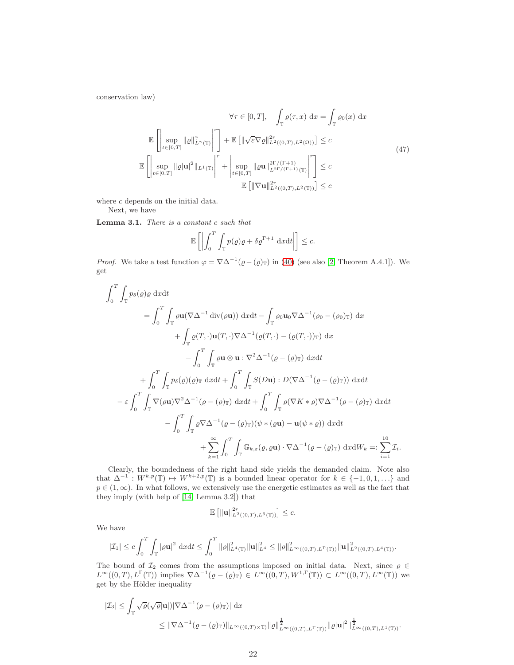conservation law)

$$
\forall \tau \in [0, T], \quad \int_{\mathbb{T}} \varrho(\tau, x) dx = \int_{\mathbb{T}} \varrho_0(x) dx
$$

$$
\mathbb{E} \left[ \left| \sup_{t \in [0, T]} ||\varrho||_{L^{\gamma}(\mathbb{T})}^{\gamma} \right|^{r} \right] + \mathbb{E} \left[ ||\sqrt{\varepsilon} \nabla \varrho||_{L^{2}((0, T), L^{2}(\Omega))}^{2r} \right] \leq c
$$

$$
\mathbb{E} \left[ \left| \sup_{t \in [0, T]} ||\varrho||_{L^{1}(\mathbb{T})}^{2} \right|^{r} + \left| \sup_{t \in [0, T]} ||\varrho u||_{L^{2\Gamma/(T+1)}(\mathbb{T})}^{2r/(T+1)} \right|^{r} \right] \leq c
$$

$$
\mathbb{E} \left[ ||\nabla u||_{L^{2}((0, T), L^{2}(\mathbb{T}))}^{2r} \right] \leq c
$$
\n(47)

<span id="page-21-0"></span>where c depends on the initial data.

Next, we have

<span id="page-21-1"></span>Lemma 3.1. There is a constant c such that

$$
\mathbb{E}\left[\left|\int_0^T \int_{\mathbb{T}} p(\varrho)\varrho + \delta \varrho^{\Gamma+1} \, \mathrm{d}x \mathrm{d}t\right|\right] \leq c.
$$

*Proof.* We take a test function  $\varphi = \nabla \Delta^{-1}(\varrho - (\varrho)_{\mathbb{T}})$  in [\(40\)](#page-19-2) (see also [\[2,](#page-30-4) Theorem A.4.1]). We get

$$
\int_{0}^{T} \int_{\mathbb{T}} p_{\delta}(\varrho) \varrho \, dxdt
$$
\n
$$
= \int_{0}^{T} \int_{\mathbb{T}} \varrho \mathbf{u}(\nabla \Delta^{-1} \operatorname{div}(\varrho \mathbf{u})) \, dxdt - \int_{\mathbb{T}} \varrho \mathbf{u} \mathbf{u}(\nabla \Delta^{-1}(\varrho \mathbf{u} - (\varrho \mathbf{u}) \mathbf{r})) \, dx
$$
\n
$$
+ \int_{\mathbb{T}} \varrho(T, \cdot) \mathbf{u}(T, \cdot) \nabla \Delta^{-1}(\varrho(T, \cdot) - (\varrho(T, \cdot)) \mathbf{r}) \, dx
$$
\n
$$
- \int_{0}^{T} \int_{\mathbb{T}} \varrho \mathbf{u} \otimes \mathbf{u} : \nabla^{2} \Delta^{-1}(\varrho - (\varrho) \mathbf{r}) \, dxdt
$$
\n
$$
+ \int_{0}^{T} \int_{\mathbb{T}} p_{\delta}(\varrho)(\varrho) \mathbf{r} \, dxdt + \int_{0}^{T} \int_{\mathbb{T}} S(D\mathbf{u}) : D(\nabla \Delta^{-1}(\varrho - (\varrho) \mathbf{r})) \, dxdt
$$
\n
$$
- \varepsilon \int_{0}^{T} \int_{\mathbb{T}} \nabla(\varrho \mathbf{u}) \nabla^{2} \Delta^{-1}(\varrho - (\varrho) \mathbf{r}) \, dxdt + \int_{0}^{T} \int_{\mathbb{T}} \varrho(\nabla K * \varrho) \nabla \Delta^{-1}(\varrho - (\varrho) \mathbf{r}) \, dxdt
$$
\n
$$
- \int_{0}^{T} \int_{\mathbb{T}} \varrho \nabla \Delta^{-1}(\varrho - (\varrho) \mathbf{r})(\psi * (\varrho \mathbf{u}) - \mathbf{u}(\psi * \varrho)) \, dxdt
$$
\n
$$
+ \sum_{k=1}^{\infty} \int_{0}^{T} \int_{\mathbb{T}} \mathbb{G}_{k,\varepsilon}(\varrho, \varrho \mathbf{u}) \cdot \nabla \Delta^{-1}(\varrho - (\varrho) \mathbf{r}) \, dxdt \, W_{k} =: \sum_{i=1}^{10} \mathcal{I}_{i}.
$$

Clearly, the boundedness of the right hand side yields the demanded claim. Note also that  $\Delta^{-1}: W^{k,p}(\mathbb{T}) \to W^{k+2,p}(\mathbb{T})$  is a bounded linear operator for  $k \in \{-1,0,1,\ldots\}$  and  $p \in (1,\infty)$ . In what follows, we extensively use the energetic estimates as well as the fact that they imply (with help of [\[14,](#page-31-12) Lemma 3.2]) that

$$
\mathbb{E}\left[\|\mathbf{u}\|_{L^2((0,T),L^6(\mathbb{T}))}^{2r}\right] \leq c.
$$

We have

$$
|\mathcal{I}_1| \leq c \int_0^T \int_{\mathbb{T}} |\varrho \mathbf{u}|^2 \, dxdt \leq \int_0^T \|\varrho\|_{L^4(\mathbb{T})}^2 \|\mathbf{u}\|_{L^4}^2 \leq \|\varrho\|_{L^\infty((0,T),L^\Gamma(\mathbb{T}))}^2 \|\mathbf{u}\|_{L^2((0,T),L^4(\mathbb{T}))}^2.
$$

The bound of  $\mathcal{I}_2$  comes from the assumptions imposed on initial data. Next, since  $\varrho \in \mathcal{I}_1$  $L^{\infty}((0,T), L^{\Gamma}(\mathbb{T}))$  implies  $\nabla \Delta^{-1}(\varrho - (\varrho)_{\mathbb{T}}) \in L^{\infty}((0,T), W^{1,\Gamma}(\mathbb{T})) \subset L^{\infty}((0,T), L^{\infty}(\mathbb{T}))$  we get by the Hölder inequality

$$
\begin{aligned} |\mathcal{I}_3| \leq & \int_{\mathbb{T}} \sqrt{\varrho} (\sqrt{\varrho}|\mathbf{u}|) |\nabla \Delta^{-1}(\varrho - (\varrho)_\mathbb{T})| \, \mathrm{d}x \\ \leq & \|\nabla \Delta^{-1}(\varrho - (\varrho)_\mathbb{T})\|_{L^\infty((0,T)\times\mathbb{T})} \|\varrho\|_{L^\infty((0,T),L^\Gamma(\mathbb{T}))}^{\frac{1}{2}} \|\varrho\mathbf{u}\|^2\|_{L^\infty((0,T),L^1(\mathbb{T}))}^{\frac{1}{2}}. \end{aligned}
$$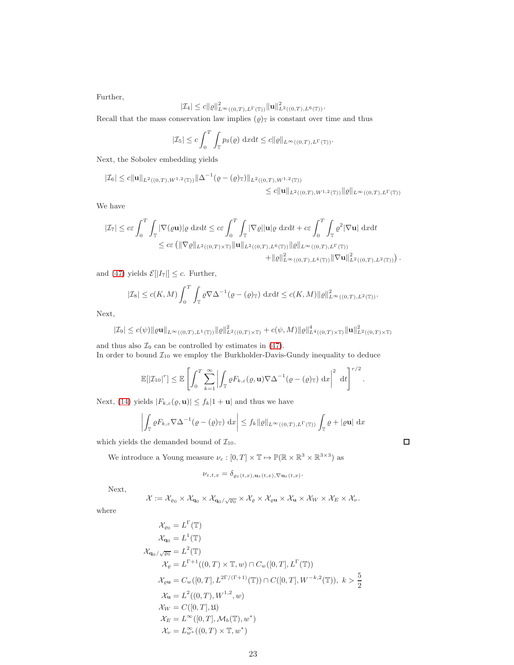Further,

$$
|\mathcal{I}_4|\leq c\|\varrho\|^2_{L^\infty((0,T),L^\Gamma(\mathbb{T}))}\|\mathbf{u}\|^2_{L^2((0,T),L^6(\mathbb{T}))}.
$$

Recall that the mass conservation law implies  $(\varrho)$ <sub>T</sub> is constant over time and thus

$$
|\mathcal{I}_5| \le c \int_0^T \int_{\mathbb{T}} p_\delta(\varrho) \, \mathrm{d}x \mathrm{d}t \le c ||\varrho||_{L^\infty((0,T),L^\Gamma(\mathbb{T}))}.
$$

Next, the Sobolev embedding yields

$$
|\mathcal{I}_6| \le c \|\mathbf{u}\|_{L^2((0,T),W^{1,2}(\mathbb{T}))} \|\Delta^{-1}(\varrho - (\varrho)_\mathbb{T})\|_{L^2((0,T),W^{1,2}(\mathbb{T}))}
$$
  

$$
\le c \|\mathbf{u}\|_{L^2((0,T),W^{1,2}(\mathbb{T}))} \|\varrho\|_{L^\infty((0,T),L^\Gamma(\mathbb{T}))}
$$

We have

$$
\begin{split} |\mathcal{I}_7| \leq c\varepsilon\int_0^T\int_\mathbb{T} |\nabla(\varrho\mathbf{u})| \varrho\ \mathrm{d}x\mathrm{d}t \leq c\varepsilon\int_0^T\int_\mathbb{T} |\nabla\varrho| |\mathbf{u}| \varrho\ \mathrm{d}x\mathrm{d}t + c\varepsilon\int_0^T\int_\mathbb{T} \varrho^2 |\nabla\mathbf{u}| \ \mathrm{d}x\mathrm{d}t \\ \leq c\varepsilon\left(\|\nabla\varrho\|_{L^2((0,T)\times\mathbb{T})}\|\mathbf{u}\|_{L^2((0,T),L^6(\mathbb{T}))}\|\varrho\|_{L^\infty((0,T),L^\Gamma(\mathbb{T}))} \right. \\ \left. + \|\varrho\|_{L^\infty((0,T),L^4(\mathbb{T}))}^2\|\nabla\mathbf{u}\|_{L^2((0,T),L^2(\mathbb{T}))}^2\right). \end{split}
$$

and [\(47\)](#page-21-0) yields  $\mathcal{E}[|I_7|] \leq c$ . Further,

$$
|\mathcal{I}_8| \le c(K,M) \int_0^T \int_{\mathbb{T}} \varrho \nabla \Delta^{-1}(\varrho - (\varrho)_T) \, dx dt \le c(K,M) ||\varrho||_{L^{\infty}((0,T),L^2(\mathbb{T}))}^2.
$$

Next,

$$
|\mathcal{I}_9| \le c(\psi) \|\varrho \mathbf{u}\|_{L^\infty((0,T),L^1(\mathbb{T}))} \|\varrho\|_{L^2((0,T)\times\mathbb{T})}^2 + c(\psi,M) \|\varrho\|_{L^4((0,T)\times\mathbb{T})}^4 \|\mathbf{u}\|_{L^2((0,T)\times\mathbb{T})}^2
$$

and thus also  $\mathcal{I}_9$  can be controlled by estimates in [\(47\)](#page-21-0). In order to bound  $\mathcal{I}_{10}$  we employ the Burkholder-Davis-Gundy inequality to deduce

$$
\mathbb{E}[|{\cal I}_{10}|^r] \leq \mathbb{E}\left[\int_0^T \sum_{k=1}^\infty \left|\int_{\mathbb{T}} \varrho F_{k,\varepsilon}(\varrho,\mathbf{u}) \nabla \Delta^{-1}(\varrho-(\varrho)_\mathbb{T}) \, \mathrm{d} x\right|^2 \, \mathrm{d} t\right]^{r/2}.
$$

Next, [\(14\)](#page-6-5) yields  $|F_{k,\varepsilon}(\varrho,\mathbf{u})| \leq f_k|1+\mathbf{u}|$  and thus we have

$$
\left| \int_{\mathbb{T}} \varrho F_{k,\varepsilon} \nabla \Delta^{-1} (\varrho - (\varrho)_\mathbb{T}) \, dx \right| \leq f_k \| \varrho \|_{L^\infty((0,T),L^\Gamma(\mathbb{T}))} \int_{\mathbb{T}} \varrho + |\varrho \mathbf{u}| \, dx
$$

which yields the demanded bound of  $\mathcal{I}_{10}$ .

We introduce a Young measure  $\nu_{\varepsilon} : [0, T] \times \mathbb{T} \to \mathbb{P}(\mathbb{R} \times \mathbb{R}^3 \times \mathbb{R}^{3 \times 3})$  as

$$
\nu_{\varepsilon,t,x} = \delta_{\varrho_{\varepsilon}(t,x),\mathbf{u}_{\varepsilon}(t,x),\nabla \mathbf{u}_{\varepsilon}(t,x)}.
$$

Next,

$$
\mathcal{X} := \mathcal{X}_{\varrho_0} \times \mathcal{X}_{\mathbf{q}_0} \times \mathcal{X}_{\mathbf{q}_0/\sqrt{\varrho_0}} \times \mathcal{X}_{\varrho} \times \mathcal{X}_{\varrho \mathbf{u}} \times \mathcal{X}_{\mathbf{u}} \times \mathcal{X}_{W} \times \mathcal{X}_{E} \times \mathcal{X}_{V}.
$$

where

$$
\mathcal{X}_{\varrho_{0}} = L^{\Gamma}(\mathbb{T})
$$
  
\n
$$
\mathcal{X}_{\mathbf{q}_{0}} = L^{1}(\mathbb{T})
$$
  
\n
$$
\mathcal{X}_{\mathbf{q}_{0}/\sqrt{\varrho_{0}}} = L^{2}(\mathbb{T})
$$
  
\n
$$
\mathcal{X}_{\varrho} = L^{\Gamma+1}((0, T) \times \mathbb{T}, w) \cap C_{w}([0, T], L^{\Gamma}(\mathbb{T}))
$$
  
\n
$$
\mathcal{X}_{\varrho} = C_{w}([0, T], L^{2\Gamma/(\Gamma+1)}(\mathbb{T})) \cap C([0, T], W^{-k, 2}(\mathbb{T})), k > \frac{5}{2}
$$
  
\n
$$
\mathcal{X}_{\mathbf{u}} = L^{2}((0, T), W^{1, 2}, w)
$$
  
\n
$$
\mathcal{X}_{W} = C([0, T], \mathfrak{U})
$$
  
\n
$$
\mathcal{X}_{E} = L^{\infty}([0, T], \mathcal{M}_{b}(\mathbb{T}), w^{*})
$$
  
\n
$$
\mathcal{X}_{V} = L^{\infty}_{w^{*}}((0, T) \times \mathbb{T}, w^{*})
$$

 $\Box$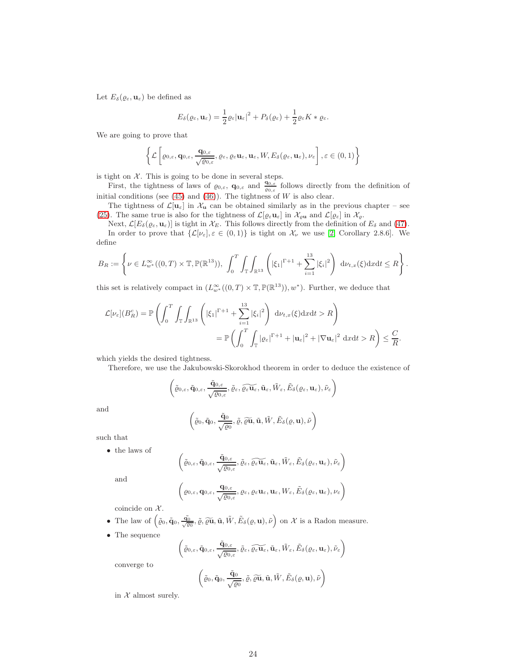Let  $E_{\delta}(\varrho_{\varepsilon}, \mathbf{u}_{\varepsilon})$  be defined as

$$
E_{\delta}(\varrho_{\varepsilon}, \mathbf{u}_{\varepsilon}) = \frac{1}{2} \varrho_{\varepsilon} |\mathbf{u}_{\varepsilon}|^2 + P_{\delta}(\varrho_{\varepsilon}) + \frac{1}{2} \varrho_{\varepsilon} K * \varrho_{\varepsilon}.
$$

We are going to prove that

$$
\left\{\mathcal{L}\left[\varrho_{0,\varepsilon}, \mathbf{q}_{0,\varepsilon}, \frac{\mathbf{q}_{0,\varepsilon}}{\sqrt{\varrho_{0,\varepsilon}}}, \varrho_{\varepsilon}, \varrho_{\varepsilon} \mathbf{u}_{\varepsilon}, \mathbf{u}_{\varepsilon}, W, E_{\delta}(\varrho_{\varepsilon}, \mathbf{u}_{\varepsilon}), \nu_{\varepsilon}\right], \varepsilon\in(0,1)\right\}
$$

is tight on  $\mathcal{X}$ . This is going to be done in several steps.

First, the tightness of laws of  $\varrho_{0,\varepsilon}$ ,  $\mathbf{q}_{0,\varepsilon}$  and  $\frac{\mathbf{q}_{0,\varepsilon}}{\varrho_{0,\varepsilon}}$  follows directly from the definition of initial conditions (see  $(45)$  and  $(46)$ ). The tightness of W is also clear.

The tightness of  $\mathcal{L}[\mathbf{u}_{\varepsilon}]$  in  $\mathcal{X}_{\mathbf{u}}$  can be obtained similarly as in the previous chapter – see [\(25\)](#page-9-0). The same true is also for the tightness of  $\mathcal{L}[\varrho_{\varepsilon}u_{\varepsilon}]$  in  $\mathcal{X}_{\varrho}$  and  $\mathcal{L}[\varrho_{\varepsilon}]$  in  $\mathcal{X}_{\varrho}$ .

Next,  $\mathcal{L}[E_{\delta}(\varrho_{\varepsilon}, \mathbf{u}_{\varepsilon})]$  is tight in  $\mathcal{X}_E$ . This follows directly from the definition of  $E_{\delta}$  and [\(47\)](#page-21-0).

In order to prove that  $\{\mathcal{L}[\nu_{\varepsilon}], \varepsilon \in (0,1)\}\$ is tight on  $\mathcal{X}_{\nu}$  we use [\[2,](#page-30-4) Corollary 2.8.6]. We define

$$
B_R := \left\{ \nu \in L_{w^*}^{\infty}((0,T) \times \mathbb{T}, \mathbb{P}(\mathbb{R}^{13})), \int_0^T \int_{\mathbb{T}} \int_{\mathbb{R}^{13}} \left( |\xi_1|^{\Gamma+1} + \sum_{i=1}^{13} |\xi_i|^2 \right) d\nu_{t,x}(\xi) dxdt \leq R \right\}.
$$

this set is relatively compact in  $(L^{\infty}_{w^*}((0,T)\times\mathbb{T}, \mathbb{P}(\mathbb{R}^{13})), w^*)$ . Further, we deduce that

$$
\mathcal{L}[\nu_{\varepsilon}](B_R^c) = \mathbb{P}\left(\int_0^T \int_{\mathbb{T}} \int_{\mathbb{R}^{13}} \left(|\xi_1|^{\Gamma+1} + \sum_{i=1}^{13} |\xi_i|^2\right) d\nu_{t,x}(\xi) dxdt > R\right)
$$
  
= 
$$
\mathbb{P}\left(\int_0^T \int_{\mathbb{T}} |\varrho_{\varepsilon}|^{\Gamma+1} + |\mathbf{u}_{\varepsilon}|^2 + |\nabla \mathbf{u}_{\varepsilon}|^2 dxdt > R\right) \leq \frac{C}{R}.
$$

which yields the desired tightness.

Therefore, we use the Jakubowski-Skorokhod theorem in order to deduce the existence of

$$
\left( \tilde{\varrho}_{0,\varepsilon}, \tilde{\mathbf{q}}_{0,\varepsilon}, \frac{\tilde{\mathbf{q}}_{0,\varepsilon}}{\sqrt{\varrho_{0,\varepsilon}}}, \tilde{\varrho}_{\varepsilon}, \widetilde{\varrho_{\varepsilon}\mathbf{u}_{\varepsilon}}, \tilde{\mathbf{u}}_{\varepsilon}, \tilde{W}_{\varepsilon}, \tilde{E}_{\delta}(\varrho_{\varepsilon}, \mathbf{u}_{\varepsilon}), \tilde{\nu}_{\varepsilon} \right)
$$

and

$$
\left(\tilde{\varrho}_0,\tilde{q}_0,\frac{\tilde{q}_0}{\sqrt{\varrho_0}},\tilde{\varrho},\widetilde{\varrho}\tilde{\mathbf{u}},\tilde{\mathbf{u}},\tilde{W},\tilde{E}_\delta(\varrho,\mathbf{u}),\tilde{\nu}\right)
$$

such that

• the laws of

$$
\left( \tilde{\varrho}_{0,\varepsilon}, \tilde{\mathbf{q}}_{0,\varepsilon}, \frac{\tilde{\mathbf{q}}_{0,\varepsilon}}{\sqrt{\varrho_{0,\varepsilon}}}, \tilde{\varrho}_{\varepsilon}, \widetilde{\varrho_{\varepsilon}\mathbf{u}_{\varepsilon}}, \tilde{\mathbf{u}}_{\varepsilon}, \tilde{W}_{\varepsilon}, \tilde{E}_{\delta}(\varrho_{\varepsilon}, \mathbf{u}_{\varepsilon}), \tilde{\nu}_{\varepsilon} \right)
$$

and

$$
\left(\varrho_{0,\varepsilon}, \mathbf{q}_{0,\varepsilon}, \frac{\mathbf{q}_{0,\varepsilon}}{\sqrt{\varrho_{0,\varepsilon}}}, \varrho_{\varepsilon}, \varrho_{\varepsilon} \mathbf{u}_{\varepsilon}, \mathbf{u}_{\varepsilon}, W_{\varepsilon}, \tilde{E}_{\delta}(\varrho_{\varepsilon}, \mathbf{u}_{\varepsilon}), \nu_{\varepsilon}\right)
$$

coincide on  $\mathcal{X}.$ 

- The law of  $(\tilde{\varrho}_0, \tilde{\mathbf{q}}_0, \frac{\tilde{\mathbf{q}}_0}{\sqrt{\varrho_0}}, \tilde{\varrho}, \tilde{\varrho}\tilde{\mathbf{u}}, \tilde{\mathbf{u}}, \tilde{W}, \tilde{E}_{\delta}(\varrho, \mathbf{u}), \tilde{\nu})$  on X is a Radon measure.
- The sequence

$$
\left( \tilde{\varrho}_{0,\varepsilon}, \tilde{\mathbf{q}}_{0,\varepsilon}, \frac{\tilde{\mathbf{q}}_{0,\varepsilon}}{\sqrt{\varrho_{0,\varepsilon}}}, \tilde{\varrho}_{\varepsilon}, \widetilde{\varrho_{\varepsilon} \mathbf{u}_{\varepsilon}}, \tilde{\mathbf{u}}_{\varepsilon}, \tilde{W}_{\varepsilon}, \tilde{E}_{\delta}(\varrho_{\varepsilon}, \mathbf{u}_{\varepsilon}), \tilde{\nu}_{\varepsilon} \right)
$$

converge to

$$
\left(\tilde{\varrho}_{0},\tilde{\mathbf{q}}_{0},\frac{\tilde{\mathbf{q}}_{0}}{\sqrt{\varrho_{0}}},\tilde{\varrho},\widetilde{\varrho\mathbf{u}},\tilde{\mathbf{u}},\tilde{W},\tilde{E}_{\delta}(\varrho,\mathbf{u}),\tilde{\nu}\right)
$$

in  $X$  almost surely.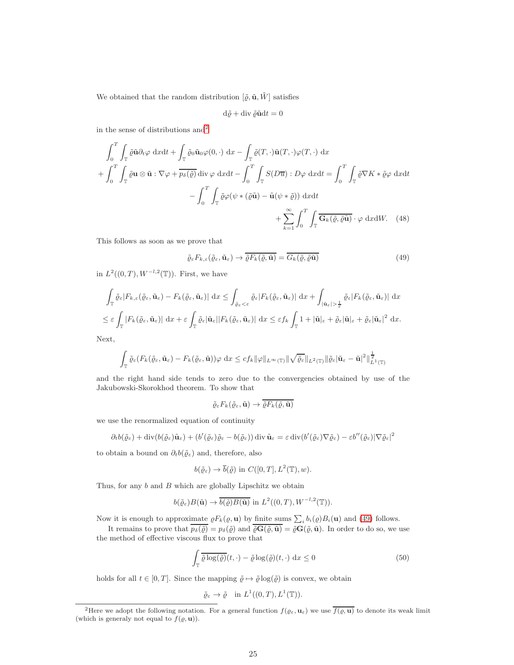We obtained that the random distribution  $[\tilde{\varrho}, \tilde{\mathbf{u}}, \tilde{W}]$  satisfies

<span id="page-24-3"></span>
$$
\mathrm{d}\tilde{\varrho}+\mathrm{div}\:\tilde{\varrho}\tilde{\mathbf{u}}\mathrm{d}t=0
$$

in the sense of distributions  $and<sup>2</sup>$  $and<sup>2</sup>$  $and<sup>2</sup>$ 

$$
\int_{0}^{T} \int_{\mathbb{T}} \tilde{\varrho} \tilde{\mathbf{u}} \partial_{t} \varphi \, dx dt + \int_{\mathbb{T}} \tilde{\varrho}_{0} \tilde{\mathbf{u}}_{0} \varphi(0, \cdot) \, dx - \int_{\mathbb{T}} \tilde{\varrho}(T, \cdot) \tilde{\mathbf{u}}(T, \cdot) \varphi(T, \cdot) \, dx + \int_{0}^{T} \int_{\mathbb{T}} \tilde{\varrho} \mathbf{u} \otimes \tilde{\mathbf{u}} : \nabla \varphi + \overline{p_{\delta}(\tilde{\varrho})} \operatorname{div} \varphi \, dx dt - \int_{0}^{T} \int_{\mathbb{T}} S(D\overline{\mathbf{u}}) : D\varphi \, dx dt = \int_{0}^{T} \int_{\mathbb{T}} \tilde{\varrho} \nabla K * \tilde{\varrho} \varphi \, dx dt - \int_{0}^{T} \int_{\mathbb{T}} \tilde{\varrho} \varphi(\psi * (\tilde{\varrho} \tilde{\mathbf{u}}) - \tilde{\mathbf{u}}(\psi * \tilde{\varrho})) \, dx dt + \sum_{k=1}^{\infty} \int_{0}^{T} \int_{\mathbb{T}} \overline{G_{k}(\tilde{\varrho}, \tilde{\varrho} \tilde{\mathbf{u}})} \cdot \varphi \, dx dW. \quad (48)
$$

This follows as soon as we prove that

<span id="page-24-1"></span>
$$
\tilde{\varrho}_{\varepsilon} F_{k,\varepsilon}(\tilde{\varrho}_{\varepsilon}, \tilde{\mathbf{u}}_{\varepsilon}) \to \overline{\tilde{\varrho} F_{k}(\tilde{\varrho}, \tilde{\mathbf{u}})} = \overline{G_{k}(\tilde{\varrho}, \tilde{\varrho} \tilde{\mathbf{u}})}
$$
(49)

in  $L^2((0,T),W^{-l,2}(\mathbb{T}))$ . First, we have

$$
\int_{\mathbb{T}} \tilde{\varrho}_{\varepsilon} |F_{k,\varepsilon}(\tilde{\varrho}_{\varepsilon}, \tilde{\mathbf{u}}_{\varepsilon}) - F_{k}(\tilde{\varrho}_{\varepsilon}, \tilde{\mathbf{u}}_{\varepsilon})| \, \mathrm{d}x \le \int_{\tilde{\varrho}_{\varepsilon} < \varepsilon} \tilde{\varrho}_{\varepsilon} |F_{k}(\tilde{\varrho}_{\varepsilon}, \tilde{\mathbf{u}}_{\varepsilon})| \, \mathrm{d}x + \int_{|\tilde{\mathbf{u}}_{\varepsilon}| > \frac{1}{\varepsilon}} \tilde{\varrho}_{\varepsilon} |F_{k}(\tilde{\varrho}_{\varepsilon}, \tilde{\mathbf{u}}_{\varepsilon})| \, \mathrm{d}x
$$
  

$$
\le \varepsilon \int_{\mathbb{T}} |F_{k}(\tilde{\varrho}_{\varepsilon}, \tilde{\mathbf{u}}_{\varepsilon})| \, \mathrm{d}x + \varepsilon \int_{\mathbb{T}} \tilde{\varrho}_{\varepsilon} |\tilde{\mathbf{u}}_{\varepsilon}| |F_{k}(\tilde{\varrho}_{\varepsilon}, \tilde{\mathbf{u}}_{\varepsilon})| \, \mathrm{d}x \le \varepsilon f_{k} \int_{\mathbb{T}} 1 + |\tilde{\mathbf{u}}|_{\varepsilon} + \tilde{\varrho}_{\varepsilon} |\tilde{\mathbf{u}}|_{\varepsilon} + \tilde{\varrho}_{\varepsilon} |\tilde{\mathbf{u}}_{\varepsilon}|^{2} \, \mathrm{d}x.
$$

Next,

$$
\int_{\mathbb{T}} \tilde{\varrho}_{\varepsilon}(F_k(\tilde{\varrho}_{\varepsilon},\tilde{\mathbf{u}}_{\varepsilon}) - F_k(\tilde{\varrho}_{\varepsilon},\tilde{\mathbf{u}}))\varphi \, dx \leq c f_k \|\varphi\|_{L^{\infty}(\mathbb{T})} \|\sqrt{\tilde{\varrho}_{\varepsilon}}\|_{L^2(\mathbb{T})} \|\tilde{\varrho}_{\varepsilon}\|\tilde{\mathbf{u}}_{\varepsilon} - \tilde{\mathbf{u}}\|^2\|_{L^1(\mathbb{T})}^{\frac{1}{2}}
$$

and the right hand side tends to zero due to the convergencies obtained by use of the Jakubowski-Skorokhod theorem. To show that

$$
\tilde{\varrho}_{\varepsilon} F_k(\tilde{\varrho}_{\varepsilon}, \tilde{\mathbf{u}}) \to \overline{\tilde{\varrho} F_k(\tilde{\varrho}, \tilde{\mathbf{u}})}
$$

we use the renormalized equation of continuity

$$
\partial_t b(\tilde{\varrho}_{\varepsilon}) + \operatorname{div}(b(\tilde{\varrho}_{\varepsilon})\tilde{\mathbf{u}}_{\varepsilon}) + (b'(\tilde{\varrho}_{\varepsilon})\tilde{\varrho}_{\varepsilon} - b(\tilde{\varrho}_{\varepsilon})) \operatorname{div} \tilde{\mathbf{u}}_{\varepsilon} = \varepsilon \operatorname{div}(b'(\tilde{\varrho}_{\varepsilon}) \nabla \tilde{\varrho}_{\varepsilon}) - \varepsilon b''(\tilde{\varrho}_{\varepsilon}) |\nabla \tilde{\varrho}_{\varepsilon}|^2
$$

to obtain a bound on  $\partial_t b(\tilde{\varrho}_\varepsilon)$  and, therefore, also

$$
b(\tilde{\varrho}_{\varepsilon}) \to \overline{b}(\tilde{\varrho})
$$
 in  $C([0, T], L^2(\mathbb{T}), w)$ .

Thus, for any  $b$  and  $B$  which are globally Lipschitz we obtain

$$
b(\tilde{\varrho}_{\varepsilon})B(\tilde{\mathbf{u}}) \to \overline{b(\tilde{\varrho})B(\tilde{\mathbf{u}})} \text{ in } L^{2}((0,T),W^{-1,2}(\mathbb{T})).
$$

Now it is enough to approximate  $\varrho F_k(\varrho, \mathbf{u})$  by finite sums  $\sum_i b_i(\varrho) B_i(\mathbf{u})$  and [\(49\)](#page-24-1) follows.

It remains to prove that  $\overline{p_{\delta}(\tilde{\varrho})} = p_{\delta}(\tilde{\varrho})$  and  $\overline{\tilde{\varrho}G(\tilde{\varrho},\tilde{\mathbf{u}})} = \tilde{\varrho}G(\tilde{\varrho},\tilde{\mathbf{u}})$ . In order to do so, we use the method of effective viscous flux to prove that

<span id="page-24-2"></span>
$$
\int_{\mathbb{T}} \overline{\tilde{\varrho} \log(\tilde{\varrho})}(t, \cdot) - \tilde{\varrho} \log(\tilde{\varrho})(t, \cdot) \, dx \le 0 \tag{50}
$$

holds for all  $t \in [0, T]$ . Since the mapping  $\tilde{\varrho} \mapsto \tilde{\varrho} \log(\tilde{\varrho})$  is convex, we obtain

 $\tilde{\varrho}_{\varepsilon} \to \tilde{\varrho} \quad \text{in } L^1((0,T), L^1(\mathbb{T})).$ 

<span id="page-24-0"></span><sup>&</sup>lt;sup>2</sup>Here we adopt the following notation. For a general function  $f(\varrho_{\varepsilon}, \mathbf{u}_{\varepsilon})$  we use  $\overline{f(\varrho, \mathbf{u})}$  to denote its weak limit (which is generaly not equal to  $f(\varrho, \mathbf{u})$ ).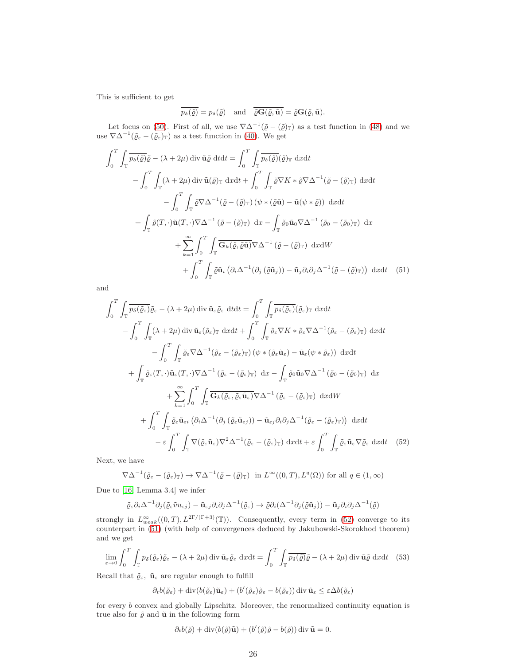This is sufficient to get

<span id="page-25-1"></span>
$$
\overline{p_\delta(\tilde{\varrho})}=p_\delta(\tilde{\varrho})\quad\text{and}\quad \overline{\tilde{\varrho}\mathbf{G}(\tilde{\varrho},\tilde{\mathbf{u}})}=\tilde{\varrho}\mathbf{G}(\tilde{\varrho},\tilde{\mathbf{u}}).
$$

Let focus on [\(50\)](#page-24-2). First of all, we use  $\nabla \Delta^{-1}(\tilde{\varrho} - (\tilde{\varrho})_{\mathbb{T}})$  as a test function in [\(48\)](#page-24-3) and we use  $\nabla \Delta^{-1}(\tilde{\varrho}_{\varepsilon} - (\tilde{\varrho}_{\varepsilon})_{\mathbb{T}})$  as a test function in [\(40\)](#page-19-2). We get

$$
\int_{0}^{T} \int_{\mathbb{T}} \overline{p_{\delta}(\tilde{\varrho})} \tilde{\varrho} - (\lambda + 2\mu) \operatorname{div} \tilde{\mathbf{u}} \tilde{\varrho} \, \operatorname{d} t dt = \int_{0}^{T} \int_{\mathbb{T}} \overline{p_{\delta}(\tilde{\varrho})} (\tilde{\varrho})_{\mathbb{T}} \, \operatorname{d} x dt
$$

$$
- \int_{0}^{T} \int_{\mathbb{T}} (\lambda + 2\mu) \operatorname{div} \tilde{\mathbf{u}} (\tilde{\varrho})_{\mathbb{T}} \, \operatorname{d} x dt + \int_{0}^{T} \int_{\mathbb{T}} \tilde{\varrho} \nabla K * \tilde{\varrho} \nabla \Delta^{-1} (\tilde{\varrho} - (\tilde{\varrho})_{\mathbb{T}}) \, \operatorname{d} x dt
$$

$$
- \int_{0}^{T} \int_{\mathbb{T}} \tilde{\varrho} \nabla \Delta^{-1} (\tilde{\varrho} - (\tilde{\varrho})_{\mathbb{T}}) \left( \psi * (\tilde{\varrho} \tilde{\mathbf{u}}) - \tilde{\mathbf{u}} (\psi * \tilde{\varrho}) \right) \, \operatorname{d} x dt
$$

$$
+ \int_{\mathbb{T}} \tilde{\varrho}(\tilde{T}, \cdot) \tilde{\mathbf{u}}(\tilde{T}, \cdot) \nabla \Delta^{-1} (\tilde{\varrho} - (\tilde{\varrho})_{\mathbb{T}}) \, \operatorname{d} x - \int_{\mathbb{T}} \tilde{\varrho}_{0} \tilde{\mathbf{u}}_{0} \nabla \Delta^{-1} (\tilde{\varrho}_{0} - (\tilde{\varrho}_{0})_{\mathbb{T}}) \, \operatorname{d} x
$$

$$
+ \sum_{k=1}^{\infty} \int_{0}^{T} \int_{\mathbb{T}} \overline{\mathbf{G}_{k}(\tilde{\varrho}, \tilde{\varrho} \tilde{\mathbf{u}})} \nabla \Delta^{-1} (\tilde{\varrho} - (\tilde{\varrho})_{\mathbb{T}}) \, \operatorname{d} x dW
$$

$$
+ \int_{0}^{T} \int_{\mathbb{T}} \tilde{\varrho} \tilde{\mathbf{u}}_{i} (\partial_{i} \Delta^{-1} (\partial_{j} (\tilde{\varrho} \tilde{\mathbf{u}}_{j
$$

and

$$
\int_{0}^{T} \int_{\mathbb{T}} \overline{p_{\delta}(\tilde{\varrho}_{\varepsilon})} \tilde{\varrho}_{\varepsilon} - (\lambda + 2\mu) \operatorname{div} \tilde{\mathbf{u}}_{\varepsilon} \tilde{\varrho}_{\varepsilon} \, dt dt = \int_{0}^{T} \int_{\mathbb{T}} \overline{p_{\delta}(\tilde{\varrho}_{\varepsilon})} (\tilde{\varrho}_{\varepsilon})_{\mathbb{T}} \, dx dt \n- \int_{0}^{T} \int_{\mathbb{T}} (\lambda + 2\mu) \operatorname{div} \tilde{\mathbf{u}}_{\varepsilon} (\tilde{\varrho}_{\varepsilon})_{\mathbb{T}} \, dx dt + \int_{0}^{T} \int_{\mathbb{T}} \tilde{\varrho}_{\varepsilon} \nabla K * \tilde{\varrho}_{\varepsilon} \nabla \Delta^{-1} (\tilde{\varrho}_{\varepsilon} - (\tilde{\varrho}_{\varepsilon})_{\mathbb{T}}) \, dx dt \n+ \int_{\mathbb{T}} \tilde{\varrho}_{\varepsilon} (T, \cdot) \tilde{\mathbf{u}}_{\varepsilon} (T, \cdot) \nabla \Delta^{-1} (\tilde{\varrho}_{\varepsilon} - (\tilde{\varrho}_{\varepsilon})_{\mathbb{T}}) \, dx - \int_{\mathbb{T}} \tilde{\varrho}_{0} \tilde{\mathbf{u}}_{0} \nabla \Delta^{-1} (\tilde{\varrho}_{0} - (\tilde{\varrho}_{0})_{\mathbb{T}}) \, dx \n+ \sum_{k=1}^{\infty} \int_{0}^{T} \int_{\mathbb{T}} \overline{\mathbf{G}_{k}(\tilde{\varrho}_{\varepsilon}, \tilde{\varrho}_{\varepsilon} \tilde{\mathbf{u}}_{\varepsilon})} \nabla \Delta^{-1} (\tilde{\varrho}_{\varepsilon} - (\tilde{\varrho}_{\varepsilon})_{\mathbb{T}}) \, dx dW \n+ \int_{0}^{T} \int_{\mathbb{T}} \tilde{\varrho}_{\varepsilon} \tilde{\mathbf{u}}_{\varepsilon i} (\partial_{i} \Delta^{-1} (\partial_{j} (\tilde{\varrho}_{\varepsilon} \tilde{\mathbf{u}}_{\varepsilon j})) - \tilde{\mathbf{u}}_{\varepsilon j} \partial_{i} \partial_{j} \Delta^{-1} (\tilde{\varrho}_{\varepsilon} - (\tilde{\varrho}_{\
$$

Next, we have

$$
\nabla \Delta^{-1}(\tilde{\varrho}_{\varepsilon} - (\tilde{\varrho}_{\varepsilon})_{\mathbb{T}}) \to \nabla \Delta^{-1}(\tilde{\varrho} - (\tilde{\varrho})_{\mathbb{T}}) \text{ in } L^{\infty}((0, T), L^{q}(\Omega)) \text{ for all } q \in (1, \infty)
$$

Due to [\[16,](#page-31-6) Lemma 3.4] we infer

<span id="page-25-0"></span>
$$
\tilde{\varrho}_{\varepsilon}\partial_i\Delta^{-1}\partial_j(\tilde{\varrho}_{\varepsilon}\tilde{v}u_{\varepsilon j}) - \tilde{\mathbf{u}}_{\varepsilon j}\partial_i\partial_j\Delta^{-1}(\tilde{\varrho}_{\varepsilon}) \rightarrow \tilde{\varrho}\partial_i(\Delta^{-1}\partial_j(\tilde{\varrho}\tilde{\mathbf{u}}_j)) - \tilde{\mathbf{u}}_j\partial_i\partial_j\Delta^{-1}(\tilde{\varrho})
$$

strongly in  $L^{\infty}_{weak}((0,T), L^{2\Gamma/(\Gamma+3)}(\mathbb{T}))$ . Consequently, every term in [\(52\)](#page-25-0) converge to its counterpart in [\(51\)](#page-25-1) (with help of convergences deduced by Jakubowski-Skorokhod theorem) and we get

<span id="page-25-2"></span>
$$
\lim_{\varepsilon \to 0} \int_0^T \int_{\mathbb{T}} p_\delta(\tilde{\varrho}_\varepsilon) \tilde{\varrho}_\varepsilon - (\lambda + 2\mu) \operatorname{div} \tilde{\mathbf{u}}_\varepsilon \tilde{\varrho}_\varepsilon \, dx dt = \int_0^T \int_{\mathbb{T}} \overline{p_\delta(\tilde{\varrho})} \tilde{\varrho} - (\lambda + 2\mu) \operatorname{div} \tilde{\mathbf{u}} \tilde{\varrho} \, dx dt \quad (53)
$$

Recall that  $\tilde{\varrho}_{\varepsilon},\ \tilde{\mathbf{u}}_{\varepsilon}$  are regular enough to fulfill

 $\partial_t b(\tilde{\varrho}_\varepsilon) + \mathrm{div}(b(\tilde{\varrho}_\varepsilon)\tilde{\mathbf{u}}_\varepsilon) + (b'(\tilde{\varrho}_\varepsilon)\tilde{\varrho}_\varepsilon - b(\tilde{\varrho}_\varepsilon)) \,\mathrm{div}\, \tilde{\mathbf{u}}_\varepsilon \leq \varepsilon \Delta b(\tilde{\varrho}_\varepsilon)$ 

for every b convex and globally Lipschitz. Moreover, the renormalized continuity equation is true also for  $\tilde{\varrho}$  and  $\tilde{\mathbf{u}}$  in the following form

$$
\partial_t b(\tilde{\varrho}) + \operatorname{div}(b(\tilde{\varrho})\tilde{\mathbf{u}}) + (b'(\tilde{\varrho})\tilde{\varrho} - b(\tilde{\varrho})) \operatorname{div} \tilde{\mathbf{u}} = 0.
$$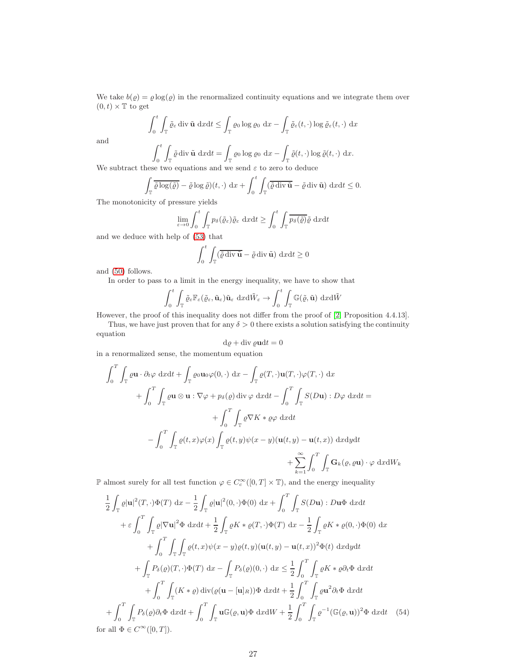We take  $b(\varrho) = \varrho \log(\varrho)$  in the renormalized continuity equations and we integrate them over  $(0, t) \times \mathbb{T}$  to get

$$
\int_0^t \int_{\mathbb{T}} \tilde{\varrho}_{\varepsilon} \operatorname{div} \tilde{\mathbf{u}} \, dx dt \le \int_{\mathbb{T}} \varrho_0 \log \varrho_0 \, dx - \int_{\mathbb{T}} \tilde{\varrho}_{\varepsilon}(t, \cdot) \log \tilde{\varrho}_{\varepsilon}(t, \cdot) \, dx
$$

and

$$
\int_0^t \int_{\mathbb{T}} \tilde{\varrho} \operatorname{div} \tilde{\mathbf{u}} \, dx dt = \int_{\mathbb{T}} \varrho_0 \log \varrho_0 \, dx - \int_{\mathbb{T}} \tilde{\varrho}(t, \cdot) \log \tilde{\varrho}(t, \cdot) \, dx.
$$
  
We subtract these two equations and we send  $\varepsilon$  to zero to deduce

$$
\int_{\mathbb{T}} \overline{\tilde{\varrho} \log(\tilde{\varrho})} - \tilde{\varrho} \log \tilde{\varrho})(t, \cdot) \, dx + \int_0^t \int_{\mathbb{T}} (\overline{\tilde{\varrho} \operatorname{div} \tilde{\mathbf{u}}} - \tilde{\varrho} \operatorname{div} \tilde{\mathbf{u}}) \, dx dt \leq 0.
$$

The monotonicity of pressure yields

$$
\lim_{\varepsilon \to 0} \int_0^t \int_{\mathbb{T}} p_\delta(\tilde{\varrho}_\varepsilon) \tilde{\varrho}_\varepsilon \, \mathrm{d}x \mathrm{d}t \ge \int_0^t \int_{\mathbb{T}} \overline{p_\delta(\tilde{\varrho})} \tilde{\varrho} \, \mathrm{d}x \mathrm{d}t
$$

and we deduce with help of [\(53\)](#page-25-2) that

$$
\int_0^t \int_{\mathbb{T}} (\overline{\tilde{\varrho}} \operatorname{div} \tilde{\mathbf{u}} - \tilde{\varrho} \operatorname{div} \tilde{\mathbf{u}}) \, dxdt \ge 0
$$

and [\(50\)](#page-24-2) follows.

In order to pass to a limit in the energy inequality, we have to show that

$$
\int_0^t \int_{\mathbb{T}} \tilde{\varrho}_{\varepsilon} \mathbb{F}_{\varepsilon}(\tilde{\varrho}_{\varepsilon}, \tilde{\mathbf{u}}_{\varepsilon}) \tilde{\mathbf{u}}_{\varepsilon} \, \mathrm{d}x \mathrm{d} \tilde{W}_{\varepsilon} \to \int_0^t \int_{\mathbb{T}} \mathbb{G}(\tilde{\varrho}, \tilde{\mathbf{u}}) \, \mathrm{d}x \mathrm{d} \tilde{W}
$$

However, the proof of this inequality does not differ from the proof of [\[2,](#page-30-4) Proposition 4.4.13].

Thus, we have just proven that for any  $\delta > 0$  there exists a solution satisfying the continuity

equation

$$
d\varrho + \text{div }\varrho \mathbf{u} dt = 0
$$

in a renormalized sense, the momentum equation

$$
\int_{0}^{T} \int_{\mathbb{T}} \varrho \mathbf{u} \cdot \partial_{t} \varphi \, dxdt + \int_{\mathbb{T}} \varrho_{0} \mathbf{u}_{0} \varphi(0, \cdot) \, dx - \int_{\mathbb{T}} \varrho(T, \cdot) \mathbf{u}(T, \cdot) \varphi(T, \cdot) \, dx \n+ \int_{0}^{T} \int_{\mathbb{T}} \varrho \mathbf{u} \otimes \mathbf{u} : \nabla \varphi + p_{\delta}(\varrho) \operatorname{div} \varphi \, dxdt - \int_{0}^{T} \int_{\mathbb{T}} S(D\mathbf{u}) : D\varphi \, dxdt = \n+ \int_{0}^{T} \int_{\mathbb{T}} \varrho \nabla K * \varrho \varphi \, dxdt \n- \int_{0}^{T} \int_{\mathbb{T}} \varrho(t, x) \varphi(x) \int_{\mathbb{T}} \varrho(t, y) \psi(x - y) (\mathbf{u}(t, y) - \mathbf{u}(t, x)) \, dxdydt \n+ \sum_{k=1}^{\infty} \int_{0}^{T} \int_{\mathbb{T}} \mathbf{G}_{k}(\varrho, \varrho \mathbf{u}) \cdot \varphi \, dxdW_{k}
$$

**■** almost surely for all test function  $\varphi$  ∈  $C_c^{\infty}([0, T] \times \mathbb{T})$ , and the energy inequality

$$
\frac{1}{2} \int_{\mathbb{T}} \varrho |\mathbf{u}|^{2}(T, \cdot) \Phi(T) \, dx - \frac{1}{2} \int_{\mathbb{T}} \varrho |\mathbf{u}|^{2}(0, \cdot) \Phi(0) \, dx + \int_{0}^{T} \int_{\mathbb{T}} S(D\mathbf{u}) : D\mathbf{u}\Phi \, dxdt
$$

$$
+ \varepsilon \int_{0}^{T} \int_{\mathbb{T}} \varrho |\nabla \mathbf{u}|^{2} \Phi \, dxdt + \frac{1}{2} \int_{\mathbb{T}} \varrho K * \varrho(T, \cdot) \Phi(T) \, dx - \frac{1}{2} \int_{\mathbb{T}} \varrho K * \varrho(0, \cdot) \Phi(0) \, dx
$$

$$
+ \int_{0}^{T} \int_{\mathbb{T}} \int_{\mathbb{T}} \varrho(t, x) \psi(x - y) \varrho(t, y) (\mathbf{u}(t, y) - \mathbf{u}(t, x))^{2} \Phi(t) \, dxdydt
$$

$$
+ \int_{\mathbb{T}} P_{\delta}(\varrho)(T, \cdot) \Phi(T) \, dx - \int_{\mathbb{T}} P_{\delta}(\varrho)(0, \cdot) \, dx \leq \frac{1}{2} \int_{0}^{T} \int_{\mathbb{T}} \varrho K * \varrho \partial_{t} \Phi \, dxdt
$$

$$
+ \int_{0}^{T} \int_{\mathbb{T}} (K * \varrho) \operatorname{div}(\varrho(\mathbf{u} - [\mathbf{u}]_{R})) \Phi \, dxdt + \frac{1}{2} \int_{0}^{T} \int_{\mathbb{T}} \varrho \mathbf{u}^{2} \partial_{t} \Phi \, dxdt
$$

$$
+ \int_{0}^{T} \int_{\mathbb{T}} P_{\delta}(\varrho) \partial_{t} \Phi \, dxdt + \int_{0}^{T} \int_{\mathbb{T}} \mathbf{u} \mathbb{G}(\varrho, \mathbf{u}) \Phi \, dxdW + \frac{1}{2} \int_{0}^{T} \int_{\mathbb{T}} \varrho^{-1} (\mathbb{G}(\varrho, \mathbf{u}))^{2} \Phi \, dxdt \quad (54)
$$
for all  $\Phi \in C^{\infty}([0, T]).$ 

<span id="page-26-0"></span>27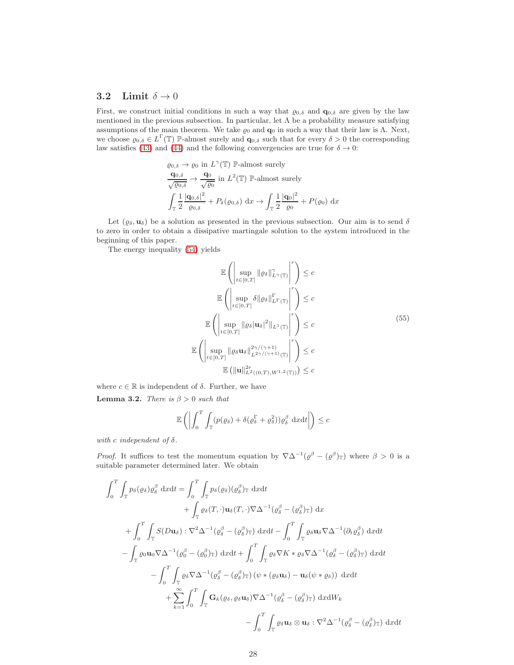#### 3.2 Limit  $\delta \to 0$

First, we construct initial conditions in such a way that  $\varrho_{0,\delta}$  and  $\mathbf{q}_{0,\delta}$  are given by the law mentioned in the previous subsection. In particular, let  $\Lambda$  be a probability measure satisfying assumptions of the main theorem. We take  $\varrho_0$  and  $\mathbf{q}_0$  in such a way that their law is Λ. Next, we choose  $\varrho_{0,\delta} \in L^{\Gamma}(\mathbb{T})$  P-almost surely and  $\mathbf{q}_{0,\delta}$  such that for every  $\delta > 0$  the corresponding law satisfies [\(43\)](#page-20-5) and [\(44\)](#page-20-6) and the following convergencies are true for  $\delta \to 0$ :

$$
\varrho_{0,\delta} \to \varrho_0 \text{ in } L^{\gamma}(\mathbb{T}) \mathbb{P}\text{-almost surely}
$$
  
\n
$$
\frac{\mathbf{q}_{0,\delta}}{\sqrt{\varrho_{0,\delta}}} \to \frac{\mathbf{q}_0}{\sqrt{\varrho_0}} \text{ in } L^2(\mathbb{T}) \mathbb{P}\text{-almost surely}
$$
  
\n
$$
\int_{\mathbb{T}} \frac{1}{2} \frac{|\mathbf{q}_{0,\delta}|^2}{\varrho_{0,\delta}} + P_{\delta}(\varrho_{0,\delta}) \, dx \to \int_{\mathbb{T}} \frac{1}{2} \frac{|\mathbf{q}_0|^2}{\varrho_0} + P(\varrho_0) \, dx
$$

Let  $(\varrho_\delta, \mathbf{u}_\delta)$  be a solution as presented in the previous subsection. Our aim is to send  $\delta$ to zero in order to obtain a dissipative martingale solution to the system introduced in the beginning of this paper.

The energy inequality [\(54\)](#page-26-0) yields

$$
\mathbb{E}\left(\left|\sup_{t\in[0,T]}\|\varrho_{\delta}\|_{L^{\gamma}(\mathbb{T})}^{\gamma}\right|^{r}\right) \leq c
$$
\n
$$
\mathbb{E}\left(\left|\sup_{t\in[0,T]}\delta\|\varrho_{\delta}\|_{L^{\Gamma}(\mathbb{T})}^{r}\right|^{r}\right) \leq c
$$
\n
$$
\mathbb{E}\left(\left|\sup_{t\in[0,T]}\|\varrho_{\delta}|\mathbf{u}_{\delta}|^{2}\|_{L^{1}(\mathbb{T})}\right|^{r}\right) \leq c
$$
\n
$$
\mathbb{E}\left(\left|\sup_{t\in[0,T]}\|\varrho_{\delta}\mathbf{u}_{\delta}\|_{L^{2\gamma/(\gamma+1)}(\mathbb{T})}^{2\gamma/(\gamma+1)}\right|^{r}\right) \leq c
$$
\n
$$
\mathbb{E}\left(\|\mathbf{u}\|_{L^{2}((0,T),W^{1,2}(\mathbb{T}))}^{2r}\right) \leq c
$$
\n(55)

<span id="page-27-0"></span>where  $c \in \mathbb{R}$  is independent of  $\delta$ . Further, we have **Lemma 3.2.** There is  $\beta > 0$  such that

$$
\mathbb{E}\left(\left|\int_0^T \int_{\mathbb{T}} (p(\varrho_\delta) + \delta(\varrho_\delta^{\Gamma} + \varrho_\delta^2)) \varrho_\delta^{\beta} \, \mathrm{d}x \mathrm{d}t\right|\right) \leq c
$$

with c independent of  $\delta$ .

*Proof.* It suffices to test the momentum equation by  $\nabla \Delta^{-1}(\varrho^{\beta} - (\varrho^{\beta})_{\mathbb{T}})$  where  $\beta > 0$  is a suitable parameter determined later. We obtain

$$
\int_{0}^{T} \int_{\mathbb{T}} p_{\delta}(\varrho_{\delta}) \varrho_{\delta}^{\beta} dxdt = \int_{0}^{T} \int_{\mathbb{T}} p_{\delta}(\varrho_{\delta}) (\varrho_{\delta}^{\beta})_{\mathbb{T}} dxdt \n+ \int_{\mathbb{T}} \varrho_{\delta}(T, \cdot) \mathbf{u}_{\delta}(T, \cdot) \nabla \Delta^{-1}(\varrho_{\delta}^{\beta} - (\varrho_{\delta}^{\beta})_{\mathbb{T}}) dx \n+ \int_{0}^{T} \int_{\mathbb{T}} S(D\mathbf{u}_{\delta}) : \nabla^{2} \Delta^{-1}(\varrho_{\delta}^{\beta} - (\varrho_{\delta}^{\beta})_{\mathbb{T}}) dxdt - \int_{0}^{T} \int_{\mathbb{T}} \varrho_{\delta} \mathbf{u}_{\delta} \nabla \Delta^{-1}(\partial_{t} \varrho_{\delta}^{\beta}) dxdt \n- \int_{\mathbb{T}} \varrho_{0} \mathbf{u}_{0} \nabla \Delta^{-1}(\varrho_{0}^{\beta} - (\varrho_{0}^{\beta})_{\mathbb{T}}) dxdt + \int_{0}^{T} \int_{\mathbb{T}} \varrho_{\delta} \nabla K * \varrho_{\delta} \nabla \Delta^{-1}(\varrho_{\delta}^{\beta} - (\varrho_{\delta}^{\beta})_{\mathbb{T}}) dxdt \n- \int_{0}^{T} \int_{\mathbb{T}} \varrho_{\delta} \nabla \Delta^{-1}(\varrho_{\delta}^{\beta} - (\varrho_{\delta}^{\beta})_{\mathbb{T}}) (\psi * (\varrho_{\delta} \mathbf{u}_{\delta}) - \mathbf{u}_{\delta}(\psi * \varrho_{\delta})) dxdt \n+ \sum_{k=1}^{\infty} \int_{0}^{T} \int_{\mathbb{T}} \mathbf{G}_{k}(\varrho_{\delta}, \varrho_{\delta} \mathbf{u}_{\delta}) \nabla \Delta^{-1}(\varrho_{\delta}^{\beta} - (\varrho_{\delta}^{\beta})_{\mathbb{T}}) dxdW_{k} \n- \int_{0}^{T} \int_{\mathbb{T}} \varrho_{\delta} \mathbf{u}_{\delta} \otimes \mathbf{u}_{\delta} : \nabla^{2} \Delta^{-1}(\varrho_{\delta}^{\beta} - (\varrho_{\delta}^{\beta})_{\mathbb{T}}) dxdt
$$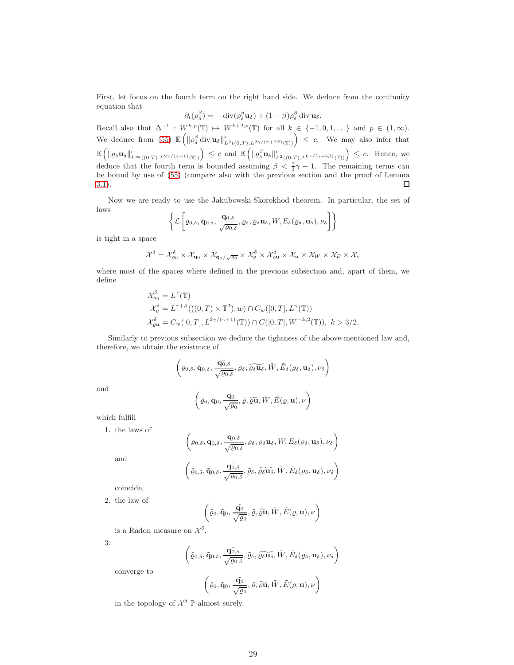First, let focus on the fourth term on the right hand side. We deduce from the continuity equation that

$$
\partial_t(\varrho_\delta^{\beta}) = -\operatorname{div}(\varrho_\delta^{\beta} \mathbf{u}_\delta) + (1-\beta)\varrho_\delta^{\beta} \operatorname{div} \mathbf{u}_\delta.
$$

Recall also that  $\Delta^{-1}: W^{k,p}(\mathbb{T}) \to W^{k+2,p}(\mathbb{T})$  for all  $k \in \{-1,0,1,\ldots\}$  and  $p \in (1,\infty)$ . We deduce from [\(55\)](#page-27-0)  $\mathbb{E}\left(\|\varrho_{\delta}^{\beta}\mathrm{div}\,\mathbf{u}_{\delta}\|_{L^2((0,T),L^{2\gamma/(\gamma+2\beta)}(\mathbb{T}))}^r\right) \leq c$ . We may also infer that  $\mathbb{E}\left(\|\varrho_{\delta}\mathbf{u}_{\delta}\|_{L^{\infty}((0,T),L^{2\gamma/(\gamma+1)}(\mathbb{T}))}^r\right) \leq c$  and  $\mathbb{E}\left(\|\varrho_{\delta}^{\beta}\mathbf{u}_{\delta}\|_{L^2((0,T),L^{6\gamma/(\gamma+6\beta)}(\mathbb{T}))}^r\right) \leq c$ . Hence, we deduce that the fourth term is bounded assuming  $\beta < \frac{2}{3}\gamma - 1$ . The remaining terms can be bound by use of [\(55\)](#page-27-0) (compare also with the previous section and the proof of Lemma [3.1\)](#page-21-1).  $\Box$ 

Now we are ready to use the Jakubowski-Skorokhod theorem. In particular, the set of laws

$$
\left\{\mathcal{L}\left[\varrho_{0,\delta},\mathbf{q}_{0,\delta},\frac{\mathbf{q}_{0,\delta}}{\sqrt{\varrho_{0,\delta}}},\varrho_{\delta},\varrho_{\delta}\mathbf{u}_{\delta},W,E_{\delta}(\varrho_{\delta},\mathbf{u}_{\delta}),\nu_{\delta}\right]\right\}
$$

is tight in a space

$$
\mathcal{X}^{\delta} = \mathcal{X}^{\delta}_{\varrho_{0}} \times \mathcal{X}_{\mathbf{q}_{0}} \times \mathcal{X}_{\mathbf{q}_{0}/\sqrt{\varrho_{0}}} \times \mathcal{X}^{\delta}_{\varrho} \times \mathcal{X}^{\delta}_{\varrho \mathbf{u}} \times \mathcal{X}_{\mathbf{u}} \times \mathcal{X}_{W} \times \mathcal{X}_{E} \times \mathcal{X}_{W}
$$

where most of the spaces where defined in the previous subsection and, apart of them, we define

$$
\mathcal{X}_{\varrho_{0}}^{\delta} = L^{\gamma}(\mathbb{T})
$$
  
\n
$$
\mathcal{X}_{\varrho}^{\delta} = L^{\gamma+\beta}(((0, T) \times \mathbb{T}^{3}), w) \cap C_{w}([0, T], L^{\gamma}(\mathbb{T}))
$$
  
\n
$$
\mathcal{X}_{\varrho u}^{\delta} = C_{w}([0, T], L^{2\gamma/(\gamma+1)}(\mathbb{T})) \cap C([0, T], W^{-k, 2}(\mathbb{T})), k > 3/2.
$$

Similarly to previous subsection we deduce the tightness of the above-mentioned law and, therefore, we obtain the existence of

$$
\left(\tilde{\varrho}_{0,\delta}, \tilde{\mathbf{q}}_{0,\delta}, \frac{\tilde{\mathbf{q}}_{0,\delta}^{\top}}{\sqrt{\varrho_{0,\delta}}}, \tilde{\varrho}_{\delta}, \widetilde{\varrho_{\delta}\mathbf{u}_{\delta}}, \tilde{W}, \tilde{E}_{\delta}(\varrho_{\delta}, \mathbf{u}_{\delta}), \nu_{\delta}\right)
$$

and

$$
\left(\tilde{\varrho}_{0},\tilde{\mathbf{q}}_{0},\frac{\tilde{\mathbf{q}}_{0}}{\sqrt{\varrho_{0}}},\tilde{\varrho},\widetilde{\varrho\mathbf{u}},\tilde{W},\tilde{E}(\varrho,\mathbf{u}),\nu\right)
$$

which fulfill

1. the laws of

$$
\left(\varrho_{0,\delta}, \mathbf{q}_{0,\delta}, \frac{\mathbf{q}_{0,\delta}}{\sqrt{\varrho_{0,\delta}}}, \varrho_{\delta}, \varrho_{\delta} \mathbf{u}_{\delta}, W, E_{\delta}(\varrho_{\delta}, \mathbf{u}_{\delta}), \nu_{\delta}\right)
$$

and

$$
\left(\tilde{\varrho}_{0,\delta}, \tilde{\mathbf{q}}_{0,\delta}, \frac{\tilde{\mathbf{q}}_{0,\delta}^{\widetilde{\delta}}}{\sqrt{\varrho_{0,\delta}}}, \tilde{\varrho}_{\delta}, \widetilde{\varrho_{\delta}\mathbf{u}_{\delta}}, \tilde{W}, \tilde{E}_{\delta}(\varrho_{\delta}, \mathbf{u}_{\delta}), \nu_{\delta}\right)
$$

coincide,

2. the law of

$$
\left(\tilde{\varrho}_{0},\tilde{\mathbf{q}}_{0},\frac{\tilde{\mathbf{q}_{0}}}{\sqrt{\varrho_{0}}},\tilde{\varrho},\widetilde{\varrho\mathbf{u}},\tilde{W},\tilde{E}(\varrho,\mathbf{u}),\nu\right)
$$

is a Radon measure on  $\mathcal{X}^{\delta}$ ,

3.

$$
\left(\tilde{\varrho}_{0,\delta}, \tilde{q}_{0,\delta}, \frac{\tilde{q_{0,\delta}}}{\sqrt{\varrho_{0,\delta}}}, \tilde{\varrho}_{\delta}, \widetilde{\varrho_{\delta}\mathbf{u}_{\delta}}, \tilde{W}, \tilde{E}_{\delta}(\varrho_{\delta}, \mathbf{u}_{\delta}), \nu_{\delta}\right)
$$

converge to

$$
\left(\tilde{\varrho}_{0},\tilde{\mathbf{q}}_{0},\frac{\tilde{\mathbf{q}}_{0}}{\sqrt{\varrho_{0}}},\tilde{\varrho},\widetilde{\varrho}\widetilde{\mathbf{u}},\tilde{W},\tilde{E}(\varrho,\mathbf{u}),\nu\right)
$$

in the topology of  $\mathcal{X}^{\delta}$   $\mathbb{P}\text{-almost surely.}$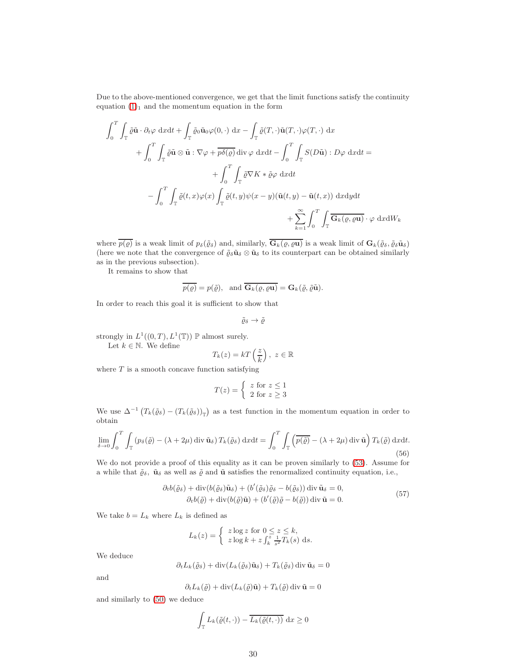Due to the above-mentioned convergence, we get that the limit functions satisfy the continuity equation  $(1)_1$  and the momentum equation in the form

$$
\int_{0}^{T} \int_{\mathbb{T}} \tilde{\varrho} \tilde{\mathbf{u}} \cdot \partial_{t} \varphi \, dxdt + \int_{\mathbb{T}} \tilde{\varrho}_{0} \tilde{\mathbf{u}}_{0} \varphi(0, \cdot) \, dx - \int_{\mathbb{T}} \tilde{\varrho}(T, \cdot) \tilde{\mathbf{u}}(T, \cdot) \varphi(T, \cdot) \, dx \n+ \int_{0}^{T} \int_{\mathbb{T}} \tilde{\varrho} \tilde{\mathbf{u}} \otimes \tilde{\mathbf{u}} : \nabla \varphi + \overline{p \delta(\varrho)} \, \text{div} \, \varphi \, dxdt - \int_{0}^{T} \int_{\mathbb{T}} S(D\tilde{\mathbf{u}}) : D\varphi \, dxdt = \n+ \int_{0}^{T} \int_{\mathbb{T}} \tilde{\varrho} \nabla K * \tilde{\varrho} \varphi \, dxdt \n- \int_{0}^{T} \int_{\mathbb{T}} \tilde{\varrho}(t, x) \varphi(x) \int_{\mathbb{T}} \tilde{\varrho}(t, y) \psi(x - y) (\tilde{\mathbf{u}}(t, y) - \tilde{\mathbf{u}}(t, x)) \, dxdydt \n+ \sum_{k=1}^{\infty} \int_{0}^{T} \int_{\mathbb{T}} \overline{G_{k}(\varrho, \varrho \mathbf{u})} \cdot \varphi \, dxdW_{k}
$$

where  $\overline{p(\varrho)}$  is a weak limit of  $p_{\delta}(\tilde{\varrho}_{\delta})$  and, similarly,  $\overline{G_k(\varrho, \varrho\mathbf{u})}$  is a weak limit of  $\mathbf{G}_k(\tilde{\varrho}_{\delta}, \tilde{\varrho}_{\delta}\tilde{\mathbf{u}}_{\delta})$ (here we note that the convergence of  $\tilde{\varrho}_{\delta}\tilde{\mathbf{u}}_{\delta}\otimes\tilde{\mathbf{u}}_{\delta}$  to its counterpart can be obtained similarly as in the previous subsection).

It remains to show that

$$
\overline{p(\varrho)} = p(\tilde{\varrho}), \text{ and } \overline{G_k(\varrho, \varrho \mathbf{u})} = G_k(\tilde{\varrho}, \tilde{\varrho} \tilde{\mathbf{u}}).
$$

In order to reach this goal it is sufficient to show that

$$
\tilde{\varrho}_{\delta} \to \tilde{\varrho}
$$

strongly in  $L^1((0,T), L^1(\mathbb{T}))$   $\mathbb P$  almost surely.

Let  $k \in \mathbb{N}$ . We define

$$
T_k(z) = kT\left(\frac{z}{k}\right), \ z \in \mathbb{R}
$$

where  $T$  is a smooth concave function satisfying

$$
T(z) = \begin{cases} z \text{ for } z \le 1\\ 2 \text{ for } z \ge 3 \end{cases}
$$

We use  $\Delta^{-1}(T_k(\tilde{\varrho}_\delta) - (T_k(\tilde{\varrho}_\delta))_{\mathbb{T}})$  as a test function in the momentum equation in order to obtain

<span id="page-29-1"></span>
$$
\lim_{\delta \to 0} \int_0^T \int_{\mathbb{T}} \left( p_\delta(\tilde{\varrho}) - (\lambda + 2\mu) \operatorname{div} \tilde{\mathbf{u}}_\delta \right) T_k(\tilde{\varrho}_\delta) \, \mathrm{d}x \mathrm{d}t = \int_0^T \int_{\mathbb{T}} \left( \overline{p(\tilde{\varrho})} - (\lambda + 2\mu) \operatorname{div} \tilde{\mathbf{u}} \right) T_k(\tilde{\varrho}) \, \mathrm{d}x \mathrm{d}t.
$$
\n(56)

We do not provide a proof of this equality as it can be proven similarly to  $(53)$ . Assume for a while that  $\tilde{\varrho}_{\delta}$ ,  $\tilde{\mathbf{u}}_{\delta}$  as well as  $\tilde{\varrho}$  and  $\tilde{\mathbf{u}}$  satisfies the renormalized continuity equation, i.e.,

$$
\partial_t b(\tilde{\varrho}_{\delta}) + \operatorname{div}(b(\tilde{\varrho}_{\delta})\tilde{\mathbf{u}}_{\delta}) + (b'(\tilde{\varrho}_{\delta})\tilde{\varrho}_{\delta} - b(\tilde{\varrho}_{\delta})) \operatorname{div} \tilde{\mathbf{u}}_{\delta} = 0, \n\partial_t b(\tilde{\varrho}) + \operatorname{div}(b(\tilde{\varrho})\tilde{\mathbf{u}}) + (b'(\tilde{\varrho})\tilde{\varrho} - b(\tilde{\varrho})) \operatorname{div} \tilde{\mathbf{u}} = 0.
$$
\n(57)

<span id="page-29-0"></span>We take  $b = L_k$  where  $L_k$  is defined as

$$
L_k(z) = \begin{cases} z \log z & \text{for } 0 \le z \le k, \\ z \log k + z \int_k^z \frac{1}{s^2} T_k(s) & \text{d}s. \end{cases}
$$

We deduce

$$
\partial_t L_k(\tilde{\varrho}_\delta) + \mathrm{div}(L_k(\tilde{\varrho}_\delta)\tilde{\mathbf{u}}_\delta) + T_k(\tilde{\varrho}_\delta) \,\mathrm{div}\,\tilde{\mathbf{u}}_\delta = 0
$$

and

$$
\partial_t L_k(\tilde{\varrho}) + \operatorname{div}(L_k(\tilde{\varrho})\tilde{\mathbf{u}}) + T_k(\tilde{\varrho}) \operatorname{div} \tilde{\mathbf{u}} = 0
$$

and similarly to [\(50\)](#page-24-2) we deduce

$$
\int_{\mathbb{T}} L_k(\tilde{\varrho}(t,\cdot)) - \overline{L_k(\tilde{\varrho}(t,\cdot))} \, dx \ge 0
$$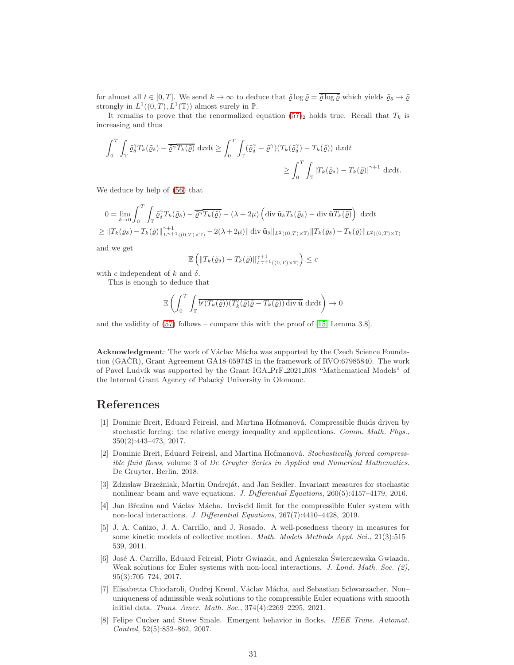for almost all  $t \in [0, T]$ . We send  $k \to \infty$  to deduce that  $\tilde{\varrho} \log \tilde{\varrho} = \overline{\tilde{\varrho} \log \tilde{\varrho}}$  which yields  $\tilde{\varrho}_{\delta} \to \tilde{\varrho}$ strongly in  $L^1((0,T), L^1(\mathbb{T}))$  almost surely in  $\mathbb{P}$ .

It remains to prove that the renormalized equation [\(57\)](#page-29-0)<sub>2</sub> holds true. Recall that  $T_k$  is increasing and thus

$$
\int_0^T \int_{\mathbb{T}} \tilde{\varrho}_{\delta}^{\gamma} T_k(\tilde{\varrho}_{\delta}) - \overline{\tilde{\varrho}^{\gamma}} \overline{T_k(\tilde{\varrho})} \, dxdt \ge \int_0^T \int_{\mathbb{T}} (\tilde{\varrho}_{\delta}^{\gamma} - \tilde{\varrho}^{\gamma}) (T_k(\tilde{\varrho}_{\delta}^{\gamma}) - T_k(\tilde{\varrho})) \, dxdt
$$
  

$$
\ge \int_0^T \int_{\mathbb{T}} |T_k(\tilde{\varrho}_{\delta}) - T_k(\tilde{\varrho})|^{\gamma+1} \, dxdt.
$$

We deduce by help of [\(56\)](#page-29-1) that

$$
0 = \lim_{\delta \to 0} \int_0^T \int_{\mathbb{T}} \tilde{\varrho}_{\delta}^{\gamma} T_k(\tilde{\varrho}_{\delta}) - \overline{\tilde{\varrho}^{\gamma}} \overline{T_k(\tilde{\varrho})} - (\lambda + 2\mu) \left( \operatorname{div} \tilde{\mathbf{u}}_{\delta} T_k(\tilde{\varrho}_{\delta}) - \operatorname{div} \tilde{\mathbf{u}} \overline{T_k(\tilde{\varrho})} \right) \, dxdt
$$
  
\n
$$
\geq ||T_k(\tilde{\varrho}_{\delta}) - T_k(\tilde{\varrho})||_{L^{\gamma+1}((0,T) \times \mathbb{T})}^{\gamma+1} - 2(\lambda + 2\mu) || \operatorname{div} \tilde{\mathbf{u}}_{\delta} ||_{L^2((0,T) \times \mathbb{T})} || T_k(\tilde{\varrho}_{\delta}) - T_k(\tilde{\varrho}) ||_{L^2((0,T) \times \mathbb{T})}
$$

and we get

$$
\mathbb{E}\left(\|T_k(\tilde{\varrho}_\delta) - T_k(\tilde{\varrho})\|_{L^{\gamma+1}((0,T)\times\mathbb{T})}^{\gamma+1}\right) \leq c
$$

with c independent of k and  $\delta$ .

This is enough to deduce that

$$
\mathbb{E}\left(\int_0^T \int_{\mathbb{T}} \overline{b'(T_k(\tilde{\varrho}))(T'_k(\tilde{\varrho})\tilde{\varrho} - T_k(\tilde{\varrho})) \operatorname{div}\tilde{\mathbf{u}}} \, dxdt\right) \to 0
$$

and the validity of [\(57\)](#page-29-0) follows – compare this with the proof of [\[15,](#page-31-13) Lemma 3.8].

Acknowledgment: The work of Václav Mácha was supported by the Czech Science Foundation  $(GA\check{C}R)$ , Grant Agreement  $GA18-05974S$  in the framework of RVO:67985840. The work of Pavel Ludvík was supported by the Grant IGA PrF 2021 008 "Mathematical Models" of the Internal Grant Agency of Palacký University in Olomouc.

### <span id="page-30-6"></span>References

- [1] Dominic Breit, Eduard Feireisl, and Martina Hofmanov´a. Compressible fluids driven by stochastic forcing: the relative energy inequality and applications. Comm. Math. Phys., 350(2):443–473, 2017.
- <span id="page-30-4"></span>[2] Dominic Breit, Eduard Feireisl, and Martina Hofmanová. Stochastically forced compressible fluid flows, volume 3 of De Gruyter Series in Applied and Numerical Mathematics. De Gruyter, Berlin, 2018.
- <span id="page-30-7"></span>[3] Zdzisław Brzeźniak, Martin Ondreját, and Jan Seidler. Invariant measures for stochastic nonlinear beam and wave equations. J. Differential Equations, 260(5):4157–4179, 2016.
- <span id="page-30-5"></span>[4] Jan Březina and Václav Mácha. Inviscid limit for the compressible Euler system with non-local interactions. J. Differential Equations, 267(7):4410–4428, 2019.
- <span id="page-30-3"></span>[5] J. A. Cañizo, J. A. Carrillo, and J. Rosado. A well-posedness theory in measures for some kinetic models of collective motion. Math. Models Methods Appl. Sci., 21(3):515– 539, 2011.
- <span id="page-30-2"></span>[6] Jos´e A. Carrillo, Eduard Feireisl, Piotr Gwiazda, and Agnieszka Swierczewska Gwiazda. ´ Weak solutions for Euler systems with non-local interactions. J. Lond. Math. Soc. (2), 95(3):705–724, 2017.
- <span id="page-30-1"></span>[7] Elisabetta Chiodaroli, Ondřej Kreml, Václav Mácha, and Sebastian Schwarzacher. Nonuniqueness of admissible weak solutions to the compressible Euler equations with smooth initial data. Trans. Amer. Math. Soc., 374(4):2269–2295, 2021.
- <span id="page-30-0"></span>[8] Felipe Cucker and Steve Smale. Emergent behavior in flocks. IEEE Trans. Automat. Control, 52(5):852–862, 2007.